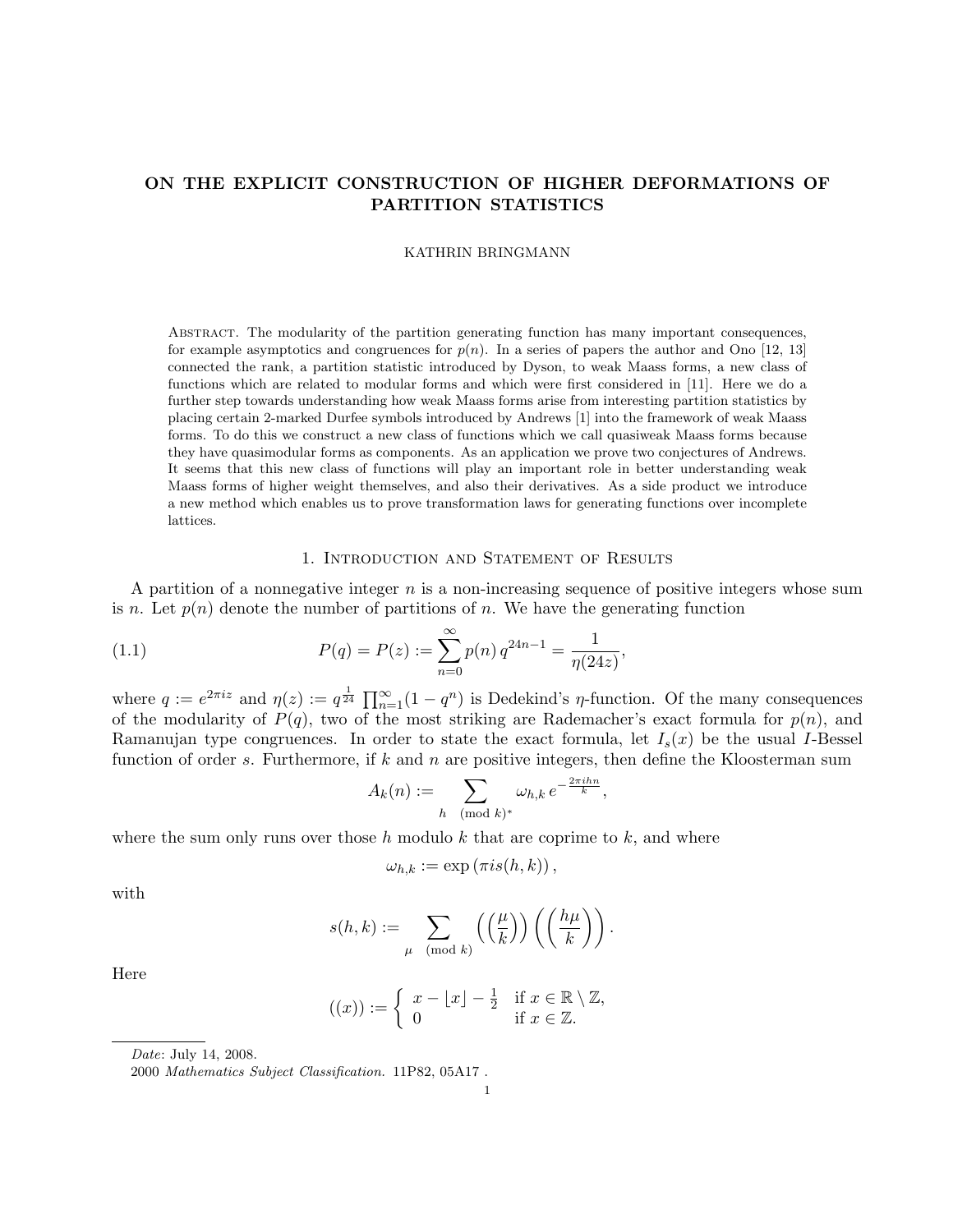# ON THE EXPLICIT CONSTRUCTION OF HIGHER DEFORMATIONS OF PARTITION STATISTICS

KATHRIN BRINGMANN

ABSTRACT. The modularity of the partition generating function has many important consequences, for example asymptotics and congruences for  $p(n)$ . In a series of papers the author and Ono [12, 13] connected the rank, a partition statistic introduced by Dyson, to weak Maass forms, a new class of functions which are related to modular forms and which were first considered in [11]. Here we do a further step towards understanding how weak Maass forms arise from interesting partition statistics by placing certain 2-marked Durfee symbols introduced by Andrews [1] into the framework of weak Maass forms. To do this we construct a new class of functions which we call quasiweak Maass forms because they have quasimodular forms as components. As an application we prove two conjectures of Andrews. It seems that this new class of functions will play an important role in better understanding weak Maass forms of higher weight themselves, and also their derivatives. As a side product we introduce a new method which enables us to prove transformation laws for generating functions over incomplete lattices.

## 1. Introduction and Statement of Results

A partition of a nonnegative integer  $n$  is a non-increasing sequence of positive integers whose sum is n. Let  $p(n)$  denote the number of partitions of n. We have the generating function

(1.1) 
$$
P(q) = P(z) := \sum_{n=0}^{\infty} p(n) q^{24n-1} = \frac{1}{\eta(24z)},
$$

where  $q := e^{2\pi i z}$  and  $\eta(z) := q^{\frac{1}{24}} \prod_{n=1}^{\infty} (1 - q^n)$  is Dedekind's *η*-function. Of the many consequences of the modularity of  $P(q)$ , two of the most striking are Rademacher's exact formula for  $p(n)$ , and Ramanujan type congruences. In order to state the exact formula, let  $I_s(x)$  be the usual I-Bessel function of order s. Furthermore, if k and n are positive integers, then define the Kloosterman sum

$$
A_k(n) := \sum_{h \pmod{k}} \omega_{h,k} e^{-\frac{2\pi i h n}{k}},
$$

where the sum only runs over those h modulo k that are coprime to  $k$ , and where

$$
\omega_{h,k} := \exp(\pi i s(h,k)),
$$

with

$$
s(h,k) := \sum_{\mu \pmod{k}} \left( \left( \frac{\mu}{k} \right) \right) \left( \left( \frac{h\mu}{k} \right) \right).
$$

Here

$$
((x)) := \begin{cases} x - \lfloor x \rfloor - \frac{1}{2} & \text{if } x \in \mathbb{R} \setminus \mathbb{Z}, \\ 0 & \text{if } x \in \mathbb{Z}. \end{cases}
$$

Date: July 14, 2008.

<sup>2000</sup> Mathematics Subject Classification. 11P82, 05A17 .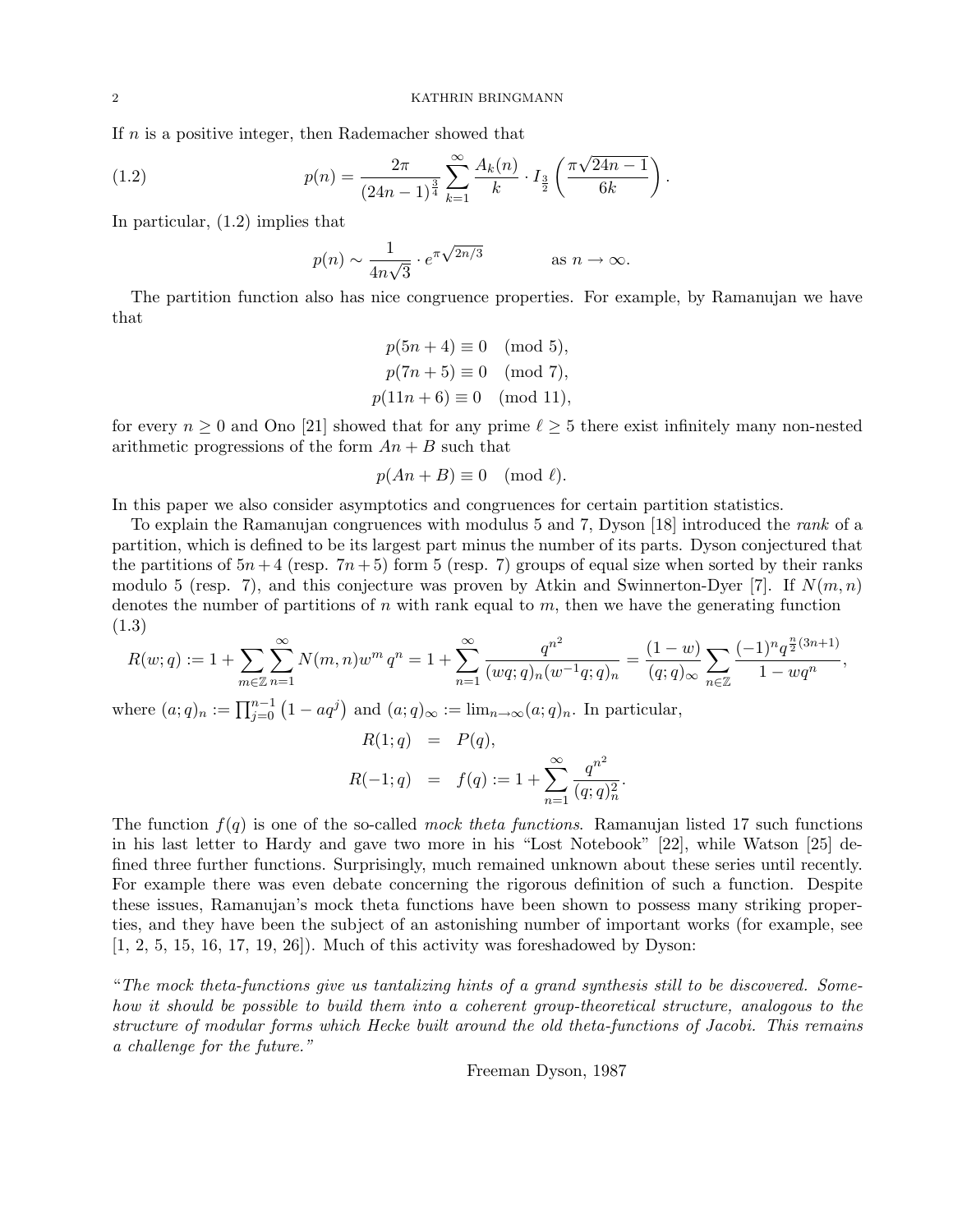If n is a positive integer, then Rademacher showed that

(1.2) 
$$
p(n) = \frac{2\pi}{(24n-1)^{\frac{3}{4}}} \sum_{k=1}^{\infty} \frac{A_k(n)}{k} \cdot I_{\frac{3}{2}}\left(\frac{\pi\sqrt{24n-1}}{6k}\right).
$$

In particular, (1.2) implies that

$$
p(n) \sim \frac{1}{4n\sqrt{3}} \cdot e^{\pi \sqrt{2n/3}}
$$
 as  $n \to \infty$ .

The partition function also has nice congruence properties. For example, by Ramanujan we have that

$$
p(5n + 4) \equiv 0 \pmod{5},
$$
  
\n
$$
p(7n + 5) \equiv 0 \pmod{7},
$$
  
\n
$$
p(11n + 6) \equiv 0 \pmod{11},
$$

for every  $n \geq 0$  and Ono [21] showed that for any prime  $\ell \geq 5$  there exist infinitely many non-nested arithmetic progressions of the form  $An + B$  such that

$$
p(An + B) \equiv 0 \pmod{\ell}.
$$

In this paper we also consider asymptotics and congruences for certain partition statistics.

To explain the Ramanujan congruences with modulus 5 and 7, Dyson [18] introduced the rank of a partition, which is defined to be its largest part minus the number of its parts. Dyson conjectured that the partitions of  $5n+4$  (resp.  $7n+5$ ) form 5 (resp. 7) groups of equal size when sorted by their ranks modulo 5 (resp. 7), and this conjecture was proven by Atkin and Swinnerton-Dyer [7]. If  $N(m, n)$ denotes the number of partitions of  $n$  with rank equal to  $m$ , then we have the generating function (1.3)

$$
R(w;q) := 1 + \sum_{m \in \mathbb{Z}} \sum_{n=1}^{\infty} N(m,n) w^m q^n = 1 + \sum_{n=1}^{\infty} \frac{q^{n^2}}{(wq;q)_n (w^{-1}q;q)_n} = \frac{(1-w)}{(q;q)_{\infty}} \sum_{n \in \mathbb{Z}} \frac{(-1)^n q^{\frac{n}{2}(3n+1)}}{1 - w q^n},
$$

where  $(a;q)_n := \prod_{j=0}^{n-1} (1 - aq^j)$  and  $(a;q)_{\infty} := \lim_{n \to \infty} (a;q)_n$ . In particular,

$$
R(1;q) = P(q),
$$
  

$$
R(-1;q) = f(q) := 1 + \sum_{n=1}^{\infty} \frac{q^{n^2}}{(q;q)_n^2}.
$$

The function  $f(q)$  is one of the so-called mock theta functions. Ramanujan listed 17 such functions in his last letter to Hardy and gave two more in his "Lost Notebook" [22], while Watson [25] defined three further functions. Surprisingly, much remained unknown about these series until recently. For example there was even debate concerning the rigorous definition of such a function. Despite these issues, Ramanujan's mock theta functions have been shown to possess many striking properties, and they have been the subject of an astonishing number of important works (for example, see  $[1, 2, 5, 15, 16, 17, 19, 26]$ . Much of this activity was foreshadowed by Dyson:

"The mock theta-functions give us tantalizing hints of a grand synthesis still to be discovered. Somehow it should be possible to build them into a coherent group-theoretical structure, analogous to the structure of modular forms which Hecke built around the old theta-functions of Jacobi. This remains a challenge for the future."

Freeman Dyson, 1987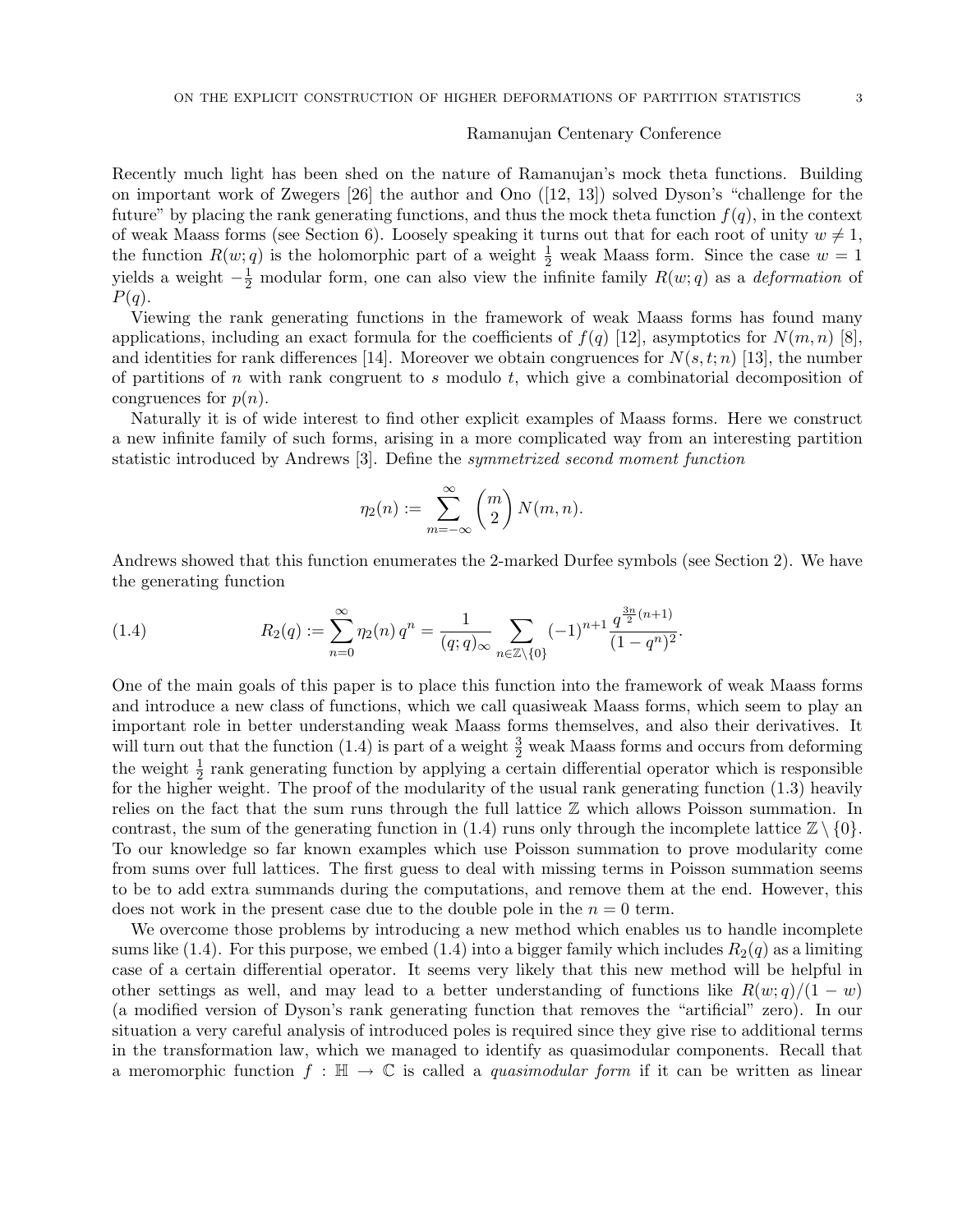#### Ramanujan Centenary Conference

Recently much light has been shed on the nature of Ramanujan's mock theta functions. Building on important work of Zwegers [26] the author and Ono ([12, 13]) solved Dyson's "challenge for the future" by placing the rank generating functions, and thus the mock theta function  $f(q)$ , in the context of weak Maass forms (see Section 6). Loosely speaking it turns out that for each root of unity  $w \neq 1$ , the function  $R(w; q)$  is the holomorphic part of a weight  $\frac{1}{2}$  weak Maass form. Since the case  $w = 1$ yields a weight  $-\frac{1}{2}$  modular form, one can also view the infinite family  $R(w; q)$  as a *deformation* of  $P(q).$ 

Viewing the rank generating functions in the framework of weak Maass forms has found many applications, including an exact formula for the coefficients of  $f(q)$  [12], asymptotics for  $N(m, n)$  [8], and identities for rank differences [14]. Moreover we obtain congruences for  $N(s, t; n)$  [13], the number of partitions of n with rank congruent to s modulo t, which give a combinatorial decomposition of congruences for  $p(n)$ .

Naturally it is of wide interest to find other explicit examples of Maass forms. Here we construct a new infinite family of such forms, arising in a more complicated way from an interesting partition statistic introduced by Andrews [3]. Define the symmetrized second moment function

$$
\eta_2(n) := \sum_{m=-\infty}^{\infty} {m \choose 2} N(m, n).
$$

Andrews showed that this function enumerates the 2-marked Durfee symbols (see Section 2). We have the generating function

(1.4) 
$$
R_2(q) := \sum_{n=0}^{\infty} \eta_2(n) q^n = \frac{1}{(q;q)_{\infty}} \sum_{n \in \mathbb{Z} \setminus \{0\}} (-1)^{n+1} \frac{q^{\frac{3n}{2}(n+1)}}{(1-q^n)^2}.
$$

One of the main goals of this paper is to place this function into the framework of weak Maass forms and introduce a new class of functions, which we call quasiweak Maass forms, which seem to play an important role in better understanding weak Maass forms themselves, and also their derivatives. It will turn out that the function (1.4) is part of a weight  $\frac{3}{2}$  weak Maass forms and occurs from deforming the weight  $\frac{1}{2}$  rank generating function by applying a certain differential operator which is responsible for the higher weight. The proof of the modularity of the usual rank generating function (1.3) heavily relies on the fact that the sum runs through the full lattice  $\mathbb Z$  which allows Poisson summation. In contrast, the sum of the generating function in (1.4) runs only through the incomplete lattice  $\mathbb{Z} \setminus \{0\}$ . To our knowledge so far known examples which use Poisson summation to prove modularity come from sums over full lattices. The first guess to deal with missing terms in Poisson summation seems to be to add extra summands during the computations, and remove them at the end. However, this does not work in the present case due to the double pole in the  $n = 0$  term.

We overcome those problems by introducing a new method which enables us to handle incomplete sums like (1.4). For this purpose, we embed (1.4) into a bigger family which includes  $R_2(q)$  as a limiting case of a certain differential operator. It seems very likely that this new method will be helpful in other settings as well, and may lead to a better understanding of functions like  $R(w; q)/(1 - w)$ (a modified version of Dyson's rank generating function that removes the "artificial" zero). In our situation a very careful analysis of introduced poles is required since they give rise to additional terms in the transformation law, which we managed to identify as quasimodular components. Recall that a meromorphic function  $f : \mathbb{H} \to \mathbb{C}$  is called a *quasimodular form* if it can be written as linear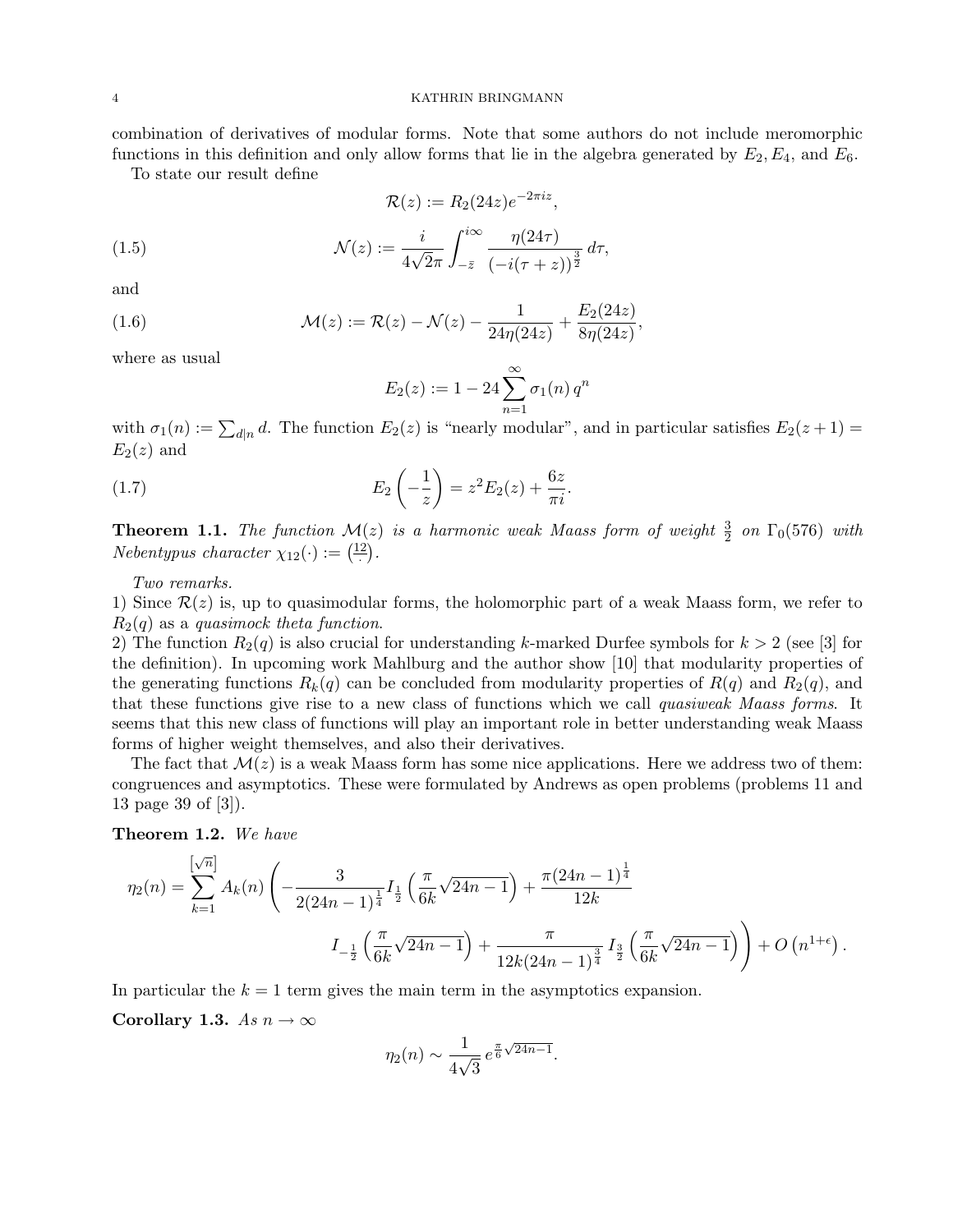combination of derivatives of modular forms. Note that some authors do not include meromorphic

functions in this definition and only allow forms that lie in the algebra generated by  $E_2, E_4$ , and  $E_6$ . To state our result define

$$
\mathcal{R}(z) := R_2(24z)e^{-2\pi i z},
$$

(1.5) 
$$
\mathcal{N}(z) := \frac{i}{4\sqrt{2}\pi} \int_{-\bar{z}}^{i\infty} \frac{\eta(24\tau)}{(-i(\tau+z))^{\frac{3}{2}}} d\tau,
$$

and

(1.6) 
$$
\mathcal{M}(z) := \mathcal{R}(z) - \mathcal{N}(z) - \frac{1}{24\eta(24z)} + \frac{E_2(24z)}{8\eta(24z)},
$$

where as usual

$$
E_2(z) := 1 - 24 \sum_{n=1}^{\infty} \sigma_1(n) q^n
$$

with  $\sigma_1(n) := \sum_{d|n} d$ . The function  $E_2(z)$  is "nearly modular", and in particular satisfies  $E_2(z+1) =$  $E_2(z)$  and

(1.7) 
$$
E_2\left(-\frac{1}{z}\right) = z^2 E_2(z) + \frac{6z}{\pi i}.
$$

**Theorem 1.1.** The function  $M(z)$  is a harmonic weak Maass form of weight  $\frac{3}{2}$  on  $\Gamma_0(576)$  with *Nebentypus character*  $\chi_{12}(\cdot) := \left(\frac{12}{\cdot}\right)$ .

Two remarks.

1) Since  $\mathcal{R}(z)$  is, up to quasimodular forms, the holomorphic part of a weak Maass form, we refer to  $R_2(q)$  as a quasimock theta function.

2) The function  $R_2(q)$  is also crucial for understanding k-marked Durfee symbols for  $k > 2$  (see [3] for the definition). In upcoming work Mahlburg and the author show [10] that modularity properties of the generating functions  $R_k(q)$  can be concluded from modularity properties of  $R(q)$  and  $R_2(q)$ , and that these functions give rise to a new class of functions which we call quasiweak Maass forms. It seems that this new class of functions will play an important role in better understanding weak Maass forms of higher weight themselves, and also their derivatives.

The fact that  $\mathcal{M}(z)$  is a weak Maass form has some nice applications. Here we address two of them: congruences and asymptotics. These were formulated by Andrews as open problems (problems 11 and 13 page 39 of [3]).

Theorem 1.2. We have

$$
\eta_2(n) = \sum_{k=1}^{\left[\sqrt{n}\right]} A_k(n) \left( -\frac{3}{2(24n-1)^{\frac{1}{4}}} I_{\frac{1}{2}}\left(\frac{\pi}{6k}\sqrt{24n-1}\right) + \frac{\pi(24n-1)^{\frac{1}{4}}}{12k} + \frac{\pi}{12k(24n-1)^{\frac{3}{4}}} I_{\frac{3}{2}}\left(\frac{\pi}{6k}\sqrt{24n-1}\right) \right) + O\left(n^{1+\epsilon}\right).
$$

In particular the  $k = 1$  term gives the main term in the asymptotics expansion.

Corollary 1.3. As  $n \to \infty$ 

$$
\eta_2(n) \sim \frac{1}{4\sqrt{3}} e^{\frac{\pi}{6}\sqrt{24n-1}}.
$$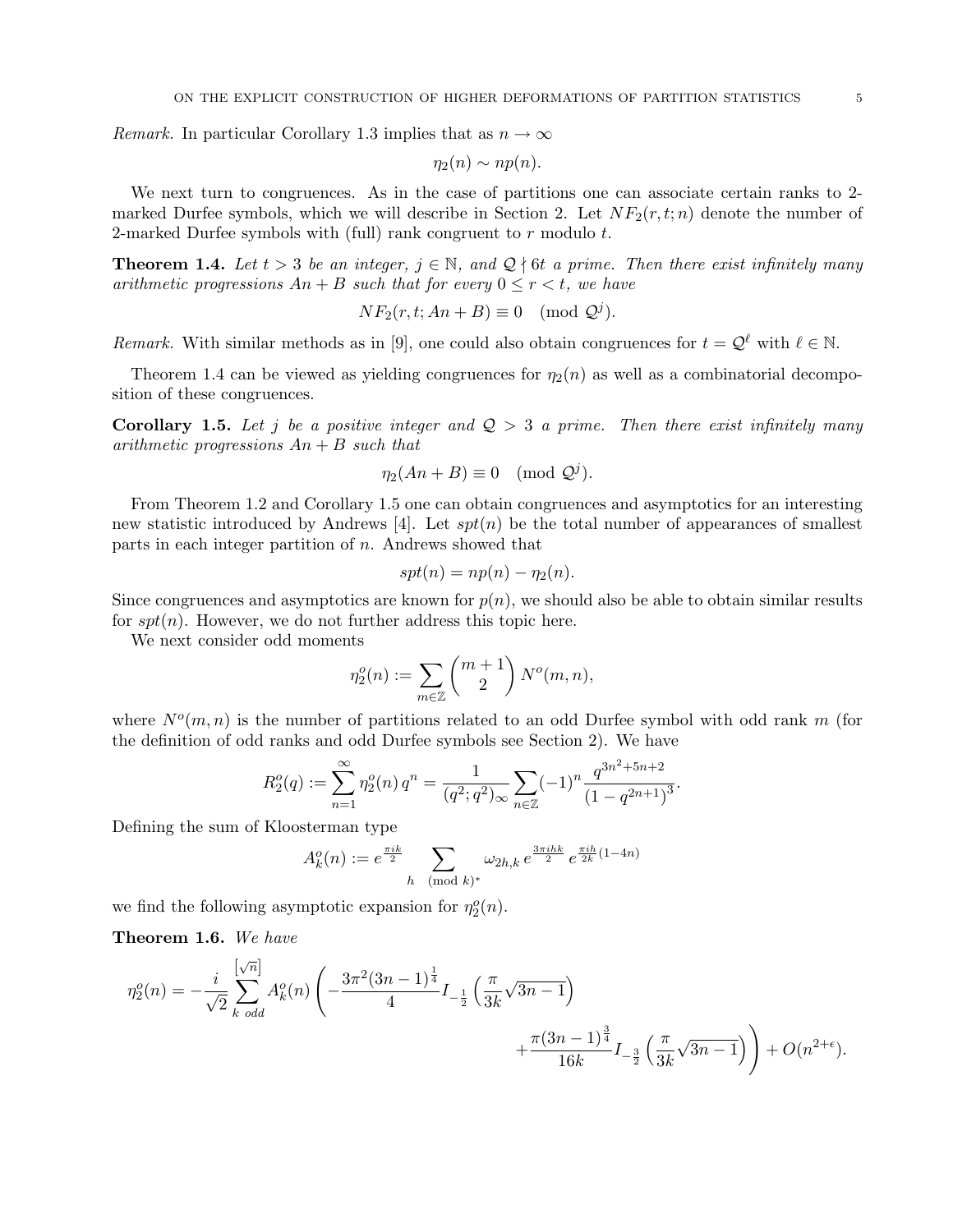*Remark*. In particular Corollary 1.3 implies that as  $n \to \infty$ 

$$
\eta_2(n) \sim np(n).
$$

We next turn to congruences. As in the case of partitions one can associate certain ranks to 2 marked Durfee symbols, which we will describe in Section 2. Let  $NF_2(r, t; n)$  denote the number of 2-marked Durfee symbols with (full) rank congruent to  $r$  modulo  $t$ .

**Theorem 1.4.** Let  $t > 3$  be an integer,  $j \in \mathbb{N}$ , and  $\mathcal{Q} \nmid 6t$  a prime. Then there exist infinitely many arithmetic progressions  $An + B$  such that for every  $0 \le r < t$ , we have

$$
NF_2(r, t; An + B) \equiv 0 \pmod{\mathcal{Q}^j}.
$$

Remark. With similar methods as in [9], one could also obtain congruences for  $t = \mathcal{Q}^{\ell}$  with  $\ell \in \mathbb{N}$ .

Theorem 1.4 can be viewed as yielding congruences for  $\eta_2(n)$  as well as a combinatorial decomposition of these congruences.

**Corollary 1.5.** Let j be a positive integer and  $Q > 3$  a prime. Then there exist infinitely many arithmetic progressions  $An + B$  such that

$$
\eta_2(An + B) \equiv 0 \pmod{\mathcal{Q}^j}.
$$

From Theorem 1.2 and Corollary 1.5 one can obtain congruences and asymptotics for an interesting new statistic introduced by Andrews [4]. Let  $spt(n)$  be the total number of appearances of smallest parts in each integer partition of  $n$ . Andrews showed that

$$
spt(n) = np(n) - \eta_2(n).
$$

Since congruences and asymptotics are known for  $p(n)$ , we should also be able to obtain similar results for  $spt(n)$ . However, we do not further address this topic here.

We next consider odd moments

$$
\eta_2^o(n) := \sum_{m \in \mathbb{Z}} \binom{m+1}{2} N^o(m,n),
$$

where  $N^o(m,n)$  is the number of partitions related to an odd Durfee symbol with odd rank m (for the definition of odd ranks and odd Durfee symbols see Section 2). We have

$$
R_2^o(q) := \sum_{n=1}^{\infty} \eta_2^o(n) q^n = \frac{1}{(q^2;q^2)_{\infty}} \sum_{n \in \mathbb{Z}} (-1)^n \frac{q^{3n^2+5n+2}}{(1-q^{2n+1})^3}.
$$

Defining the sum of Kloosterman type

$$
A_k^o(n) := e^{\frac{\pi i k}{2}} \sum_{h \pmod{k}} \omega_{2h,k} e^{\frac{3\pi i h k}{2}} e^{\frac{\pi i h}{2k}(1-4n)}
$$

we find the following asymptotic expansion for  $\eta_2^o(n)$ .

Theorem 1.6. We have

$$
\eta_2^o(n) = -\frac{i}{\sqrt{2}} \sum_{k \text{ odd}}^{\left[\sqrt{n}\right]} A_k^o(n) \left( -\frac{3\pi^2 (3n-1)^{\frac{1}{4}}}{4} I_{-\frac{1}{2}}\left(\frac{\pi}{3k} \sqrt{3n-1}\right) + \frac{\pi (3n-1)^{\frac{3}{4}}}{16k} I_{-\frac{3}{2}}\left(\frac{\pi}{3k} \sqrt{3n-1}\right) \right) + O(n^{2+\epsilon}).
$$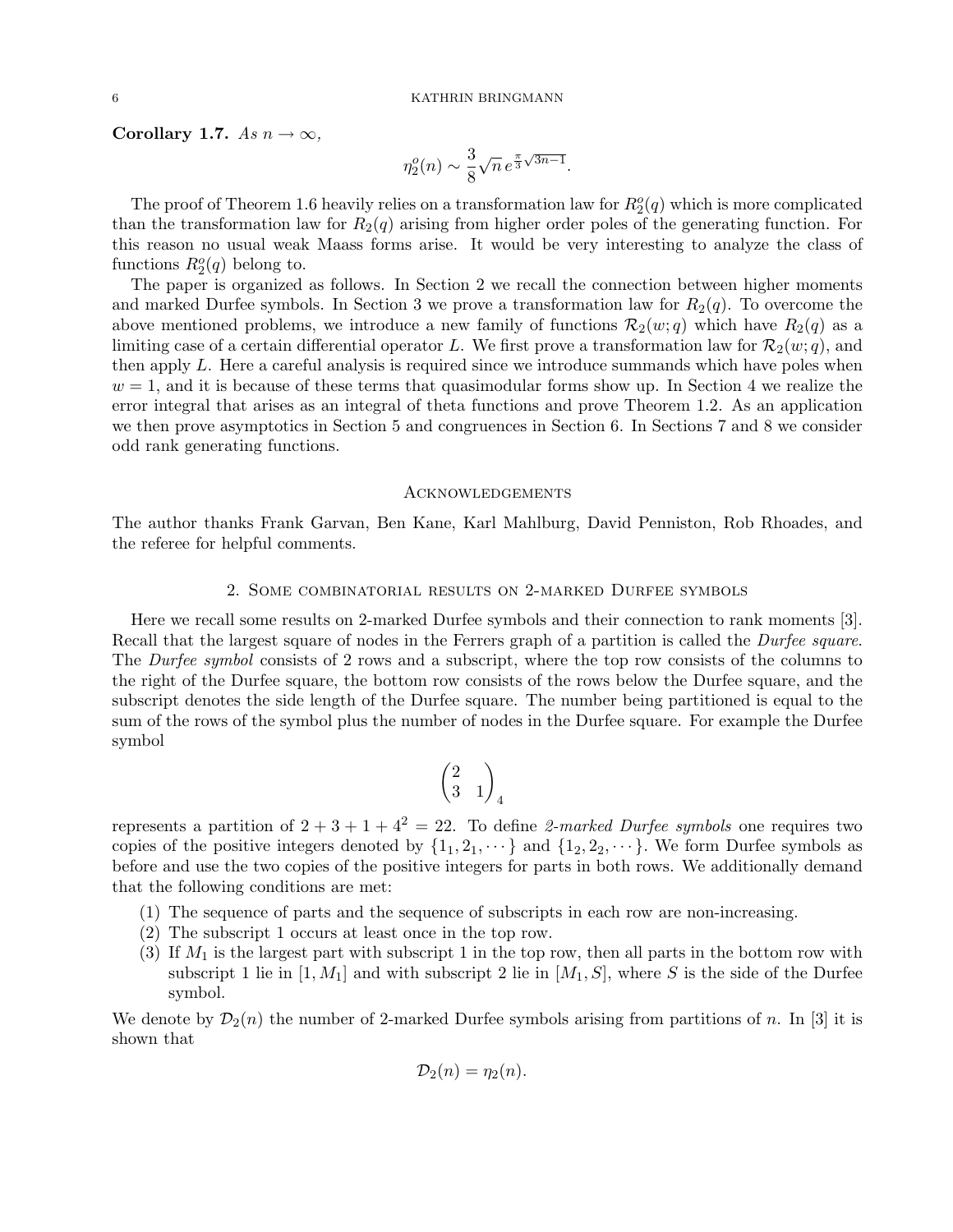## Corollary 1.7. As  $n \to \infty$ ,

$$
\eta_2^o(n) \sim \frac{3}{8} \sqrt{n} \, e^{\frac{\pi}{3} \sqrt{3n-1}}.
$$

The proof of Theorem 1.6 heavily relies on a transformation law for  $R_2^o(q)$  which is more complicated than the transformation law for  $R_2(q)$  arising from higher order poles of the generating function. For this reason no usual weak Maass forms arise. It would be very interesting to analyze the class of functions  $R_2^o(q)$  belong to.

The paper is organized as follows. In Section 2 we recall the connection between higher moments and marked Durfee symbols. In Section 3 we prove a transformation law for  $R_2(q)$ . To overcome the above mentioned problems, we introduce a new family of functions  $\mathcal{R}_2(w; q)$  which have  $R_2(q)$  as a limiting case of a certain differential operator L. We first prove a transformation law for  $\mathcal{R}_2(w; q)$ , and then apply L. Here a careful analysis is required since we introduce summands which have poles when  $w = 1$ , and it is because of these terms that quasimodular forms show up. In Section 4 we realize the error integral that arises as an integral of theta functions and prove Theorem 1.2. As an application we then prove asymptotics in Section 5 and congruences in Section 6. In Sections 7 and 8 we consider odd rank generating functions.

### Acknowledgements

The author thanks Frank Garvan, Ben Kane, Karl Mahlburg, David Penniston, Rob Rhoades, and the referee for helpful comments.

## 2. Some combinatorial results on 2-marked Durfee symbols

Here we recall some results on 2-marked Durfee symbols and their connection to rank moments [3]. Recall that the largest square of nodes in the Ferrers graph of a partition is called the *Durfee square*. The *Durfee symbol* consists of 2 rows and a subscript, where the top row consists of the columns to the right of the Durfee square, the bottom row consists of the rows below the Durfee square, and the subscript denotes the side length of the Durfee square. The number being partitioned is equal to the sum of the rows of the symbol plus the number of nodes in the Durfee square. For example the Durfee symbol

$$
\begin{pmatrix}2\\3&1\end{pmatrix}_4
$$

represents a partition of  $2 + 3 + 1 + 4^2 = 22$ . To define 2-marked Durfee symbols one requires two copies of the positive integers denoted by  $\{1_1, 2_1, \dots\}$  and  $\{1_2, 2_2, \dots\}$ . We form Durfee symbols as before and use the two copies of the positive integers for parts in both rows. We additionally demand that the following conditions are met:

- (1) The sequence of parts and the sequence of subscripts in each row are non-increasing.
- (2) The subscript 1 occurs at least once in the top row.
- (3) If  $M_1$  is the largest part with subscript 1 in the top row, then all parts in the bottom row with subscript 1 lie in  $[1, M_1]$  and with subscript 2 lie in  $[M_1, S]$ , where S is the side of the Durfee symbol.

We denote by  $\mathcal{D}_2(n)$  the number of 2-marked Durfee symbols arising from partitions of n. In [3] it is shown that

$$
\mathcal{D}_2(n) = \eta_2(n).
$$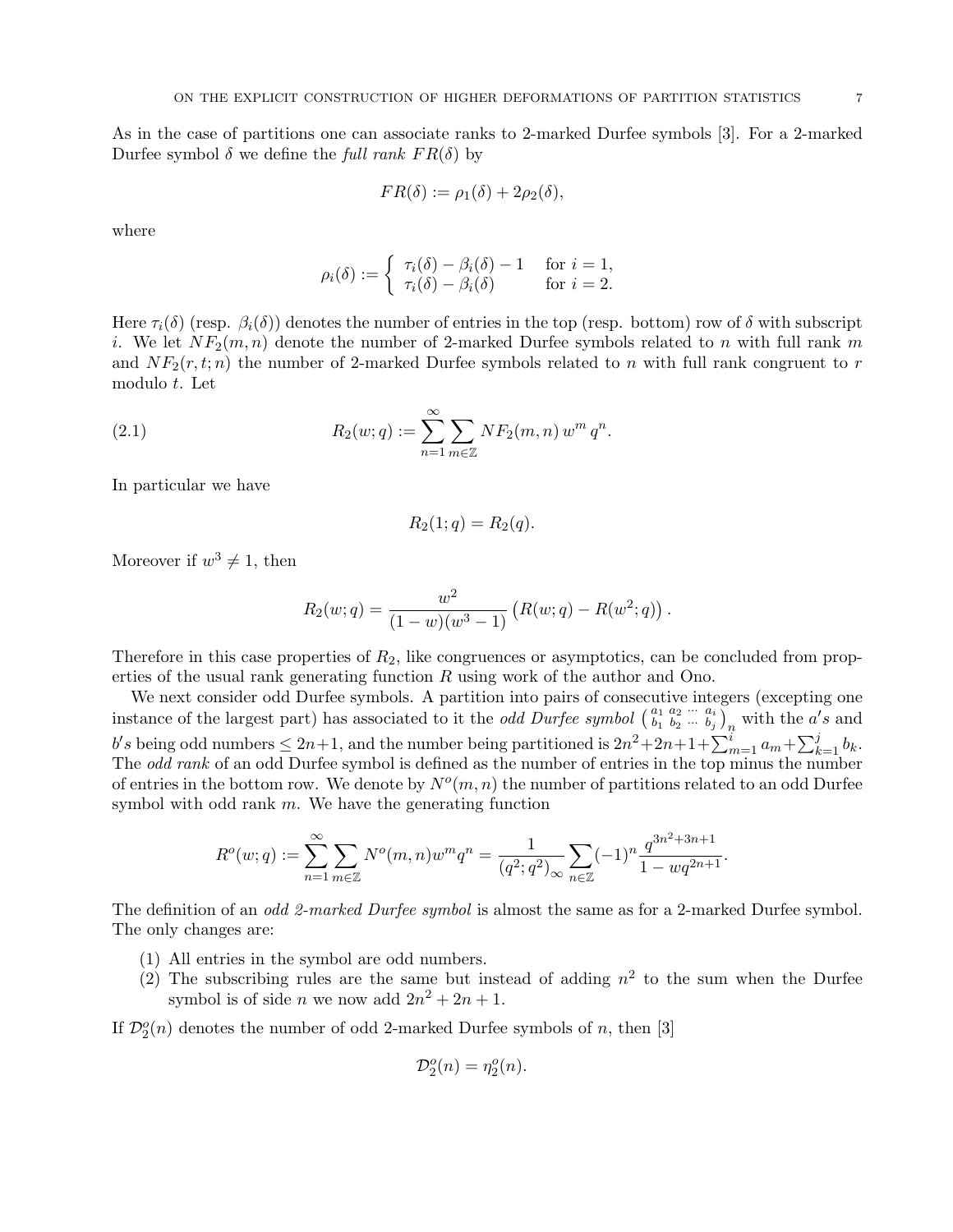As in the case of partitions one can associate ranks to 2-marked Durfee symbols [3]. For a 2-marked Durfee symbol  $\delta$  we define the full rank  $FR(\delta)$  by

$$
FR(\delta) := \rho_1(\delta) + 2\rho_2(\delta),
$$

where

$$
\rho_i(\delta) := \begin{cases} \tau_i(\delta) - \beta_i(\delta) - 1 & \text{for } i = 1, \\ \tau_i(\delta) - \beta_i(\delta) & \text{for } i = 2. \end{cases}
$$

Here  $\tau_i(\delta)$  (resp.  $\beta_i(\delta)$ ) denotes the number of entries in the top (resp. bottom) row of  $\delta$  with subscript i. We let  $NF_2(m, n)$  denote the number of 2-marked Durfee symbols related to n with full rank m and  $NF_2(r, t; n)$  the number of 2-marked Durfee symbols related to n with full rank congruent to r modulo t. Let

(2.1) 
$$
R_2(w;q) := \sum_{n=1}^{\infty} \sum_{m \in \mathbb{Z}} NF_2(m,n) w^m q^n.
$$

In particular we have

$$
R_2(1;q) = R_2(q).
$$

Moreover if  $w^3 \neq 1$ , then

$$
R_2(w;q) = \frac{w^2}{(1-w)(w^3-1)} \left( R(w;q) - R(w^2;q) \right).
$$

Therefore in this case properties of  $R_2$ , like congruences or asymptotics, can be concluded from properties of the usual rank generating function  $R$  using work of the author and Ono.

We next consider odd Durfee symbols. A partition into pairs of consecutive integers (excepting one instance of the largest part) has associated to it the *odd Durfee symbol*  $\begin{pmatrix} a_1 & a_2 & \cdots & a_i \\ b_1 & b_2 & \cdots & b_j \end{pmatrix}_n$  with the a's and b's being odd numbers  $\leq 2n+1$ , and the number being partitioned is  $2n^2+2n+1+\sum_{m=1}^i a_m+\sum_{k=1}^j b_k$ . The *odd rank* of an odd Durfee symbol is defined as the number of entries in the top minus the number of entries in the bottom row. We denote by  $N^o(m, n)$  the number of partitions related to an odd Durfee symbol with odd rank  $m$ . We have the generating function

$$
R^o(w;q):=\sum_{n=1}^\infty\sum_{m\in\mathbb{Z}}N^o(m,n)w^mq^n=\frac{1}{(q^2;q^2)_\infty}\sum_{n\in\mathbb{Z}}(-1)^n\frac{q^{3n^2+3n+1}}{1-wq^{2n+1}}.
$$

The definition of an *odd 2-marked Durfee symbol* is almost the same as for a 2-marked Durfee symbol. The only changes are:

- (1) All entries in the symbol are odd numbers.
- (2) The subscribing rules are the same but instead of adding  $n^2$  to the sum when the Durfee symbol is of side *n* we now add  $2n^2 + 2n + 1$ .

If  $\mathcal{D}_2^o(n)$  denotes the number of odd 2-marked Durfee symbols of n, then [3]

$$
\mathcal{D}_2^o(n) = \eta_2^o(n).
$$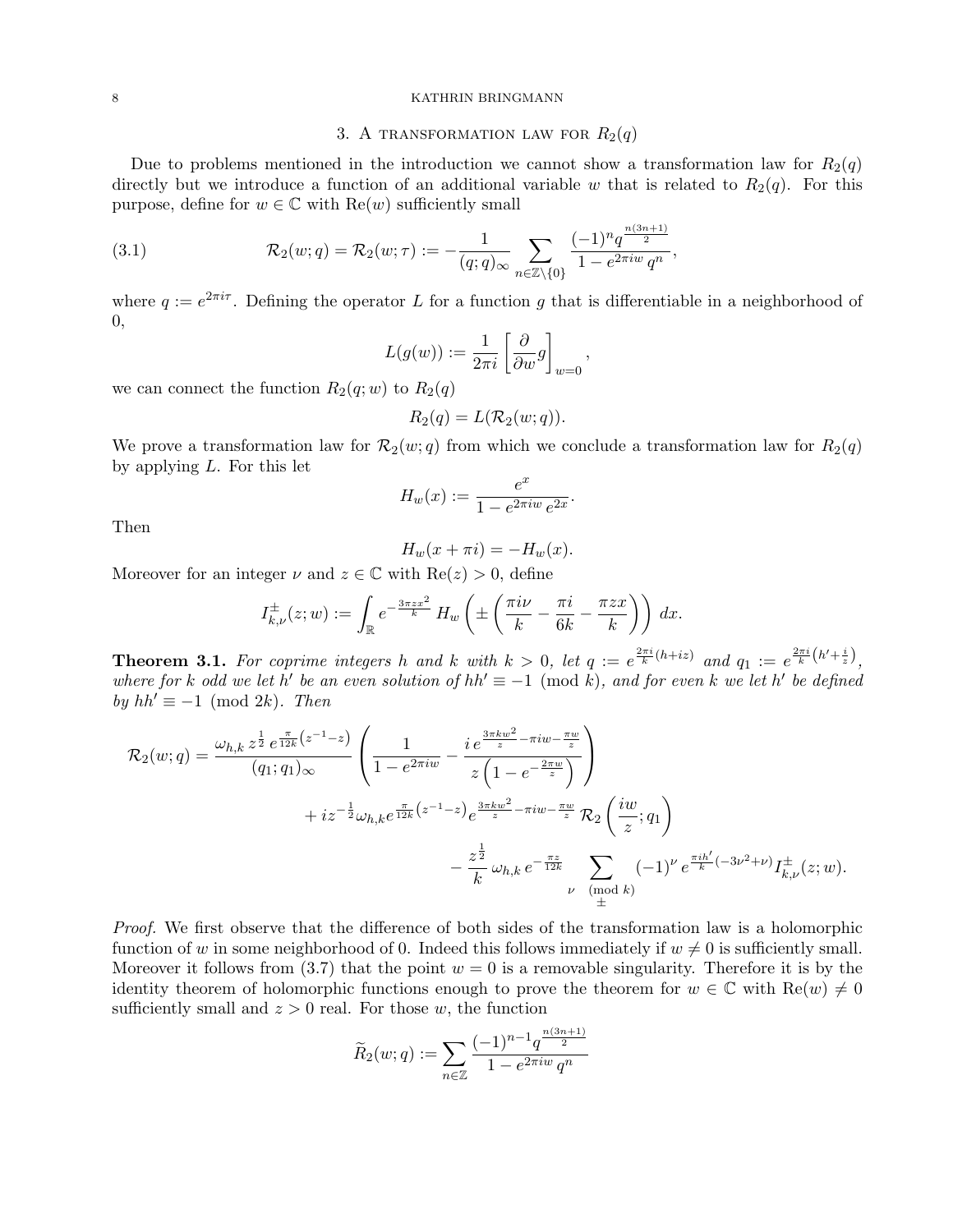## 3. A TRANSFORMATION LAW FOR  $R_2(q)$

Due to problems mentioned in the introduction we cannot show a transformation law for  $R_2(q)$ directly but we introduce a function of an additional variable w that is related to  $R_2(q)$ . For this purpose, define for  $w \in \mathbb{C}$  with  $\text{Re}(w)$  sufficiently small

(3.1) 
$$
\mathcal{R}_2(w;q) = \mathcal{R}_2(w;\tau) := -\frac{1}{(q;q)_{\infty}} \sum_{n \in \mathbb{Z} \setminus \{0\}} \frac{(-1)^n q^{\frac{n(3n+1)}{2}}}{1 - e^{2\pi i w} q^n},
$$

where  $q := e^{2\pi i \tau}$ . Defining the operator L for a function g that is differentiable in a neighborhood of 0,

$$
L(g(w)):=\frac{1}{2\pi i}\left[\frac{\partial}{\partial w}g\right]_{w=0}
$$

,

we can connect the function  $R_2(q; w)$  to  $R_2(q)$ 

$$
R_2(q) = L(\mathcal{R}_2(w; q)).
$$

We prove a transformation law for  $\mathcal{R}_2(w; q)$  from which we conclude a transformation law for  $R_2(q)$ by applying L. For this let

$$
H_w(x):=\frac{e^x}{1-e^{2\pi i w}e^{2x}}.
$$

Then

$$
H_w(x + \pi i) = -H_w(x).
$$

Moreover for an integer  $\nu$  and  $z \in \mathbb{C}$  with  $\text{Re}(z) > 0$ , define

$$
I_{k,\nu}^{\pm}(z;w) := \int_{\mathbb{R}} e^{-\frac{3\pi z x^2}{k}} H_w \left( \pm \left( \frac{\pi i \nu}{k} - \frac{\pi i}{6k} - \frac{\pi z x}{k} \right) \right) dx.
$$

**Theorem 3.1.** For coprime integers h and k with  $k > 0$ , let  $q := e^{\frac{2\pi i}{k}(h+iz)}$  and  $q_1 := e^{\frac{2\pi i}{k}(h'+\frac{i}{z})}$ , where for k odd we let h' be an even solution of  $hh' \equiv -1 \pmod{k}$ , and for even k we let h' be defined by  $hh' \equiv -1 \pmod{2k}$ . Then

$$
\mathcal{R}_2(w;q) = \frac{\omega_{h,k} z^{\frac{1}{2}} e^{\frac{\pi}{12k} (z^{-1} - z)}}{(q_1; q_1)_{\infty}} \left( \frac{1}{1 - e^{2\pi i w}} - \frac{i e^{\frac{3\pi k w^2}{z} - \pi i w - \frac{\pi w}{z}}}{z \left( 1 - e^{-\frac{2\pi w}{z}} \right)} \right) + iz^{-\frac{1}{2}} \omega_{h,k} e^{\frac{\pi}{12k} (z^{-1} - z)} e^{\frac{3\pi k w^2}{z} - \pi i w - \frac{\pi w}{z}} \mathcal{R}_2 \left( \frac{i w}{z}; q_1 \right) - \frac{z^{\frac{1}{2}}}{k} \omega_{h,k} e^{-\frac{\pi z}{12k}} \sum_{\substack{\nu \pmod{k} \\ \pm}} (-1)^{\nu} e^{\frac{\pi i h'}{k}} (-3\nu^2 + \nu) I_{k,\nu}^{\pm}(z; w).
$$

Proof. We first observe that the difference of both sides of the transformation law is a holomorphic function of w in some neighborhood of 0. Indeed this follows immediately if  $w \neq 0$  is sufficiently small. Moreover it follows from  $(3.7)$  that the point  $w = 0$  is a removable singularity. Therefore it is by the identity theorem of holomorphic functions enough to prove the theorem for  $w \in \mathbb{C}$  with  $\text{Re}(w) \neq 0$ sufficiently small and  $z > 0$  real. For those w, the function

$$
\widetilde{R}_2(w;q) := \sum_{n \in \mathbb{Z}} \frac{(-1)^{n-1} q^{\frac{n(3n+1)}{2}}}{1 - e^{2\pi i w} q^n}
$$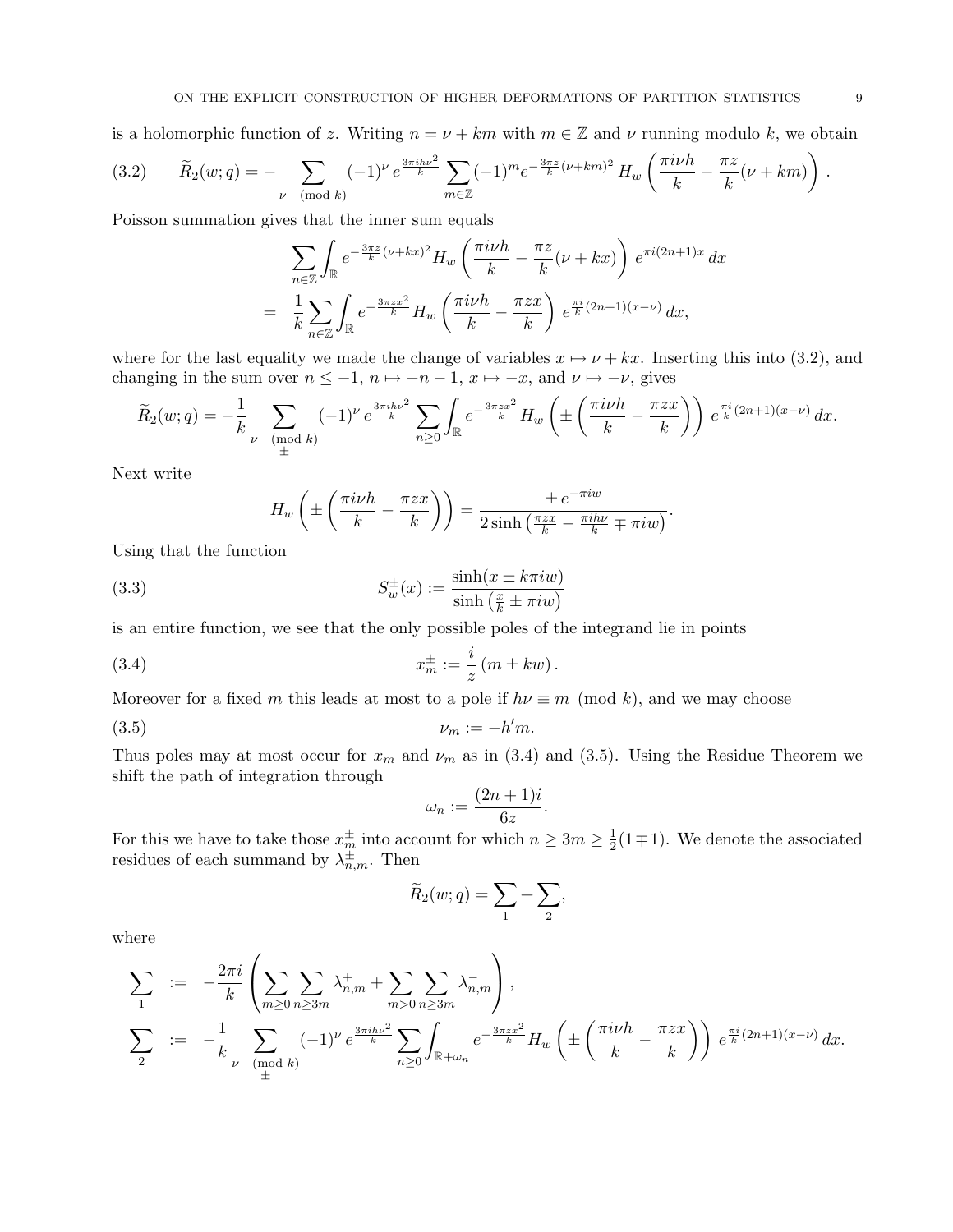is a holomorphic function of z. Writing  $n = \nu + km$  with  $m \in \mathbb{Z}$  and  $\nu$  running modulo k, we obtain

$$
(3.2) \qquad \widetilde{R}_2(w;q) = - \sum_{\nu \pmod{k}} (-1)^{\nu} e^{\frac{3\pi i h \nu^2}{k}} \sum_{m \in \mathbb{Z}} (-1)^m e^{-\frac{3\pi z}{k} (\nu + km)^2} H_w \left( \frac{\pi i \nu h}{k} - \frac{\pi z}{k} (\nu + km) \right).
$$

Poisson summation gives that the inner sum equals

$$
\sum_{n\in\mathbb{Z}}\int_{\mathbb{R}}e^{-\frac{3\pi z}{k}(\nu+kx)^2}H_w\left(\frac{\pi i\nu h}{k}-\frac{\pi z}{k}(\nu+kx)\right)e^{\pi i(2n+1)x}dx
$$

$$
=\frac{1}{k}\sum_{n\in\mathbb{Z}}\int_{\mathbb{R}}e^{-\frac{3\pi zx^2}{k}}H_w\left(\frac{\pi i\nu h}{k}-\frac{\pi zx}{k}\right)e^{\frac{\pi i}{k}(2n+1)(x-\nu)}dx,
$$

where for the last equality we made the change of variables  $x \mapsto \nu + kx$ . Inserting this into (3.2), and changing in the sum over  $n \leq -1$ ,  $n \mapsto -n-1$ ,  $x \mapsto -x$ , and  $\nu \mapsto -\nu$ , gives

$$
\widetilde{R}_2(w;q) = -\frac{1}{k} \sum_{\nu \pmod{k}} (-1)^{\nu} e^{\frac{3\pi i h \nu^2}{k}} \sum_{n \ge 0} \int_{\mathbb{R}} e^{-\frac{3\pi z x^2}{k}} H_w \left( \pm \left( \frac{\pi i \nu h}{k} - \frac{\pi z x}{k} \right) \right) e^{\frac{\pi i}{k} (2n+1)(x-\nu)} dx.
$$

Next write

$$
H_w\left(\pm\left(\frac{\pi i\nu h}{k} - \frac{\pi zx}{k}\right)\right) = \frac{\pm e^{-\pi i w}}{2\sinh\left(\frac{\pi zx}{k} - \frac{\pi i h\nu}{k} \mp \pi i w\right)}.
$$

Using that the function

(3.3) 
$$
S_w^{\pm}(x) := \frac{\sinh(x \pm k\pi i w)}{\sinh\left(\frac{x}{k} \pm \pi i w\right)}
$$

is an entire function, we see that the only possible poles of the integrand lie in points

(3.4) 
$$
x_m^{\pm} := \frac{i}{z} (m \pm kw).
$$

Moreover for a fixed m this leads at most to a pole if  $h\nu \equiv m \pmod{k}$ , and we may choose

$$
(3.5) \t\t\t\nu_m := -h'm.
$$

Thus poles may at most occur for  $x_m$  and  $\nu_m$  as in (3.4) and (3.5). Using the Residue Theorem we shift the path of integration through

$$
\omega_n := \frac{(2n+1)i}{6z}.
$$

For this we have to take those  $x_m^{\pm}$  into account for which  $n \geq 3m \geq \frac{1}{2}$  $\frac{1}{2}(1\mp 1)$ . We denote the associated residues of each summand by  $\lambda_{n,m}^{\pm}$ . Then

$$
\widetilde{R}_2(w;q) = \sum_1 + \sum_2,
$$

where

$$
\sum_{1} := -\frac{2\pi i}{k} \left( \sum_{m \geq 0} \sum_{n \geq 3m} \lambda_{n,m}^{+} + \sum_{m > 0} \sum_{n \geq 3m} \lambda_{n,m}^{-} \right),
$$
\n
$$
\sum_{2} := -\frac{1}{k} \sum_{\substack{\nu \pmod{k} \\ \pm \mu}} (-1)^{\nu} e^{\frac{3\pi i h \nu^{2}}{k}} \sum_{n \geq 0} \int_{\mathbb{R} + \omega_{n}} e^{-\frac{3\pi z x^{2}}{k}} H_{w} \left( \pm \left( \frac{\pi i \nu h}{k} - \frac{\pi z x}{k} \right) \right) e^{\frac{\pi i}{k} (2n+1)(x-\nu)} dx.
$$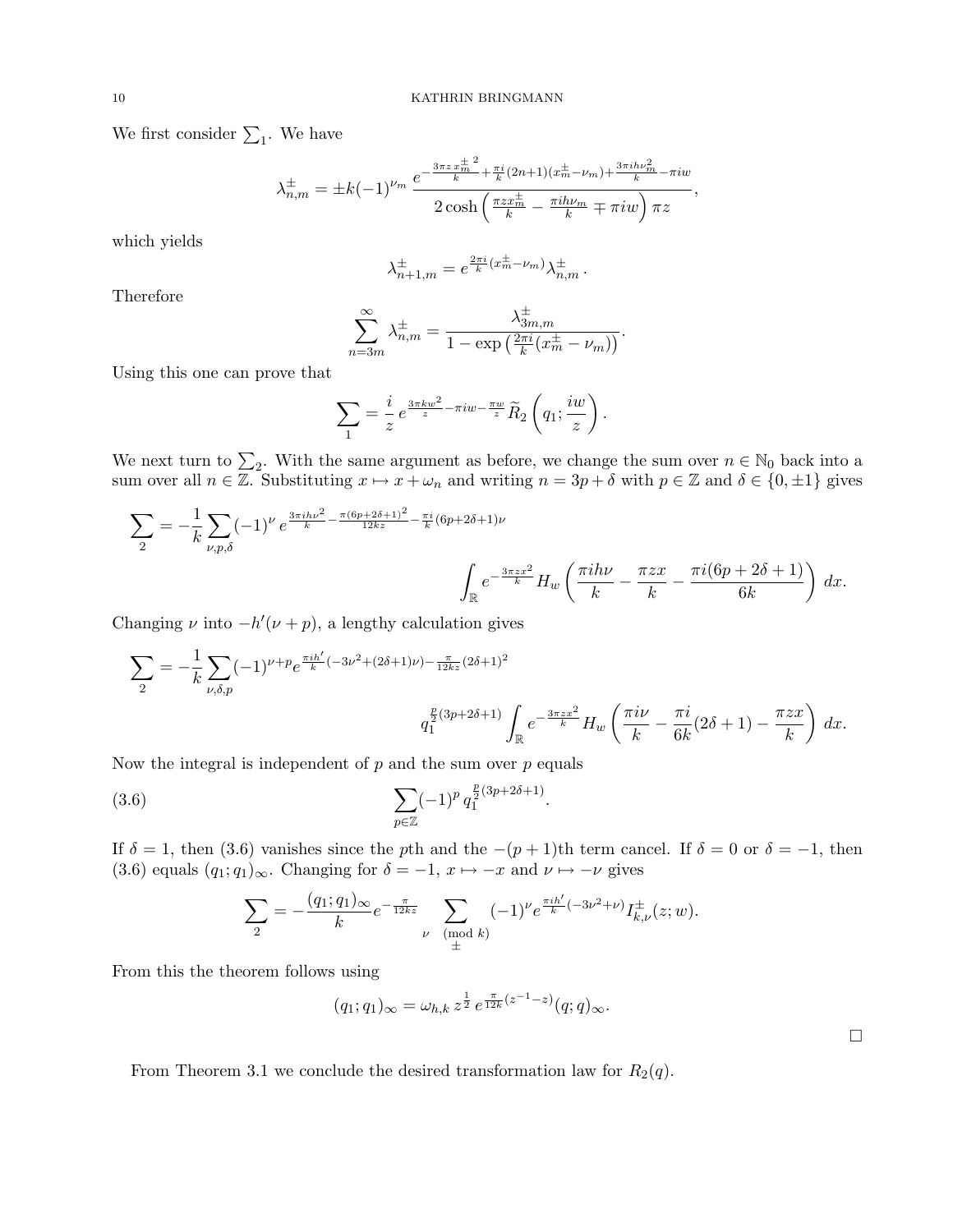We first consider  $\Sigma_1$ . We have

$$
\lambda_{n,m}^{\pm} = \pm k(-1)^{\nu_m} \frac{e^{-\frac{3\pi z \frac{+}{m}^2}{k} + \frac{\pi i}{k}(2n+1)(x_m^{\pm} - \nu_m) + \frac{3\pi i h \nu_m^2}{k} - \pi i w}}{2 \cosh\left(\frac{\pi z x_m^{\pm}}{k} - \frac{\pi i h \nu_m}{k} \mp \pi i w\right) \pi z},
$$

which yields

$$
\lambda_{n+1,m}^{\pm} = e^{\frac{2\pi i}{k}(x_m^{\pm} - \nu_m)} \lambda_{n,m}^{\pm}.
$$

Therefore

$$
\sum_{n=3m}^{\infty} \lambda_{n,m}^{\pm} = \frac{\lambda_{3m,m}^{\pm}}{1 - \exp\left(\frac{2\pi i}{k}(x_m^{\pm} - \nu_m)\right)}.
$$

±

Using this one can prove that

$$
\sum_{1} = \frac{i}{z} e^{\frac{3\pi kw^2}{z} - \pi iw - \frac{\pi w}{z}} \widetilde{R}_2 \left( q_1; \frac{iw}{z} \right).
$$

We next turn to  $\sum_2$ . With the same argument as before, we change the sum over  $n \in \mathbb{N}_0$  back into a sum over all  $n \in \mathbb{Z}$ . Substituting  $x \mapsto x + \omega_n$  and writing  $n = 3p + \delta$  with  $p \in \mathbb{Z}$  and  $\delta \in \{0, \pm 1\}$  gives

$$
\sum_{2} = -\frac{1}{k} \sum_{\nu,p,\delta} (-1)^{\nu} e^{\frac{3\pi i h \nu^{2}}{k} - \frac{\pi (6p + 2\delta + 1)^{2}}{12kz} - \frac{\pi i}{k} (6p + 2\delta + 1) \nu} \int_{\mathbb{R}} e^{-\frac{3\pi z x^{2}}{k}} H_{w} \left( \frac{\pi i h \nu}{k} - \frac{\pi z x}{k} - \frac{\pi i (6p + 2\delta + 1)}{6k} \right) dx.
$$

Changing  $\nu$  into  $-h'(\nu + p)$ , a lengthy calculation gives

$$
\sum_{2} = -\frac{1}{k} \sum_{\nu,\delta,p} (-1)^{\nu+p} e^{\frac{\pi i h'}{k}(-3\nu^2 + (2\delta+1)\nu) - \frac{\pi}{12kz}(2\delta+1)^2}
$$

$$
q_1^{\frac{p}{2}(3p+2\delta+1)} \int_{\mathbb{R}} e^{-\frac{3\pi z x^2}{k}} H_w \left(\frac{\pi i\nu}{k} - \frac{\pi i}{6k}(2\delta+1) - \frac{\pi z x}{k}\right) dx.
$$

Now the integral is independent of  $p$  and the sum over  $p$  equals

(3.6) 
$$
\sum_{p \in \mathbb{Z}} (-1)^p q_1^{\frac{p}{2}(3p+2\delta+1)}.
$$

If  $\delta = 1$ , then (3.6) vanishes since the pth and the  $-(p+1)$ th term cancel. If  $\delta = 0$  or  $\delta = -1$ , then (3.6) equals  $(q_1; q_1)_{\infty}$ . Changing for  $\delta = -1$ ,  $x \mapsto -x$  and  $\nu \mapsto -\nu$  gives

$$
\sum_{2} = -\frac{(q_1; q_1)_{\infty}}{k} e^{-\frac{\pi}{12kz}} \sum_{\substack{\nu \pmod{k} \\ \pm}} (-1)^{\nu} e^{\frac{\pi i h'}{k}(-3\nu^2 + \nu)} I_{k,\nu}^{\pm}(z; w).
$$

From this the theorem follows using

$$
(q_1;q_1)_{\infty} = \omega_{h,k} z^{\frac{1}{2}} e^{\frac{\pi}{12k}(z^{-1}-z)} (q;q)_{\infty}.
$$

From Theorem 3.1 we conclude the desired transformation law for  $R_2(q)$ .

 $\Box$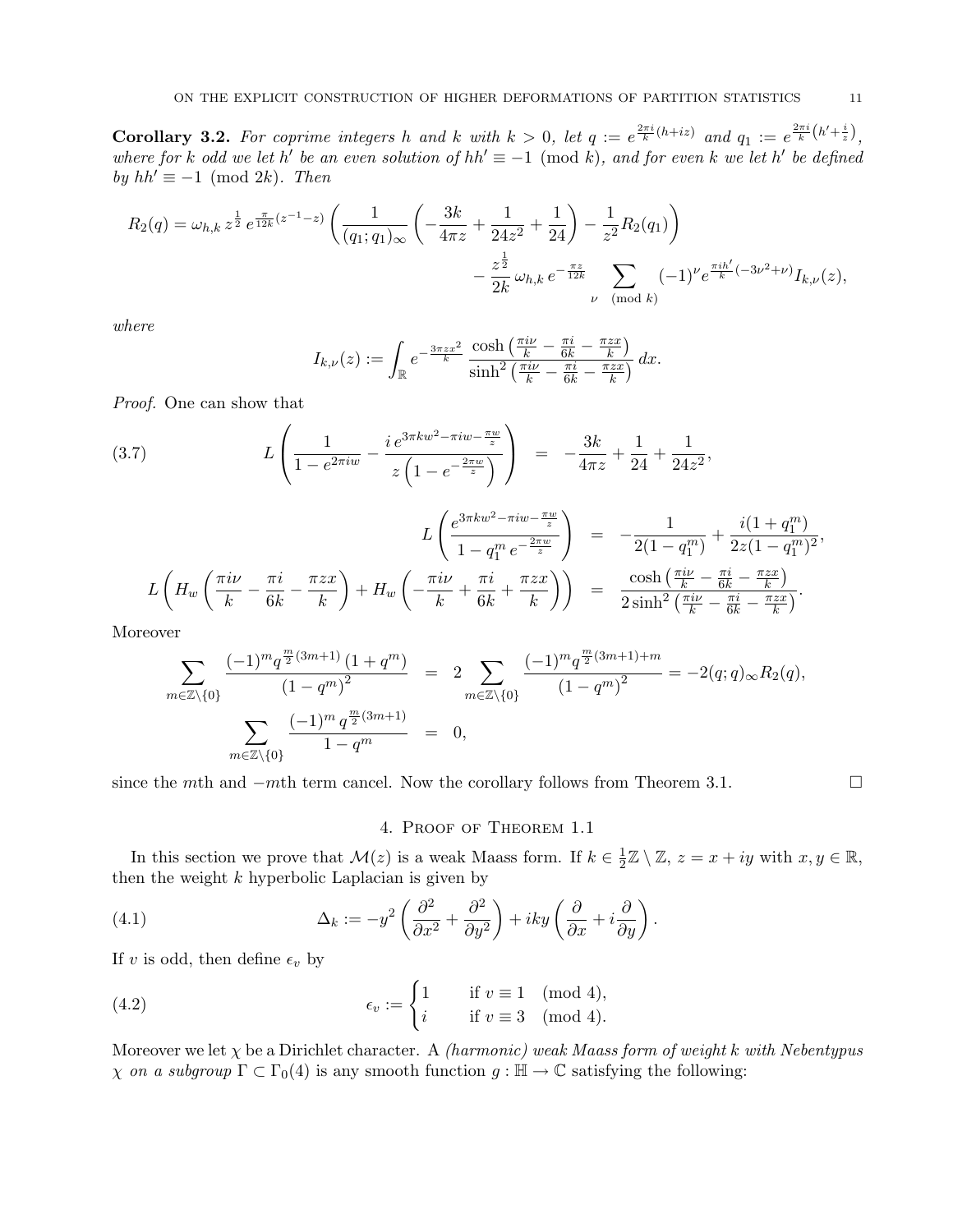**Corollary 3.2.** For coprime integers h and k with  $k > 0$ , let  $q := e^{\frac{2\pi i}{k}(h+iz)}$  and  $q_1 := e^{\frac{2\pi i}{k}(h'+\frac{i}{z})}$ , where for k odd we let h' be an even solution of  $hh' \equiv -1 \pmod{k}$ , and for even k we let h' be defined by  $hh' \equiv -1 \pmod{2k}$ . Then

$$
R_2(q) = \omega_{h,k} z^{\frac{1}{2}} e^{\frac{\pi}{12k}(z^{-1}-z)} \left( \frac{1}{(q_1;q_1)_{\infty}} \left( -\frac{3k}{4\pi z} + \frac{1}{24z^2} + \frac{1}{24} \right) - \frac{1}{z^2} R_2(q_1) \right)
$$

$$
- \frac{z^{\frac{1}{2}}}{2k} \omega_{h,k} e^{-\frac{\pi z}{12k}} \sum_{\nu \pmod{k}} (-1)^{\nu} e^{\frac{\pi i h'}{k}(-3\nu^2 + \nu)} I_{k,\nu}(z),
$$

where

$$
I_{k,\nu}(z) := \int_{\mathbb{R}} e^{-\frac{3\pi zx^2}{k}} \frac{\cosh\left(\frac{\pi i\nu}{k} - \frac{\pi i}{6k} - \frac{\pi zx}{k}\right)}{\sinh^2\left(\frac{\pi i\nu}{k} - \frac{\pi i}{6k} - \frac{\pi zx}{k}\right)} dx.
$$

Proof. One can show that

(3.7) 
$$
L\left(\frac{1}{1-e^{2\pi i w}}-\frac{ie^{3\pi k w^2-\pi i w-\frac{\pi w}{z}}}{z\left(1-e^{-\frac{2\pi w}{z}}\right)}\right) = -\frac{3k}{4\pi z}+\frac{1}{24}+\frac{1}{24z^2},
$$

$$
L\left(\frac{e^{3\pi kw^2 - \pi iw - \frac{\pi w}{z}}}{1 - q_1^m e^{-\frac{2\pi w}{z}}}\right) = -\frac{1}{2(1 - q_1^m)} + \frac{i(1 + q_1^m)}{2z(1 - q_1^m)^2},
$$
  

$$
L\left(H_w\left(\frac{\pi i\nu}{k} - \frac{\pi i}{6k} - \frac{\pi zx}{k}\right) + H_w\left(-\frac{\pi i\nu}{k} + \frac{\pi i}{6k} + \frac{\pi zx}{k}\right)\right) = \frac{\cosh\left(\frac{\pi i\nu}{k} - \frac{\pi i}{6k} - \frac{\pi zx}{k}\right)}{2\sinh^2\left(\frac{\pi i\nu}{k} - \frac{\pi i}{6k} - \frac{\pi zx}{k}\right)}.
$$

Moreover

$$
\sum_{m\in\mathbb{Z}\backslash\{0\}}\frac{(-1)^{m}q^{\frac{m}{2}(3m+1)}(1+q^{m})}{(1-q^{m})^{2}} = 2\sum_{m\in\mathbb{Z}\backslash\{0\}}\frac{(-1)^{m}q^{\frac{m}{2}(3m+1)+m}}{(1-q^{m})^{2}} = -2(q;q)_{\infty}R_{2}(q),
$$
\n
$$
\sum_{m\in\mathbb{Z}\backslash\{0\}}\frac{(-1)^{m}q^{\frac{m}{2}(3m+1)}}{1-q^{m}} = 0,
$$

since the mth and  $-m$ th term cancel. Now the corollary follows from Theorem 3.1.

## 4. Proof of Theorem 1.1

In this section we prove that  $\mathcal{M}(z)$  is a weak Maass form. If  $k \in \frac{1}{2}$  $\frac{1}{2}\mathbb{Z}\setminus\mathbb{Z}, z=x+iy$  with  $x, y \in \mathbb{R}$ , then the weight  $k$  hyperbolic Laplacian is given by

(4.1) 
$$
\Delta_k := -y^2 \left( \frac{\partial^2}{\partial x^2} + \frac{\partial^2}{\partial y^2} \right) + iky \left( \frac{\partial}{\partial x} + i \frac{\partial}{\partial y} \right).
$$

If v is odd, then define  $\epsilon_v$  by

(4.2) 
$$
\epsilon_v := \begin{cases} 1 & \text{if } v \equiv 1 \pmod{4}, \\ i & \text{if } v \equiv 3 \pmod{4}. \end{cases}
$$

Moreover we let  $\chi$  be a Dirichlet character. A *(harmonic)* weak Maass form of weight k with Nebentypus  $\chi$  on a subgroup  $\Gamma \subset \Gamma_0(4)$  is any smooth function  $g : \mathbb{H} \to \mathbb{C}$  satisfying the following: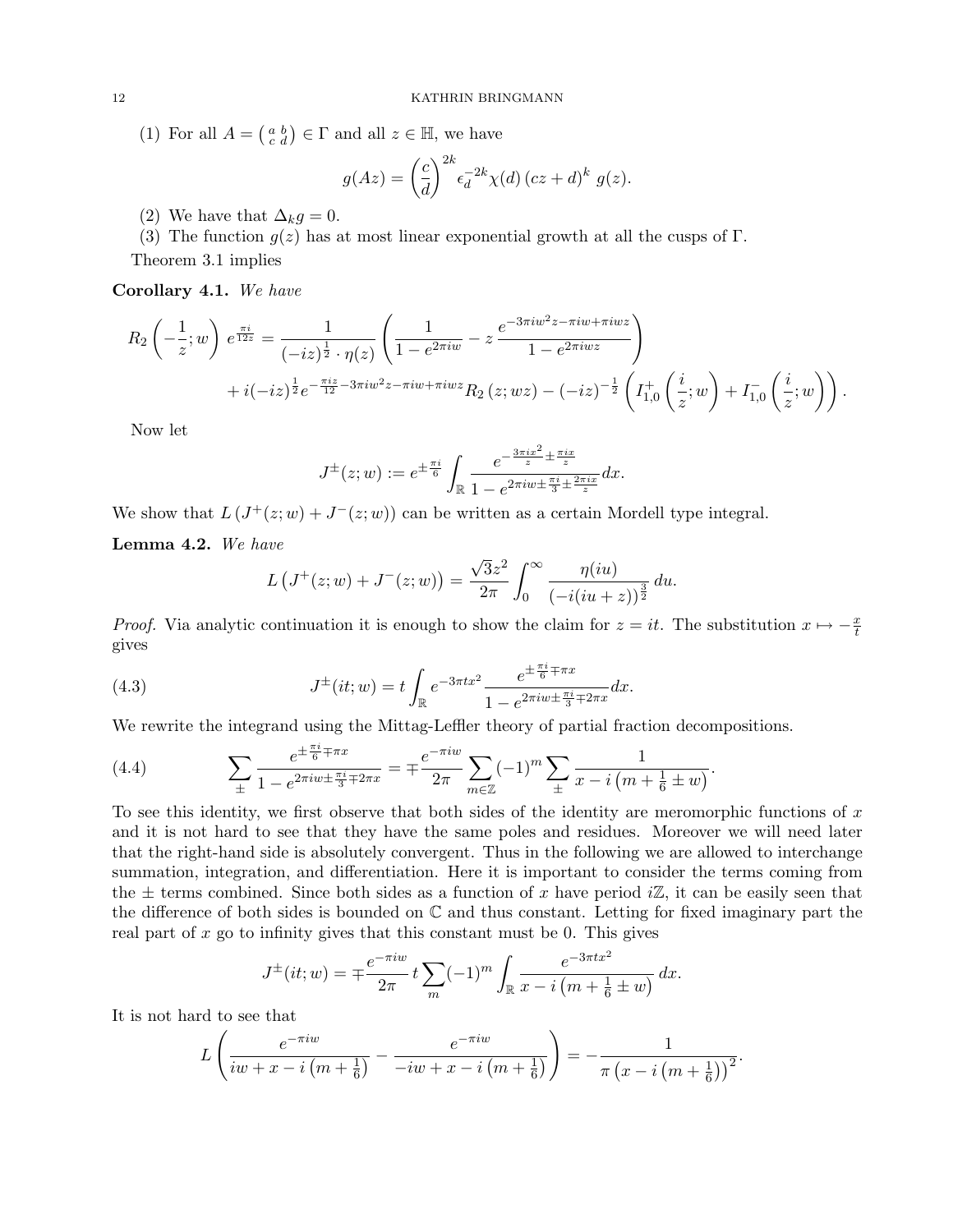(1) For all  $A = \begin{pmatrix} a & b \\ c & d \end{pmatrix} \in \Gamma$  and all  $z \in \mathbb{H}$ , we have

$$
g(Az) = \left(\frac{c}{d}\right)^{2k} \epsilon_d^{-2k} \chi(d) \left( cz + d \right)^k g(z).
$$

(2) We have that  $\Delta_k q = 0$ .

(3) The function  $g(z)$  has at most linear exponential growth at all the cusps of Γ. Theorem 3.1 implies

Corollary 4.1. We have

$$
R_2\left(-\frac{1}{z}; w\right) e^{\frac{\pi i}{12z}} = \frac{1}{(-iz)^{\frac{1}{2}} \cdot \eta(z)} \left(\frac{1}{1 - e^{2\pi i w}} - z \frac{e^{-3\pi i w^2 z - \pi i w + \pi i w z}}{1 - e^{2\pi i w z}}\right) + i(-iz)^{\frac{1}{2}} e^{-\frac{\pi i z}{12} - 3\pi i w^2 z - \pi i w + \pi i w z} R_2(z; wz) - (-iz)^{-\frac{1}{2}} \left(I_{1,0}^+\left(\frac{i}{z}; w\right) + I_{1,0}^-\left(\frac{i}{z}; w\right)\right).
$$

Now let

$$
J^{\pm}(z; w) := e^{\pm \frac{\pi i}{6}} \int_{\mathbb{R}} \frac{e^{-\frac{3\pi i x^2}{z} \pm \frac{\pi i x}{z}}}{1 - e^{2\pi i w \pm \frac{\pi i}{3} \pm \frac{2\pi i x}{z}}} dx.
$$

We show that  $L(J^+(z; w) + J^-(z; w))$  can be written as a certain Mordell type integral.

Lemma 4.2. We have

$$
L\left(J^+(z;w)+J^-(z;w)\right)=\frac{\sqrt{3}z^2}{2\pi}\int_0^\infty \frac{\eta(iu)}{\left(-i(iu+z)\right)^{\frac{3}{2}}}du.
$$

*Proof.* Via analytic continuation it is enough to show the claim for  $z = it$ . The substitution  $x \mapsto -\frac{x}{t}$ gives

(4.3) 
$$
J^{\pm}(it; w) = t \int_{\mathbb{R}} e^{-3\pi tx^2} \frac{e^{\pm \frac{\pi i}{6} \mp \pi x}}{1 - e^{2\pi i w \pm \frac{\pi i}{3} \mp 2\pi x}} dx.
$$

We rewrite the integrand using the Mittag-Leffler theory of partial fraction decompositions.

(4.4) 
$$
\sum_{\pm} \frac{e^{\pm \frac{\pi i}{6} \mp \pi x}}{1 - e^{2\pi i w \pm \frac{\pi i}{3} \mp 2\pi x}} = \mp \frac{e^{-\pi i w}}{2\pi} \sum_{m \in \mathbb{Z}} (-1)^m \sum_{\pm} \frac{1}{x - i \left(m + \frac{1}{6} \pm w\right)}.
$$

To see this identity, we first observe that both sides of the identity are meromorphic functions of  $x$ and it is not hard to see that they have the same poles and residues. Moreover we will need later that the right-hand side is absolutely convergent. Thus in the following we are allowed to interchange summation, integration, and differentiation. Here it is important to consider the terms coming from the  $\pm$  terms combined. Since both sides as a function of x have period iZ, it can be easily seen that the difference of both sides is bounded on C and thus constant. Letting for fixed imaginary part the real part of  $x$  go to infinity gives that this constant must be 0. This gives

$$
J^{\pm}(it; w) = \mp \frac{e^{-\pi i w}}{2\pi} t \sum_{m} (-1)^m \int_{\mathbb{R}} \frac{e^{-3\pi t x^2}}{x - i \left(m + \frac{1}{6} \pm w\right)} dx.
$$

It is not hard to see that

$$
L\left(\frac{e^{-\pi iw}}{iw+x-i\left(m+\frac{1}{6}\right)}-\frac{e^{-\pi iw}}{-iw+x-i\left(m+\frac{1}{6}\right)}\right)=-\frac{1}{\pi\left(x-i\left(m+\frac{1}{6}\right)\right)^2}.
$$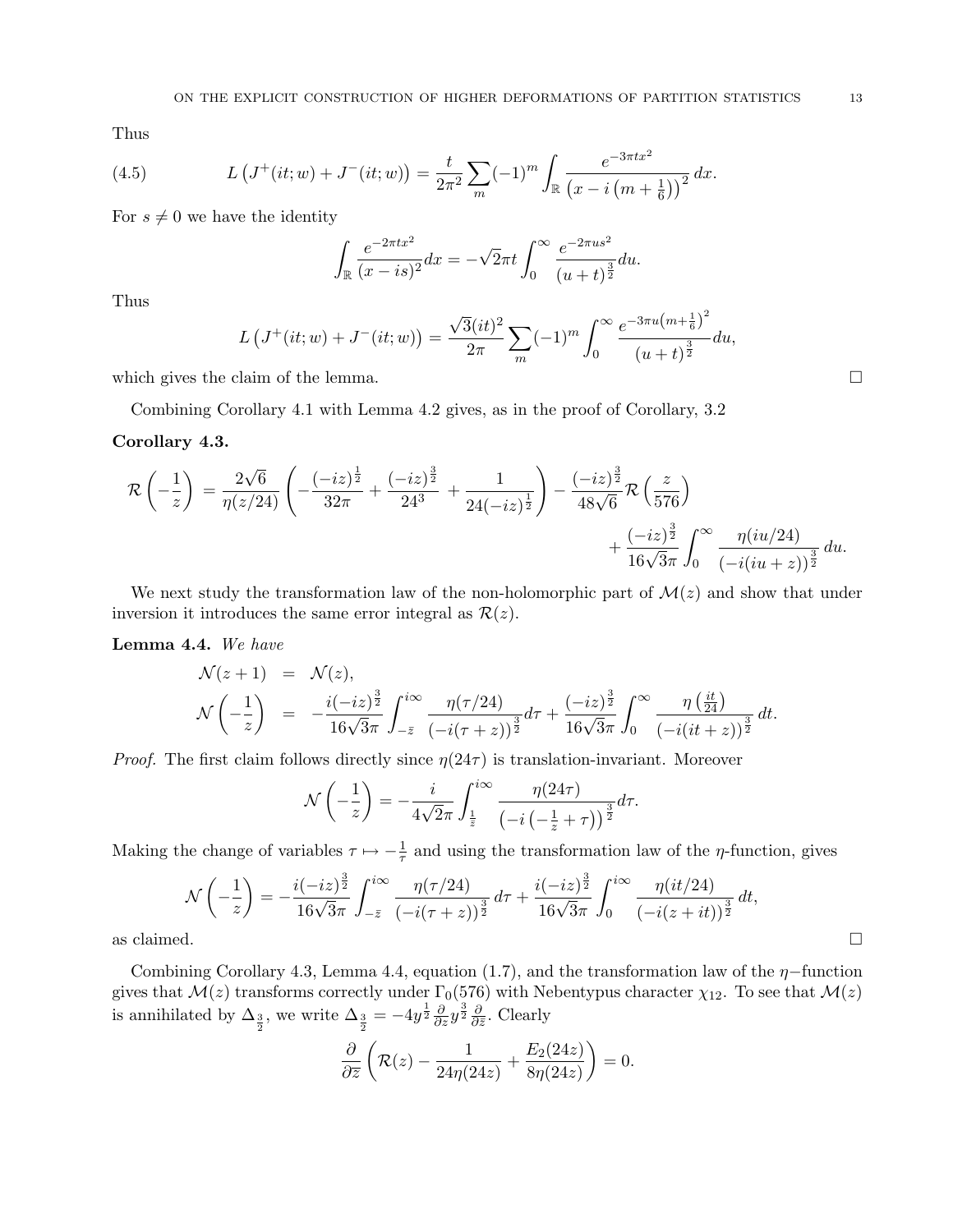Thus

(4.5) 
$$
L\left(J^+(it; w) + J^-(it; w)\right) = \frac{t}{2\pi^2} \sum_m (-1)^m \int_{\mathbb{R}} \frac{e^{-3\pi t x^2}}{\left(x - i\left(m + \frac{1}{6}\right)\right)^2} dx.
$$

For  $s \neq 0$  we have the identity

$$
\int_{\mathbb{R}} \frac{e^{-2\pi tx^2}}{(x-is)^2} dx = -\sqrt{2\pi}t \int_0^\infty \frac{e^{-2\pi us^2}}{(u+t)^{\frac{3}{2}}} du.
$$

Thus

$$
L\left(J^+(it;w) + J^-(it;w)\right) = \frac{\sqrt{3}(it)^2}{2\pi} \sum_m (-1)^m \int_0^\infty \frac{e^{-3\pi u \left(m + \frac{1}{6}\right)^2}}{\left(u + t\right)^{\frac{3}{2}}} du,
$$

which gives the claim of the lemma.  $\Box$ 

Combining Corollary 4.1 with Lemma 4.2 gives, as in the proof of Corollary, 3.2

## Corollary 4.3.

$$
\mathcal{R}\left(-\frac{1}{z}\right) = \frac{2\sqrt{6}}{\eta(z/24)} \left( -\frac{(-iz)^{\frac{1}{2}}}{32\pi} + \frac{(-iz)^{\frac{3}{2}}}{24^3} + \frac{1}{24(-iz)^{\frac{1}{2}}} \right) - \frac{(-iz)^{\frac{3}{2}}}{48\sqrt{6}} \mathcal{R}\left(\frac{z}{576}\right) + \frac{(-iz)^{\frac{3}{2}}}{16\sqrt{3}\pi} \int_0^\infty \frac{\eta(iu/24)}{(-i(iu+z))^{\frac{3}{2}}} du.
$$

We next study the transformation law of the non-holomorphic part of  $\mathcal{M}(z)$  and show that under inversion it introduces the same error integral as  $\mathcal{R}(z)$ .

## Lemma 4.4. We have

$$
\mathcal{N}(z+1) = \mathcal{N}(z), \n\mathcal{N}\left(-\frac{1}{z}\right) = -\frac{i(-iz)^{\frac{3}{2}}}{16\sqrt{3}\pi} \int_{-\bar{z}}^{i\infty} \frac{\eta(\tau/24)}{(-i(\tau+z))^{\frac{3}{2}}} d\tau + \frac{(-iz)^{\frac{3}{2}}}{16\sqrt{3}\pi} \int_{0}^{\infty} \frac{\eta(\frac{it}{24})}{(-i(it+z))^{\frac{3}{2}}} dt.
$$

*Proof.* The first claim follows directly since  $\eta(24\tau)$  is translation-invariant. Moreover

$$
\mathcal{N}\left(-\frac{1}{z}\right) = -\frac{i}{4\sqrt{2}\pi} \int_{\frac{1}{\overline{z}}}^{i\infty} \frac{\eta(24\tau)}{\left(-i\left(-\frac{1}{z}+\tau\right)\right)^{\frac{3}{2}}} d\tau.
$$

Making the change of variables  $\tau \mapsto -\frac{1}{\tau}$  and using the transformation law of the  $\eta$ -function, gives

$$
\mathcal{N}\left(-\frac{1}{z}\right) = -\frac{i(-iz)^{\frac{3}{2}}}{16\sqrt{3}\pi} \int_{-\bar{z}}^{i\infty} \frac{\eta(\tau/24)}{(-i(\tau+z))^{\frac{3}{2}}} d\tau + \frac{i(-iz)^{\frac{3}{2}}}{16\sqrt{3}\pi} \int_{0}^{i\infty} \frac{\eta(it/24)}{(-i(z+it))^{\frac{3}{2}}} dt,
$$
as claimed.

Combining Corollary 4.3, Lemma 4.4, equation (1.7), and the transformation law of the  $\eta$ -function gives that  $\mathcal{M}(z)$  transforms correctly under  $\Gamma_0(576)$  with Nebentypus character  $\chi_{12}$ . To see that  $\mathcal{M}(z)$ is annihilated by  $\Delta_{\frac{3}{2}}$ , we write  $\Delta_{\frac{3}{2}} = -4y^{\frac{1}{2}} \frac{\partial}{\partial z} y^{\frac{3}{2}} \frac{\partial}{\partial \overline{z}}$  $\frac{\partial}{\partial \bar{z}}$ . Clearly

$$
\frac{\partial}{\partial \overline{z}}\left(\mathcal{R}(z) - \frac{1}{24\eta(24z)} + \frac{E_2(24z)}{8\eta(24z)}\right) = 0.
$$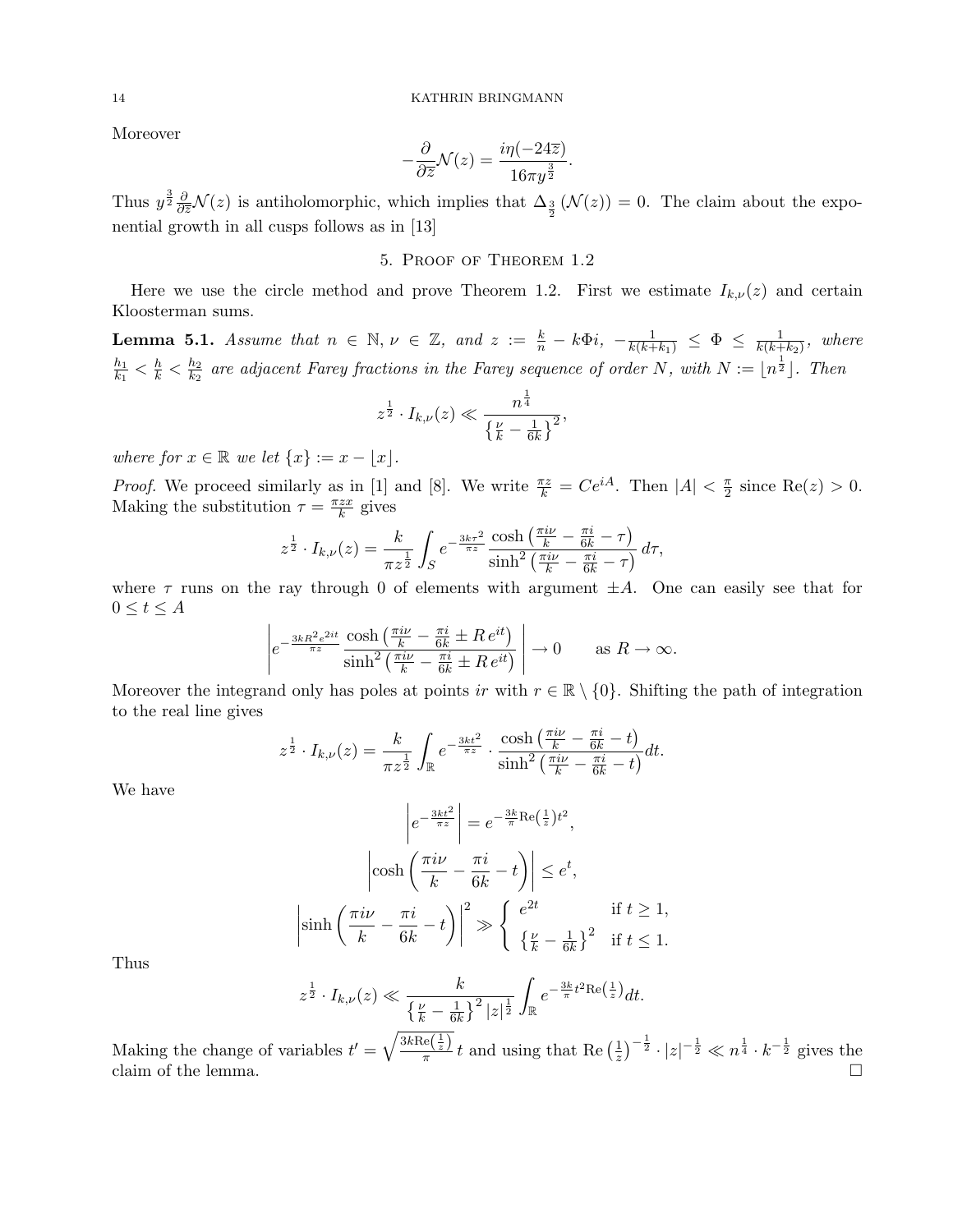Moreover

$$
-\frac{\partial}{\partial \overline{z}}\mathcal{N}(z) = \frac{i\eta(-24\overline{z})}{16\pi y^{\frac{3}{2}}}.
$$

Thus  $y^{\frac{3}{2}}\frac{\partial}{\partial \overline{z}}\mathcal{N}(z)$  is antiholomorphic, which implies that  $\Delta_{\frac{3}{2}}(\mathcal{N}(z))=0$ . The claim about the exponential growth in all cusps follows as in [13]

# 5. Proof of Theorem 1.2

Here we use the circle method and prove Theorem 1.2. First we estimate  $I_{k,\nu}(z)$  and certain Kloosterman sums.

**Lemma 5.1.** Assume that  $n \in \mathbb{N}$ ,  $\nu \in \mathbb{Z}$ , and  $z := \frac{k}{n} - k\Phi i$ ,  $-\frac{1}{k(k+k_1)} \leq \Phi \leq \frac{1}{k(k+1)}$  $\frac{1}{k(k+k_2)}$ , where  $h_1$  $\frac{h_1}{k_1} < \frac{h}{k} < \frac{h_2}{k_2}$  $\frac{h_2}{k_2}$  are adjacent Farey fractions in the Farey sequence of order N, with  $N := \lfloor n^{\frac{1}{2}} \rfloor$ . Then

$$
z^{\frac{1}{2}} \cdot I_{k,\nu}(z) \ll \frac{n^{\frac{1}{4}}}{\left\{\frac{\nu}{k} - \frac{1}{6k}\right\}^2},
$$

where for  $x \in \mathbb{R}$  we let  $\{x\} := x - |x|$ .

*Proof.* We proceed similarly as in [1] and [8]. We write  $\frac{\pi z}{k} = Ce^{iA}$ . Then  $|A| < \frac{\pi}{2}$  $\frac{\pi}{2}$  since Re(z) > 0. Making the substitution  $\tau = \frac{\pi z x}{k}$  $\frac{zx}{k}$  gives

$$
z^{\frac{1}{2}} \cdot I_{k,\nu}(z) = \frac{k}{\pi z^{\frac{1}{2}}} \int_{S} e^{-\frac{3k\tau^2}{\pi z}} \frac{\cosh\left(\frac{\pi i\nu}{k} - \frac{\pi i}{6k} - \tau\right)}{\sinh^2\left(\frac{\pi i\nu}{k} - \frac{\pi i}{6k} - \tau\right)} d\tau,
$$

where  $\tau$  runs on the ray through 0 of elements with argument  $\pm A$ . One can easily see that for  $0 \leq t \leq A$ 

$$
\left| e^{-\frac{3kR^2e^{2it}}{\pi z}} \frac{\cosh\left(\frac{\pi i\nu}{k} - \frac{\pi i}{6k} \pm Re^{it}\right)}{\sinh^2\left(\frac{\pi i\nu}{k} - \frac{\pi i}{6k} \pm Re^{it}\right)} \right| \to 0 \quad \text{as } R \to \infty.
$$

Moreover the integrand only has poles at points ir with  $r \in \mathbb{R} \setminus \{0\}$ . Shifting the path of integration to the real line gives

$$
z^{\frac{1}{2}} \cdot I_{k,\nu}(z) = \frac{k}{\pi z^{\frac{1}{2}}} \int_{\mathbb{R}} e^{-\frac{3kt^2}{\pi z}} \cdot \frac{\cosh\left(\frac{\pi i\nu}{k} - \frac{\pi i}{6k} - t\right)}{\sinh^2\left(\frac{\pi i\nu}{k} - \frac{\pi i}{6k} - t\right)} dt.
$$

We have

$$
\left|e^{-\frac{3kt^2}{\pi z}}\right| = e^{-\frac{3k}{\pi}\text{Re}\left(\frac{1}{z}\right)t^2},
$$

$$
\left|\cosh\left(\frac{\pi i\nu}{k} - \frac{\pi i}{6k} - t\right)\right| \le e^t,
$$

$$
\left|\sinh\left(\frac{\pi i\nu}{k} - \frac{\pi i}{6k} - t\right)\right|^2 \gg \begin{cases} e^{2t} & \text{if } t \ge 1, \\ \left\{\frac{\nu}{k} - \frac{1}{6k}\right\}^2 & \text{if } t \le 1. \end{cases}
$$

Thus

$$
z^{\frac{1}{2}} \cdot I_{k,\nu}(z) \ll \frac{k}{\left\{\frac{\nu}{k} - \frac{1}{6k}\right\}^2 |z|^{\frac{1}{2}}} \int_{\mathbb{R}} e^{-\frac{3k}{\pi}t^2 \text{Re}\left(\frac{1}{z}\right)} dt.
$$

Making the change of variables  $t' = \sqrt{\frac{3k\text{Re}(\frac{1}{z})}{\pi}}$  $\frac{e(\frac{z}{z})}{\pi}t$  and using that Re  $\left(\frac{1}{z}\right)$  $(\frac{1}{z})^{-\frac{1}{2}} \cdot |z|^{-\frac{1}{2}} \ll n^{\frac{1}{4}} \cdot k^{-\frac{1}{2}}$  gives the claim of the lemma.  $\Box$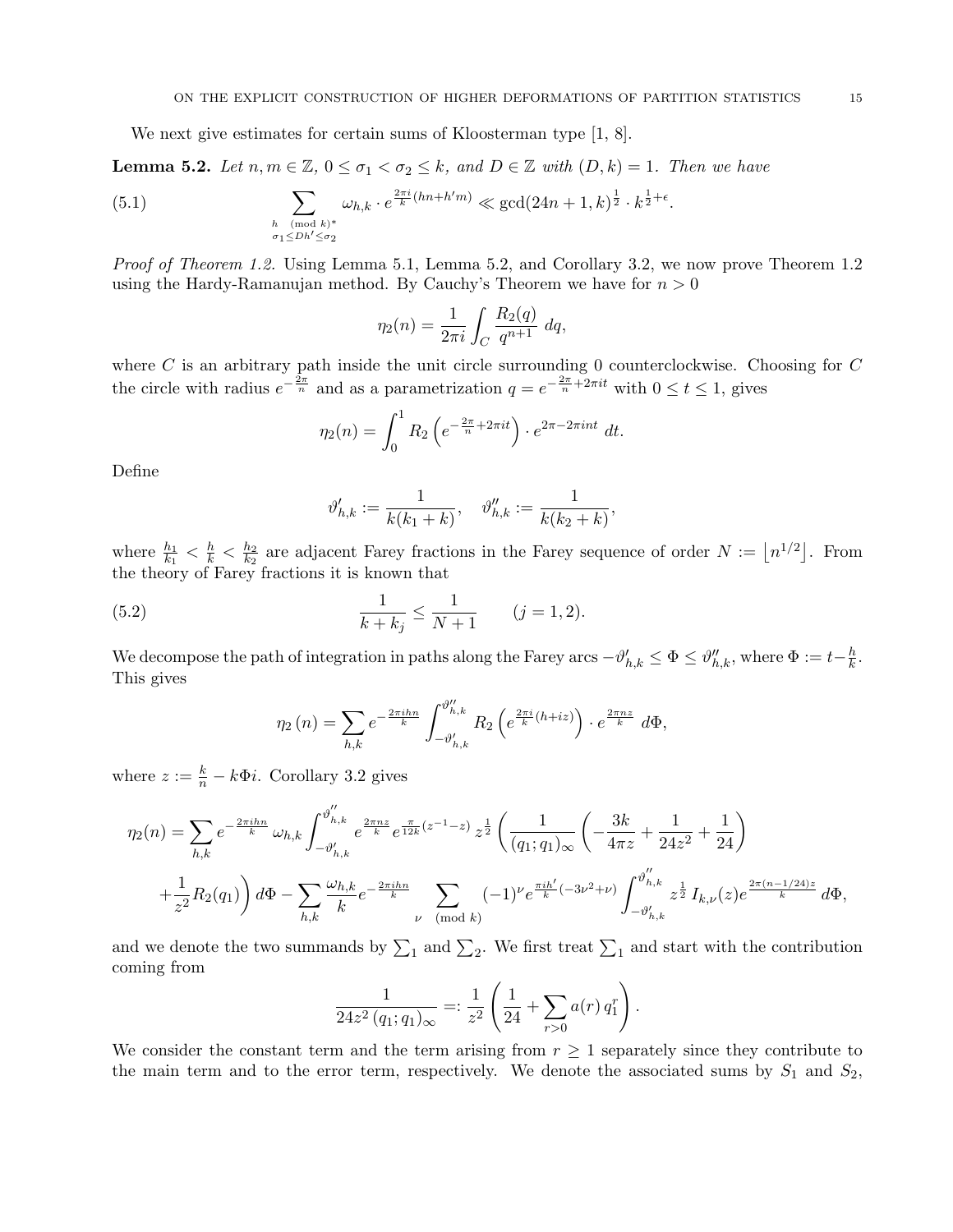We next give estimates for certain sums of Kloosterman type [1, 8].

**Lemma 5.2.** Let  $n, m \in \mathbb{Z}$ ,  $0 \leq \sigma_1 < \sigma_2 \leq k$ , and  $D \in \mathbb{Z}$  with  $(D, k) = 1$ . Then we have

(5.1) 
$$
\sum_{\substack{h \pmod{k}^* \\ \sigma_1 \leq Dh' \leq \sigma_2}} \omega_{h,k} \cdot e^{\frac{2\pi i}{k}(hn + h'm)} \ll \gcd(24n + 1, k)^{\frac{1}{2}} \cdot k^{\frac{1}{2} + \epsilon}.
$$

Proof of Theorem 1.2. Using Lemma 5.1, Lemma 5.2, and Corollary 3.2, we now prove Theorem 1.2 using the Hardy-Ramanujan method. By Cauchy's Theorem we have for  $n > 0$ 

$$
\eta_2(n) = \frac{1}{2\pi i} \int_C \frac{R_2(q)}{q^{n+1}} dq,
$$

where  $C$  is an arbitrary path inside the unit circle surrounding 0 counterclockwise. Choosing for  $C$ the circle with radius  $e^{-\frac{2\pi}{n}}$  and as a parametrization  $q = e^{-\frac{2\pi}{n} + 2\pi i t}$  with  $0 \le t \le 1$ , gives

$$
\eta_2(n) = \int_0^1 R_2 \left( e^{-\frac{2\pi}{n} + 2\pi it} \right) \cdot e^{2\pi - 2\pi int} dt.
$$

Define

$$
\vartheta_{h,k}':=\frac{1}{k(k_1+k)},\quad \vartheta_{h,k}'':=\frac{1}{k(k_2+k)},
$$

where  $\frac{h_1}{k_1} < \frac{h}{k} < \frac{h_2}{k_2}$  $\frac{h_2}{k_2}$  are adjacent Farey fractions in the Farey sequence of order  $N := \lfloor n^{1/2} \rfloor$ . From the theory of Farey fractions it is known that

(5.2) 
$$
\frac{1}{k+k_j} \le \frac{1}{N+1} \qquad (j=1,2).
$$

We decompose the path of integration in paths along the Farey arcs  $-\vartheta_{h,k}' \leq \Phi \leq \vartheta_{h,k}''$ , where  $\Phi := t - \frac{h}{k}$  $\frac{h}{k}$ . This gives

$$
\eta_2(n) = \sum_{h,k} e^{-\frac{2\pi i h n}{k}} \int_{-\vartheta'_{h,k}}^{\vartheta''_{h,k}} R_2\left(e^{\frac{2\pi i}{k}(h+iz)}\right) \cdot e^{\frac{2\pi n z}{k}} d\Phi,
$$

where  $z := \frac{k}{n} - k\Phi i$ . Corollary 3.2 gives

$$
\eta_2(n) = \sum_{h,k} e^{-\frac{2\pi i h n}{k}} \omega_{h,k} \int_{-\vartheta'_{h,k}}^{\vartheta''_{h,k}} e^{\frac{2\pi n z}{k}} e^{\frac{\pi}{12k}(z^{-1}-z)} z^{\frac{1}{2}} \left( \frac{1}{(q_1;q_1)_{\infty}} \left( -\frac{3k}{4\pi z} + \frac{1}{24z^2} + \frac{1}{24} \right) + \frac{1}{z^2} R_2(q_1) \right) d\Phi - \sum_{h,k} \frac{\omega_{h,k}}{k} e^{-\frac{2\pi i h n}{k}} \sum_{\nu \pmod{k}} (-1)^{\nu} e^{\frac{\pi i h'}{k} (-3\nu^2 + \nu)} \int_{-\vartheta'_{h,k}}^{\vartheta''_{h,k}} z^{\frac{1}{2}} I_{k,\nu}(z) e^{\frac{2\pi (n-1/24)z}{k}} d\Phi,
$$

and we denote the two summands by  $\Sigma_1$  and  $\Sigma_2$ . We first treat  $\Sigma_1$  and start with the contribution coming from

$$
\frac{1}{24z^2 (q_1;q_1)_{\infty}} = \frac{1}{z^2} \left( \frac{1}{24} + \sum_{r>0} a(r) q_1^r \right).
$$

We consider the constant term and the term arising from  $r \geq 1$  separately since they contribute to the main term and to the error term, respectively. We denote the associated sums by  $S_1$  and  $S_2$ ,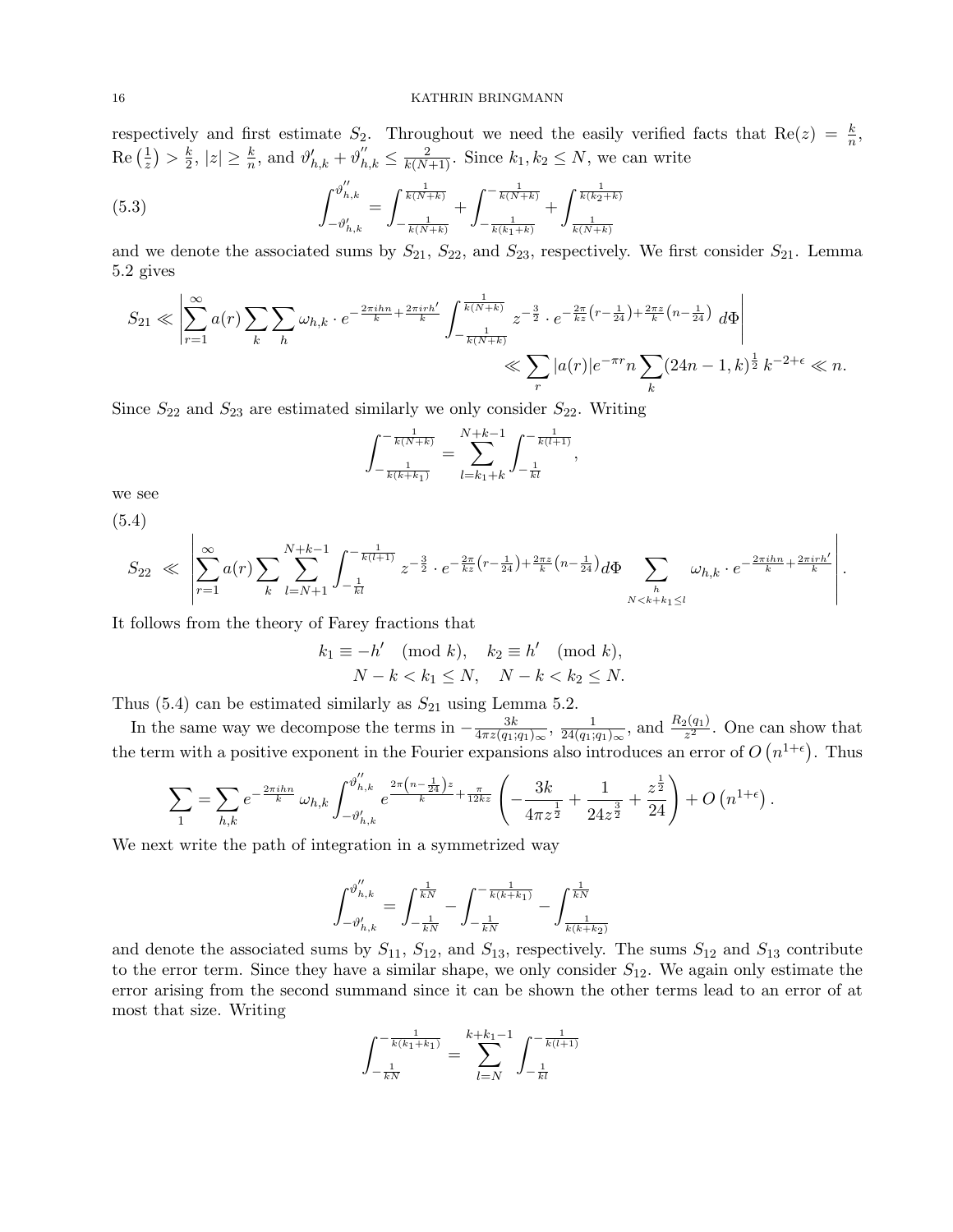respectively and first estimate  $S_2$ . Throughout we need the easily verified facts that  $Re(z) = \frac{k}{n}$ ,  $\operatorname{Re}\big(\frac{1}{\ast}$  $(\frac{1}{z}) > \frac{k}{2}$  $\frac{k}{2}$ ,  $|z| \ge \frac{k}{n}$ , and  $\vartheta'_{h,k} + \vartheta''_{h,k} \le \frac{2}{k(N+1)}$ . Since  $k_1, k_2 \le N$ , we can write

(5.3) 
$$
\int_{-\vartheta'_{h,k}}^{\vartheta''_{h,k}} = \int_{-\frac{1}{k(N+k)}}^{\frac{1}{k(N+k)}} + \int_{-\frac{1}{k(k_1+k)}}^{-\frac{1}{k(N+k)}} + \int_{\frac{1}{k(N+k)}}^{\frac{1}{k(k_2+k)}}
$$

and we denote the associated sums by  $S_{21}$ ,  $S_{22}$ , and  $S_{23}$ , respectively. We first consider  $S_{21}$ . Lemma 5.2 gives

$$
S_{21} \ll \left| \sum_{r=1}^{\infty} a(r) \sum_{k} \sum_{h} \omega_{h,k} \cdot e^{-\frac{2\pi i h n}{k} + \frac{2\pi i r h'}{k}} \int_{-\frac{1}{k(N+k)}}^{\frac{1}{k(N+k)}} z^{-\frac{3}{2}} \cdot e^{-\frac{2\pi}{kz} \left(r - \frac{1}{24}\right) + \frac{2\pi z}{k} \left(n - \frac{1}{24}\right)} d\Phi \right| \ll \sum_{r} |a(r)| e^{-\pi r} n \sum_{k} (24n - 1, k)^{\frac{1}{2}} k^{-2+\epsilon} \ll n.
$$

,

.

Since  $S_{22}$  and  $S_{23}$  are estimated similarly we only consider  $S_{22}$ . Writing

$$
\int_{-\frac{1}{k(k+k_1)}}^{-\frac{1}{k(N+k)}} = \sum_{l=k_1+k}^{N+k-1} \int_{-\frac{1}{kl}}^{-\frac{1}{k(l+1)}}
$$

we see

(5.4)

$$
S_{22} \ll \left| \sum_{r=1}^{\infty} a(r) \sum_{k} \sum_{l=N+1}^{N+k-1} \int_{-\frac{1}{kl}}^{-\frac{1}{k(l+1)}} z^{-\frac{3}{2}} \cdot e^{-\frac{2\pi}{kz} \left(r - \frac{1}{24}\right) + \frac{2\pi z}{k} \left(n - \frac{1}{24}\right)} d\Phi \sum_{\substack{h \\ N < k+k_1 \le l}} \omega_{h,k} \cdot e^{-\frac{2\pi i h n}{k} + \frac{2\pi i r h'}{k}} \right|
$$

It follows from the theory of Farey fractions that

$$
k_1 \equiv -h' \pmod{k}, \quad k_2 \equiv h' \pmod{k},
$$
  

$$
N - k < k_1 \le N, \quad N - k < k_2 \le N.
$$

Thus (5.4) can be estimated similarly as  $S_{21}$  using Lemma 5.2.

In the same way we decompose the terms in  $-\frac{3k}{4\pi z(\alpha)}$  $\frac{3k}{4\pi z(q_1;q_1)_{\infty}}, \frac{1}{24(q_1;q_1)}$  $\frac{1}{24(q_1;q_1)_{\infty}},$  and  $\frac{R_2(q_1)}{z^2}$ . One can show that the term with a positive exponent in the Fourier expansions also introduces an error of  $O(n^{1+\epsilon})$ . Thus

$$
\sum_{1} = \sum_{h,k} e^{-\frac{2\pi i h n}{k}} \omega_{h,k} \int_{-\vartheta'_{h,k}}^{\vartheta''_{h,k}} e^{\frac{2\pi \left(n - \frac{1}{24}\right) z}{k} + \frac{\pi}{12kz}} \left( -\frac{3k}{4\pi z^{\frac{1}{2}}} + \frac{1}{24z^{\frac{3}{2}}} + \frac{z^{\frac{1}{2}}}{24} \right) + O\left(n^{1+\epsilon}\right).
$$

We next write the path of integration in a symmetrized way

$$
\int_{-\vartheta_{h,k}^{\prime}}^{\vartheta_{h,k}^{\prime\prime}}=\int_{-\frac{1}{kN}}^{\frac{1}{kN}}-\int_{-\frac{1}{kN}}^{-\frac{1}{k(k+k_1)}}-\int_{\frac{1}{k(k+k_2)}}^{\frac{1}{kN}}
$$

and denote the associated sums by  $S_{11}$ ,  $S_{12}$ , and  $S_{13}$ , respectively. The sums  $S_{12}$  and  $S_{13}$  contribute to the error term. Since they have a similar shape, we only consider  $S_{12}$ . We again only estimate the error arising from the second summand since it can be shown the other terms lead to an error of at most that size. Writing

$$
\int_{-\frac{1}{kN}}^{-\frac{1}{k(k_1+k_1)}} = \sum_{l=N}^{k+k_1-1} \int_{-\frac{1}{k l}}^{-\frac{1}{k(l+1)}}
$$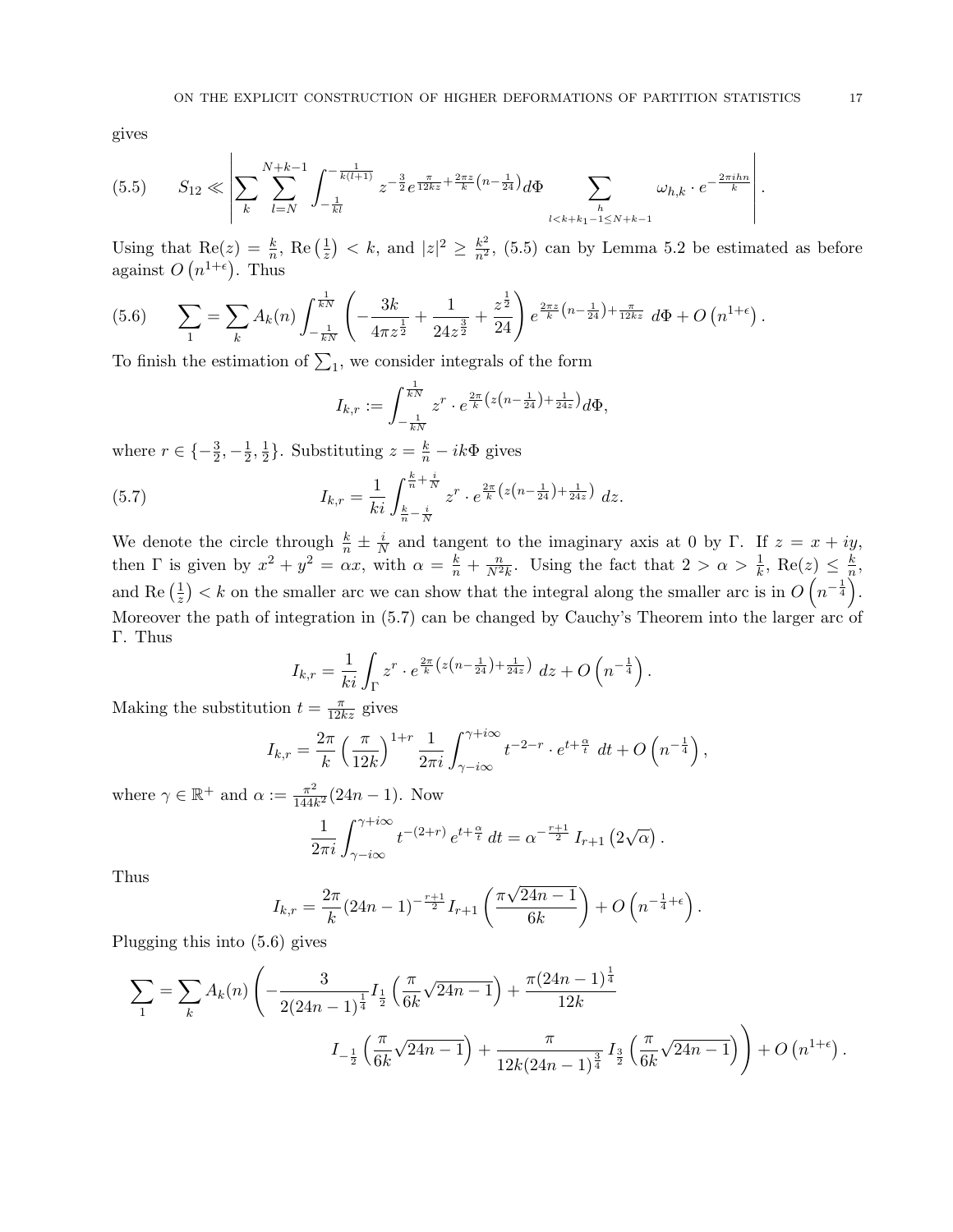gives

$$
(5.5) \tS_{12} \ll \left| \sum_{k} \sum_{l=N}^{N+k-1} \int_{-\frac{1}{kl}}^{-\frac{1}{k(l+1)}} z^{-\frac{3}{2}} e^{\frac{\pi}{12kz} + \frac{2\pi z}{k} \left(n - \frac{1}{24}\right)} d\Phi \sum_{\substack{h \\ l < k+k_1-1 \le N+k-1}} \omega_{h,k} \cdot e^{-\frac{2\pi i h n}{k}} \right|.
$$

Using that  $\text{Re}(z) = \frac{k}{n}$ ,  $\text{Re}\left(\frac{1}{z}\right)$  $(\frac{1}{z}) < k$ , and  $|z|^2 \geq \frac{k^2}{n^2}$ , (5.5) can by Lemma 5.2 be estimated as before against  $O(n^{1+\epsilon})$ . Thus

$$
(5.6) \qquad \sum_{1} = \sum_{k} A_{k}(n) \int_{-\frac{1}{kN}}^{\frac{1}{kN}} \left( -\frac{3k}{4\pi z^{\frac{1}{2}}} + \frac{1}{24z^{\frac{3}{2}}} + \frac{z^{\frac{1}{2}}}{24} \right) e^{\frac{2\pi z}{k} \left( n - \frac{1}{24} \right) + \frac{\pi}{12kz}} d\Phi + O\left( n^{1+\epsilon} \right).
$$

To finish the estimation of  $\Sigma_1$ , we consider integrals of the form

$$
I_{k,r} := \int_{-\frac{1}{kN}}^{\frac{1}{kN}} z^r \cdot e^{\frac{2\pi}{k} \left( z \left( n - \frac{1}{24} \right) + \frac{1}{24z} \right)} d\Phi,
$$

where  $r \in \{-\frac{3}{2}, -\frac{1}{2}\}$  $\frac{1}{2}, \frac{1}{2}$  $\frac{1}{2}$ . Substituting  $z = \frac{k}{n} - ik\Phi$  gives

(5.7) 
$$
I_{k,r} = \frac{1}{ki} \int_{\frac{k}{n} - \frac{i}{N}}^{\frac{k}{n} + \frac{i}{N}} z^r \cdot e^{\frac{2\pi}{k} \left( z \left( n - \frac{1}{24} \right) + \frac{1}{24z} \right)} dz.
$$

We denote the circle through  $\frac{k}{n} \pm \frac{i}{N}$  $\frac{i}{N}$  and tangent to the imaginary axis at 0 by Γ. If  $z = x + iy$ , then  $\Gamma$  is given by  $x^2 + y^2 = \alpha x$ , with  $\alpha = \frac{k}{n} + \frac{n}{N^2 k}$ . Using the fact that  $2 > \alpha > \frac{1}{k}$ , Re $(z) \leq \frac{k}{n}$  $\frac{k}{n},$ and Re $(\frac{1}{z})$  $\frac{1}{z}$  > < k on the smaller arc we can show that the integral along the smaller arc is in  $O(n^{-\frac{1}{4}})$ . Moreover the path of integration in (5.7) can be changed by Cauchy's Theorem into the larger arc of Γ. Thus

$$
I_{k,r} = \frac{1}{ki} \int_{\Gamma} z^r \cdot e^{\frac{2\pi}{k} \left( z \left( n - \frac{1}{24} \right) + \frac{1}{24z} \right)} \, dz + O\left( n^{-\frac{1}{4}} \right).
$$

Making the substitution  $t = \frac{\pi}{12kz}$  gives

$$
I_{k,r} = \frac{2\pi}{k} \left(\frac{\pi}{12k}\right)^{1+r} \frac{1}{2\pi i} \int_{\gamma - i\infty}^{\gamma + i\infty} t^{-2-r} \cdot e^{t + \frac{\alpha}{t}} dt + O\left(n^{-\frac{1}{4}}\right),
$$

where  $\gamma \in \mathbb{R}^+$  and  $\alpha := \frac{\pi^2}{144l}$  $\frac{\pi^2}{144k^2}(24n-1)$ . Now

$$
\frac{1}{2\pi i} \int_{\gamma - i\infty}^{\gamma + i\infty} t^{-(2+r)} e^{t + \frac{\alpha}{t}} dt = \alpha^{-\frac{r+1}{2}} I_{r+1} \left( 2\sqrt{\alpha} \right).
$$

Thus

$$
I_{k,r} = \frac{2\pi}{k} (24n - 1)^{-\frac{r+1}{2}} I_{r+1} \left( \frac{\pi \sqrt{24n - 1}}{6k} \right) + O\left(n^{-\frac{1}{4} + \epsilon}\right).
$$

Plugging this into (5.6) gives

$$
\sum_{1} = \sum_{k} A_{k}(n) \left( -\frac{3}{2(24n-1)^{\frac{1}{4}}} I_{\frac{1}{2}} \left( \frac{\pi}{6k} \sqrt{24n-1} \right) + \frac{\pi (24n-1)^{\frac{1}{4}}}{12k} + \frac{\pi}{12k(24n-1)^{\frac{3}{4}}} I_{\frac{3}{2}} \left( \frac{\pi}{6k} \sqrt{24n-1} \right) \right) + O(n^{1+\epsilon}).
$$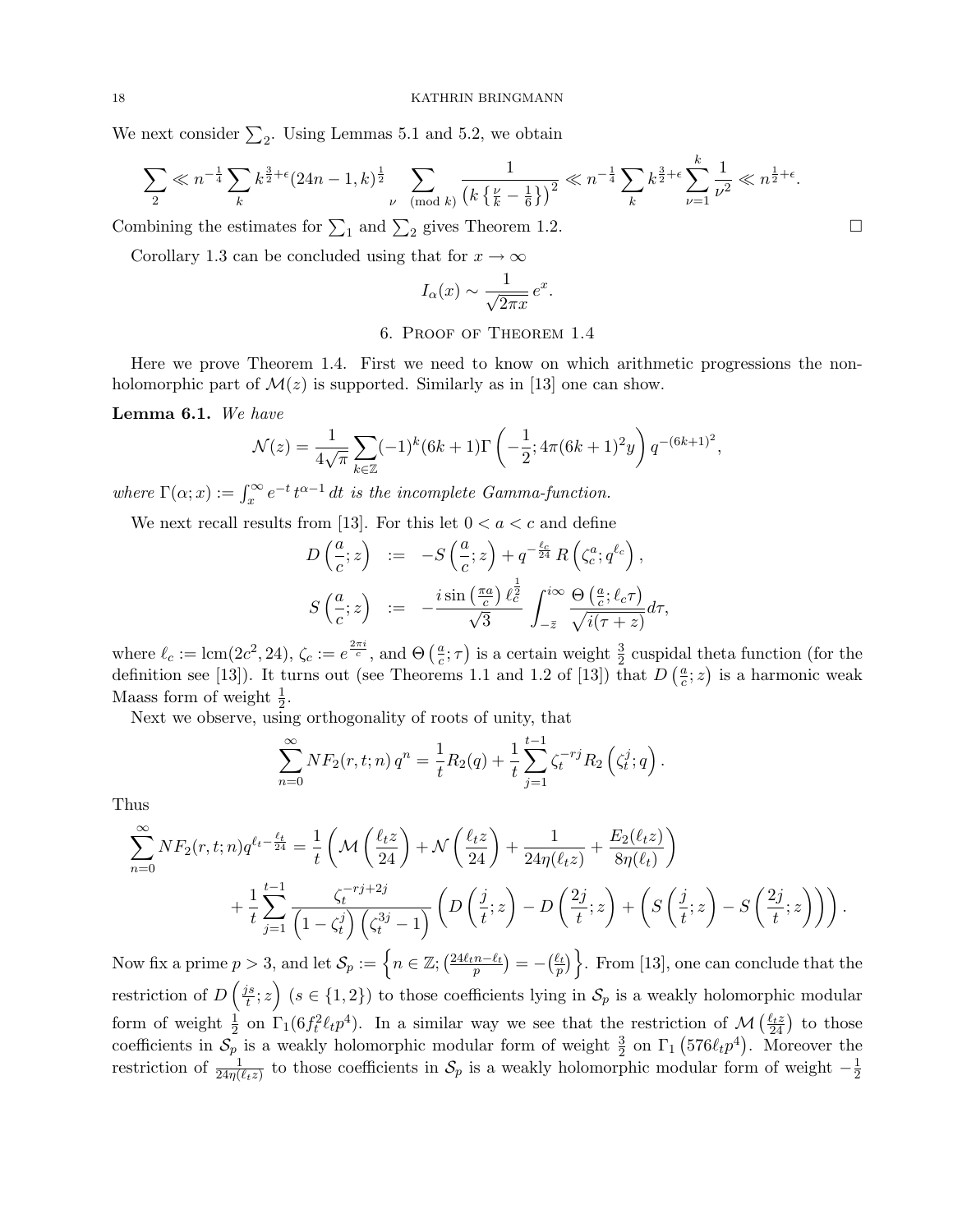We next consider  $\Sigma_2$ . Using Lemmas 5.1 and 5.2, we obtain

$$
\sum_{2} \ll n^{-\frac{1}{4}} \sum_{k} k^{\frac{3}{2}+\epsilon} (24n-1,k)^{\frac{1}{2}} \sum_{\nu \pmod{k}} \frac{1}{\left(k\left\{\frac{\nu}{k}-\frac{1}{6}\right\}\right)^2} \ll n^{-\frac{1}{4}} \sum_{k} k^{\frac{3}{2}+\epsilon} \sum_{\nu=1}^{k} \frac{1}{\nu^2} \ll n^{\frac{1}{2}+\epsilon}.
$$

Combining the estimates for  $\sum_1$  and  $\sum_2$  gives Theorem 1.2.

Corollary 1.3 can be concluded using that for  $x \to \infty$ 

$$
I_{\alpha}(x) \sim \frac{1}{\sqrt{2\pi x}} e^x.
$$

## 6. Proof of Theorem 1.4

Here we prove Theorem 1.4. First we need to know on which arithmetic progressions the nonholomorphic part of  $\mathcal{M}(z)$  is supported. Similarly as in [13] one can show.

Lemma 6.1. We have

$$
\mathcal{N}(z) = \frac{1}{4\sqrt{\pi}} \sum_{k \in \mathbb{Z}} (-1)^k (6k+1) \Gamma\left(-\frac{1}{2}; 4\pi (6k+1)^2 y\right) q^{-(6k+1)^2},
$$

where  $\Gamma(\alpha; x) := \int_x^{\infty} e^{-t} t^{\alpha-1} dt$  is the incomplete Gamma-function.

We next recall results from [13]. For this let  $0 < a < c$  and define

$$
D\left(\frac{a}{c};z\right) := -S\left(\frac{a}{c};z\right) + q^{-\frac{\ell_c}{24}}R\left(\zeta_c^a; q^{\ell_c}\right),
$$
  

$$
S\left(\frac{a}{c};z\right) := -\frac{i\sin\left(\frac{\pi a}{c}\right)\ell_c^{\frac{1}{2}}}{\sqrt{3}}\int_{-\bar{z}}^{i\infty}\frac{\Theta\left(\frac{a}{c};\ell_c\tau\right)}{\sqrt{i(\tau+z)}}d\tau,
$$

where  $\ell_c := \text{lcm}(2c^2, 24), \zeta_c := e^{\frac{2\pi i}{c}}, \text{ and } \Theta\left(\frac{a}{c}\right)$  $(\frac{a}{c}; \tau)$  is a certain weight  $\frac{3}{2}$  cuspidal theta function (for the definition see [13]). It turns out (see Theorems 1.1 and 1.2 of [13]) that  $D\left(\frac{a}{c}\right)$  $(\frac{a}{c}; z)$  is a harmonic weak Maass form of weight  $\frac{1}{2}$ .

Next we observe, using orthogonality of roots of unity, that

$$
\sum_{n=0}^{\infty} N F_2(r, t; n) q^n = \frac{1}{t} R_2(q) + \frac{1}{t} \sum_{j=1}^{t-1} \zeta_t^{-rj} R_2(\zeta_t^j; q).
$$

Thus

$$
\sum_{n=0}^{\infty} N F_2(r, t; n) q^{\ell_t - \frac{\ell_t}{24}} = \frac{1}{t} \left( \mathcal{M} \left( \frac{\ell_t z}{24} \right) + \mathcal{N} \left( \frac{\ell_t z}{24} \right) + \frac{1}{24\eta(\ell_t z)} + \frac{E_2(\ell_t z)}{8\eta(\ell_t)} \right) + \frac{1}{t} \sum_{j=1}^{t-1} \frac{\zeta_t^{-rj+2j}}{\left(1 - \zeta_t^j\right) \left(\zeta_t^{3j} - 1\right)} \left( D \left( \frac{j}{t}; z \right) - D \left( \frac{2j}{t}; z \right) + \left( S \left( \frac{j}{t}; z \right) - S \left( \frac{2j}{t}; z \right) \right) \right).
$$

Now fix a prime  $p > 3$ , and let  $\mathcal{S}_p := \left\{ n \in \mathbb{Z}; \left( \frac{24\ell_t n - \ell_t}{p} \right) = -\left( \frac{\ell_t}{p} \right) \right\}$ . From [13], one can conclude that the restriction of  $D\left(\frac{js}{t}\right)$  $\left(\frac{is}{t};z\right)$  ( $s \in \{1,2\}$ ) to those coefficients lying in  $\mathcal{S}_p$  is a weakly holomorphic modular form of weight  $\frac{1}{2}$  on  $\Gamma_1(6f_t^2\ell_t p^4)$ . In a similar way we see that the restriction of  $\mathcal{M}\left(\frac{\ell_t z}{24}\right)$  to those coefficients in  $S_p$  is a weakly holomorphic modular form of weight  $\frac{3}{2}$  on  $\Gamma_1$  (576 $\ell_t p^4$ ). Moreover the restriction of  $\frac{1}{24\eta(\ell_t z)}$  to those coefficients in  $\mathcal{S}_p$  is a weakly holomorphic modular form of weight  $-\frac{1}{2}$  $\overline{2}$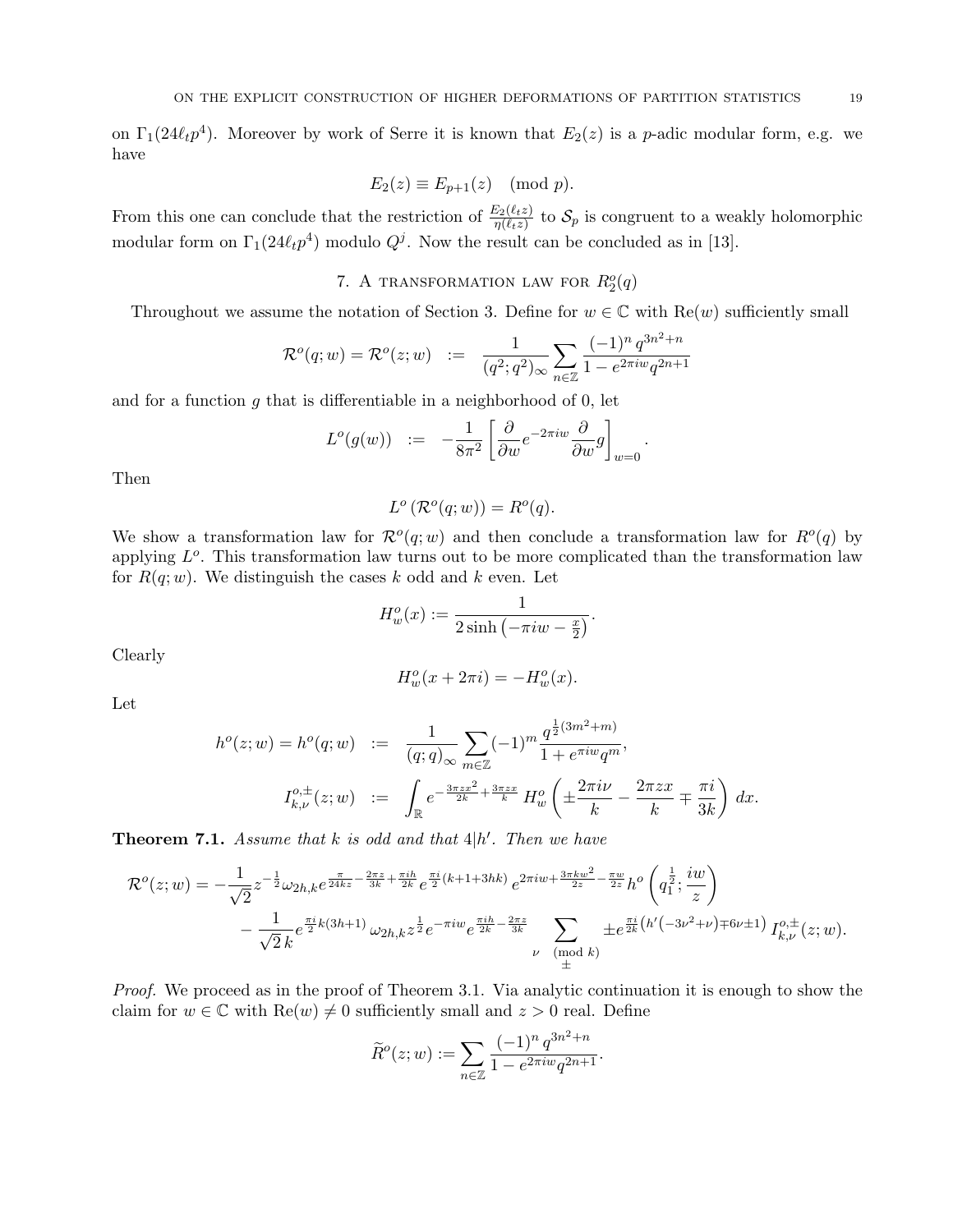on  $\Gamma_1(24\ell_t p^4)$ . Moreover by work of Serre it is known that  $E_2(z)$  is a p-adic modular form, e.g. we have

$$
E_2(z) \equiv E_{p+1}(z) \pmod{p}.
$$

From this one can conclude that the restriction of  $\frac{E_2(\ell_t z)}{\eta(\ell_t z)}$  to  $\mathcal{S}_p$  is congruent to a weakly holomorphic modular form on  $\Gamma_1(24\ell_t p^4)$  modulo  $Q^j$ . Now the result can be concluded as in [13].

# 7. A TRANSFORMATION LAW FOR  $R_2^o(q)$

Throughout we assume the notation of Section 3. Define for  $w \in \mathbb{C}$  with  $\text{Re}(w)$  sufficiently small

$$
\mathcal{R}^o(q; w) = \mathcal{R}^o(z; w) \ := \ \frac{1}{(q^2; q^2)_{\infty}} \sum_{n \in \mathbb{Z}} \frac{(-1)^n \, q^{3n^2 + n}}{1 - e^{2\pi i w} q^{2n + 1}}
$$

and for a function  $g$  that is differentiable in a neighborhood of  $0$ , let

$$
L^o(g(w)) \quad := \quad -\frac{1}{8\pi^2} \left[ \frac{\partial}{\partial w} e^{-2\pi i w} \frac{\partial}{\partial w} g \right]_{w=0}.
$$

Then

$$
L^o\left(\mathcal{R}^o(q;w)\right) = R^o(q).
$$

We show a transformation law for  $\mathcal{R}^o(q; w)$  and then conclude a transformation law for  $R^o(q)$  by applying  $L^o$ . This transformation law turns out to be more complicated than the transformation law for  $R(q; w)$ . We distinguish the cases k odd and k even. Let

$$
H_w^o(x) := \frac{1}{2\sinh\left(-\pi i w - \frac{x}{2}\right)}.
$$

Clearly

$$
H_w^o(x + 2\pi i) = -H_w^o(x).
$$

Let

$$
h^{o}(z; w) = h^{o}(q; w) := \frac{1}{(q; q)_{\infty}} \sum_{m \in \mathbb{Z}} (-1)^{m} \frac{q^{\frac{1}{2}(3m^{2} + m)}}{1 + e^{\pi i w} q^{m}},
$$
  

$$
I_{k, \nu}^{o, \pm}(z; w) := \int_{\mathbb{R}} e^{-\frac{3\pi z x^{2}}{2k} + \frac{3\pi z x}{k}} H_{w}^{o}\left(\pm \frac{2\pi i \nu}{k} - \frac{2\pi z x}{k} \mp \frac{\pi i}{3k}\right) dx.
$$

**Theorem 7.1.** Assume that k is odd and that  $4|h'$ . Then we have

$$
\mathcal{R}^{o}(z; w) = -\frac{1}{\sqrt{2}} z^{-\frac{1}{2}} \omega_{2h,k} e^{\frac{\pi}{24kz} - \frac{2\pi z}{3k} + \frac{\pi i h}{2k}} e^{\frac{\pi i}{2}(k+1+3hk)} e^{2\pi i w + \frac{3\pi k w^{2}}{2z} - \frac{\pi w}{2z}} h^{o}\left(q_{1}^{\frac{1}{2}}; \frac{iw}{z}\right)
$$

$$
-\frac{1}{\sqrt{2}k} e^{\frac{\pi i}{2}k(3h+1)} \omega_{2h,k} z^{\frac{1}{2}} e^{-\pi i w} e^{\frac{\pi i h}{2k} - \frac{2\pi z}{3k}} \sum_{\substack{\nu \pmod{k} \\ \pm \frac{\pi i}{2}}} \pm e^{\frac{\pi i}{2k} \left(h'(-3\nu^{2} + \nu) \mp 6\nu \pm 1\right)} I_{k,\nu}^{o,\pm}(z; w).
$$

Proof. We proceed as in the proof of Theorem 3.1. Via analytic continuation it is enough to show the claim for  $w \in \mathbb{C}$  with  $\text{Re}(w) \neq 0$  sufficiently small and  $z > 0$  real. Define

$$
\widetilde{R}^o(z; w) := \sum_{n \in \mathbb{Z}} \frac{(-1)^n q^{3n^2 + n}}{1 - e^{2\pi i w} q^{2n + 1}}.
$$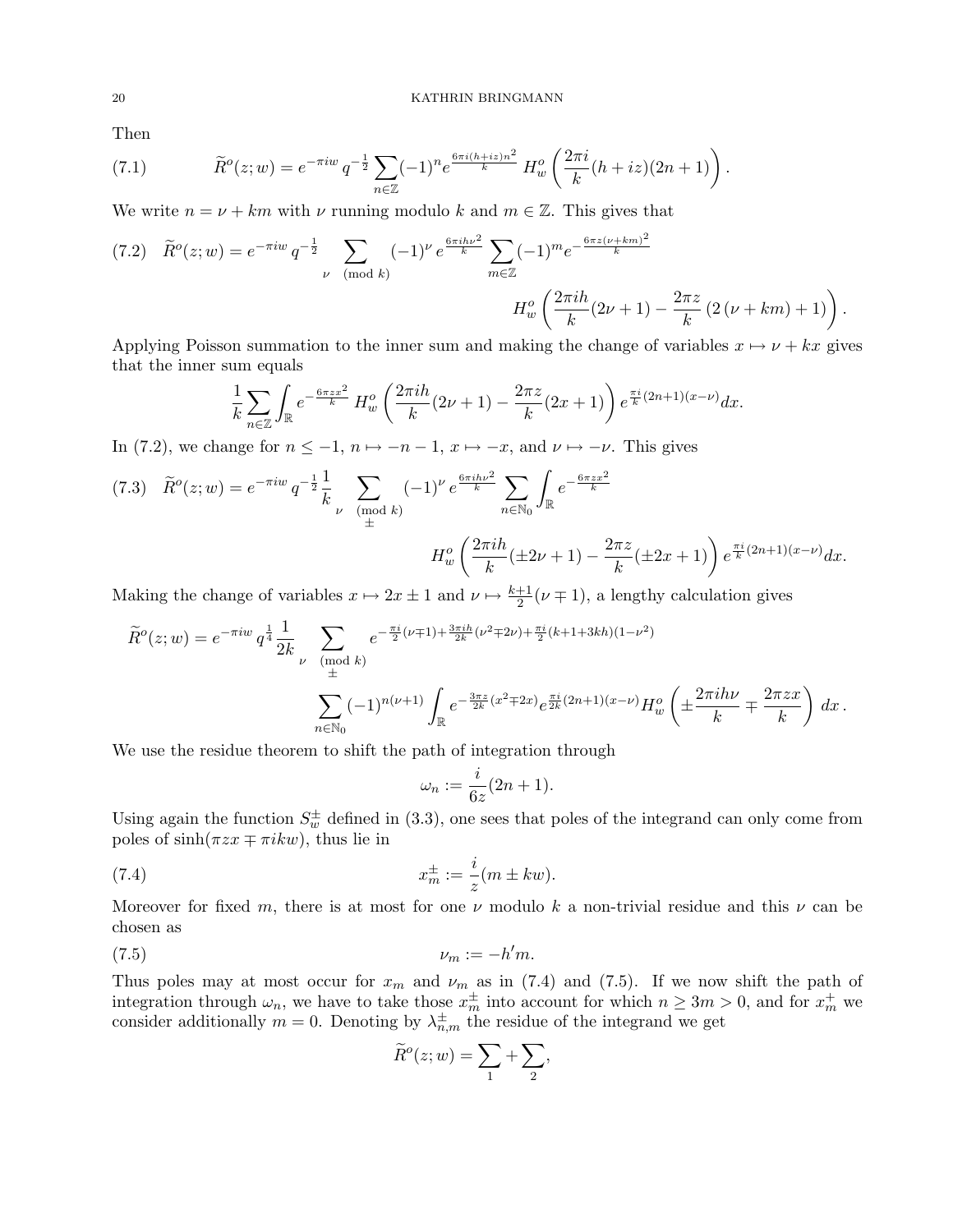Then

(7.1) 
$$
\widetilde{R}^o(z; w) = e^{-\pi i w} q^{-\frac{1}{2}} \sum_{n \in \mathbb{Z}} (-1)^n e^{\frac{6\pi i (h + iz)n^2}{k}} H_w^o\left(\frac{2\pi i}{k}(h + iz)(2n + 1)\right).
$$

We write  $n = \nu + km$  with  $\nu$  running modulo k and  $m \in \mathbb{Z}$ . This gives that

$$
(7.2) \quad \widetilde{R}^o(z; w) = e^{-\pi i w} q^{-\frac{1}{2}} \sum_{\nu \pmod{k}} (-1)^{\nu} e^{\frac{6\pi i h\nu^2}{k}} \sum_{m \in \mathbb{Z}} (-1)^m e^{-\frac{6\pi z (\nu + km)^2}{k}}
$$

$$
H_w^o\left(\frac{2\pi i h}{k}(2\nu + 1) - \frac{2\pi z}{k}(2(\nu + km) + 1)\right).
$$

Applying Poisson summation to the inner sum and making the change of variables  $x \mapsto \nu + kx$  gives that the inner sum equals

$$
\frac{1}{k} \sum_{n \in \mathbb{Z}} \int_{\mathbb{R}} e^{-\frac{6\pi zx^2}{k}} H_w^o\left(\frac{2\pi ih}{k}(2\nu+1) - \frac{2\pi z}{k}(2x+1)\right) e^{\frac{\pi i}{k}(2n+1)(x-\nu)} dx.
$$

In (7.2), we change for  $n \leq -1$ ,  $n \mapsto -n-1$ ,  $x \mapsto -x$ , and  $\nu \mapsto -\nu$ . This gives

$$
(7.3) \quad \widetilde{R}^o(z; w) = e^{-\pi i w} q^{-\frac{1}{2}} \frac{1}{k} \sum_{\nu \pmod{k}} (-1)^{\nu} e^{\frac{6\pi i h \nu^2}{k}} \sum_{n \in \mathbb{N}_0} \int_{\mathbb{R}} e^{-\frac{6\pi z x^2}{k}} \\
H_w^o\left(\frac{2\pi i h}{k}(\pm 2\nu + 1) - \frac{2\pi z}{k}(\pm 2x + 1)\right) e^{\frac{\pi i}{k}(2n+1)(x-\nu)} dx.
$$

Making the change of variables  $x \mapsto 2x \pm 1$  and  $\nu \mapsto \frac{k+1}{2}(\nu \mp 1)$ , a lengthy calculation gives

$$
\widetilde{R}^o(z; w) = e^{-\pi i w} q^{\frac{1}{4}} \frac{1}{2k} \sum_{\substack{\nu \pmod{k} \\ \pm}} e^{-\frac{\pi i}{2} (\nu+1) + \frac{3\pi i h}{2k} (\nu^2 + 2\nu) + \frac{\pi i}{2} (k+1+3kh)(1-\nu^2)}
$$
\n
$$
\sum_{n \in \mathbb{N}_0} (-1)^{n(\nu+1)} \int_{\mathbb{R}} e^{-\frac{3\pi z}{2k} (x^2 + 2x)} e^{\frac{\pi i}{2k} (2n+1)(x-\nu)} H_w^o\left(\pm \frac{2\pi i h\nu}{k} + \frac{2\pi z x}{k}\right) dx.
$$

We use the residue theorem to shift the path of integration through

$$
\omega_n := \frac{i}{6z}(2n+1).
$$

Using again the function  $S_w^{\pm}$  defined in (3.3), one sees that poles of the integrand can only come from poles of  $sinh(\pi zx \mp \pi ikw)$ , thus lie in

(7.4) 
$$
x_m^{\pm} := \frac{i}{z}(m \pm kw).
$$

Moreover for fixed m, there is at most for one  $\nu$  modulo k a non-trivial residue and this  $\nu$  can be chosen as

$$
(7.5) \t\t\t\nu_m := -h'm.
$$

Thus poles may at most occur for  $x_m$  and  $\nu_m$  as in (7.4) and (7.5). If we now shift the path of integration through  $\omega_n$ , we have to take those  $x_m^{\pm}$  into account for which  $n \geq 3m > 0$ , and for  $x_m^+$  we consider additionally  $m = 0$ . Denoting by  $\lambda_{n,m}^{\pm}$  the residue of the integrand we get

$$
\widetilde{R}^o(z; w) = \sum_1 + \sum_2,
$$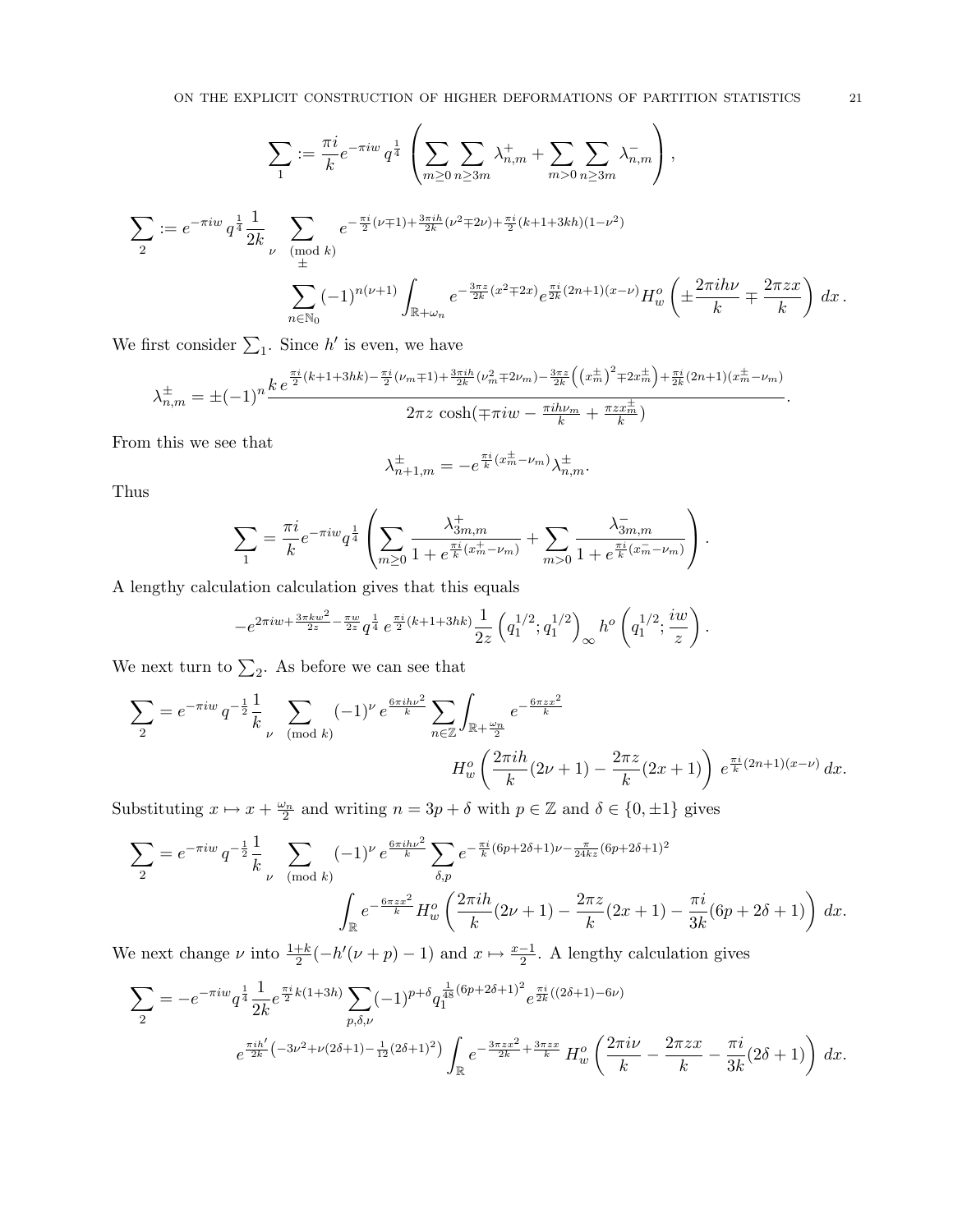$\overline{1}$ 

$$
\sum_{1} := \frac{\pi i}{k} e^{-\pi i w} q^{\frac{1}{4}} \left( \sum_{m \ge 0} \sum_{n \ge 3m} \lambda_{n,m}^{+} + \sum_{m > 0} \sum_{n \ge 3m} \lambda_{n,m}^{-} \right),
$$
  

$$
\sum_{2} := e^{-\pi i w} q^{\frac{1}{4}} \frac{1}{2k} \sum_{\substack{\nu \pmod{k} \\ \pm}} e^{-\frac{\pi i}{2} (\nu+1) + \frac{3\pi i h}{2k} (\nu^2+2\nu) + \frac{\pi i}{2} (k+1+3kh)(1-\nu^2)}
$$
  

$$
\sum_{n \in \mathbb{N}_0} (-1)^{n(\nu+1)} \int_{\mathbb{R} + \omega_n} e^{-\frac{3\pi z}{2k} (x^2+2x)} e^{\frac{\pi i}{2k} (2n+1)(x-\nu)} H_w^o \left( \pm \frac{2\pi i h\nu}{k} + \frac{2\pi zx}{k} \right) dx.
$$

We first consider  $\sum_1$ . Since h' is even, we have

$$
\lambda_{n,m}^{\pm} = \pm (-1)^n \frac{k e^{\frac{\pi i}{2}(k+1+3hk) - \frac{\pi i}{2}(\nu_m \mp 1) + \frac{3\pi ih}{2k}(\nu_m^2 \mp 2\nu_m) - \frac{3\pi z}{2k} \left((x_m^{\pm})^2 \mp 2x_m^{\pm}\right) + \frac{\pi i}{2k}(2n+1)(x_m^{\pm} - \nu_m)}{2\pi z \cosh(\mp \pi i w - \frac{\pi i h \nu_m}{k} + \frac{\pi z x_m^{\pm}}{k})}.
$$

From this we see that

$$
\lambda_{n+1,m}^{\pm} = -e^{\frac{\pi i}{k}(x_m^{\pm} - \nu_m)} \lambda_{n,m}^{\pm}.
$$

Thus

$$
\sum_1 = \frac{\pi i}{k} e^{-\pi i w} q^{\frac{1}{4}} \left(\sum_{m\geq 0} \frac{\lambda^+_{3m,m}}{1+e^{\frac{\pi i}{k}(x^+_{m}-\nu_m)}}+\sum_{m> 0} \frac{\lambda^-_{3m,m}}{1+e^{\frac{\pi i}{k}(x^-_{m}-\nu_m)}}\right).
$$

A lengthy calculation calculation gives that this equals

$$
- e^{2\pi i w + \frac{3\pi k w^2}{2z} - \frac{\pi w}{2z}} q^{\frac{1}{4}}\,e^{\frac{\pi i}{2}(k+1+3hk)} \frac{1}{2z}\left(q_1^{1/2};q_1^{1/2}\right)_\infty h^o\left(q_1^{1/2};\frac{i w}{z}\right).
$$

We next turn to  $\Sigma_2$ . As before we can see that

$$
\sum_{2} = e^{-\pi i w} q^{-\frac{1}{2}} \frac{1}{k} \sum_{\nu \pmod{k}} (-1)^{\nu} e^{\frac{6\pi i h \nu^{2}}{k}} \sum_{n \in \mathbb{Z}} \int_{\mathbb{R} + \frac{\omega_{n}}{2}} e^{-\frac{6\pi z x^{2}}{k}}
$$

$$
H_{w}^{o} \left( \frac{2\pi i h}{k} (2\nu + 1) - \frac{2\pi z}{k} (2x + 1) \right) e^{\frac{\pi i}{k} (2n + 1)(x - \nu)} dx.
$$

Substituting  $x \mapsto x + \frac{\omega_n}{2}$  and writing  $n = 3p + \delta$  with  $p \in \mathbb{Z}$  and  $\delta \in \{0, \pm 1\}$  gives

$$
\sum_{2} = e^{-\pi i w} q^{-\frac{1}{2}} \frac{1}{k} \sum_{\nu \pmod{k}} (-1)^{\nu} e^{\frac{6\pi i h\nu^{2}}{k}} \sum_{\delta, p} e^{-\frac{\pi i}{k}(6p+2\delta+1)\nu - \frac{\pi}{24kz}(6p+2\delta+1)^{2}}
$$

$$
\int_{\mathbb{R}} e^{-\frac{6\pi zx^{2}}{k}} H_{w}^{o} \left( \frac{2\pi i h}{k} (2\nu+1) - \frac{2\pi z}{k} (2x+1) - \frac{\pi i}{3k} (6p+2\delta+1) \right) dx.
$$

We next change  $\nu$  into  $\frac{1+k}{2}(-h'(\nu+p)-1)$  and  $x \mapsto \frac{x-1}{2}$ . A lengthy calculation gives

$$
\sum_{2} = -e^{-\pi i w} q^{\frac{1}{4}} \frac{1}{2k} e^{\frac{\pi i}{2}k(1+3h)} \sum_{p,\delta,\nu} (-1)^{p+\delta} q_1^{\frac{1}{48}(6p+2\delta+1)^2} e^{\frac{\pi i}{2k}((2\delta+1)-6\nu)}
$$

$$
e^{\frac{\pi i h'}{2k}(-3\nu^2+\nu(2\delta+1)-\frac{1}{12}(2\delta+1)^2)} \int_{\mathbb{R}} e^{-\frac{3\pi z x^2}{2k}+\frac{3\pi z x}{k}} H_w^o\left(\frac{2\pi i\nu}{k}-\frac{2\pi z x}{k}-\frac{\pi i}{3k}(2\delta+1)\right) dx.
$$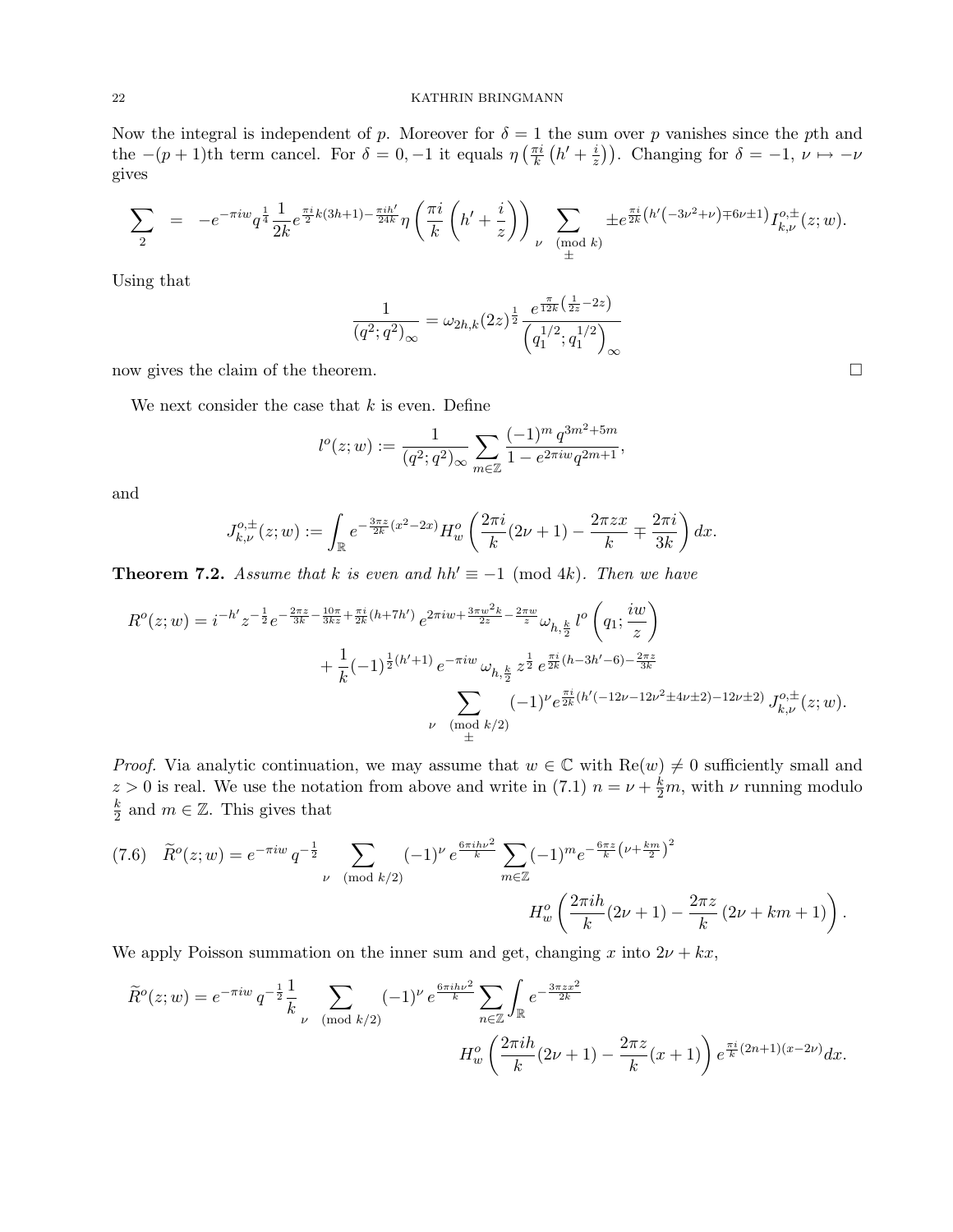Now the integral is independent of p. Moreover for  $\delta = 1$  the sum over p vanishes since the pth and the  $-(p+1)$ th term cancel. For  $\delta = 0, -1$  it equals  $\eta\left(\frac{\pi i}{k}\right)$  $\frac{\pi i}{k}\left(h'+\frac{i}{z}\right)$  $\left(\frac{i}{z}\right)$ ). Changing for  $\delta = -1, \nu \mapsto -\nu$ gives

$$
\sum_{2} = -e^{-\pi i w} q^{\frac{1}{4}} \frac{1}{2k} e^{\frac{\pi i}{2}k(3h+1) - \frac{\pi i h'}{24k}} \eta \left( \frac{\pi i}{k} \left( h' + \frac{i}{z} \right) \right) \sum_{\substack{\nu \pmod{k}} \\ \pm} \pm e^{\frac{\pi i}{2k} \left( h' \left( -3\nu^2 + \nu \right) \mp 6\nu \pm 1 \right)} I_{k,\nu}^{o,\pm}(z;w).
$$

Using that

$$
\frac{1}{(q^2;q^2)_{\infty}} = \omega_{2h,k}(2z)^{\frac{1}{2}} \frac{e^{\frac{\pi}{12k}\left(\frac{1}{2z}-2z\right)}}{\left(q_1^{1/2};q_1^{1/2}\right)_{\infty}}
$$

now gives the claim of the theorem.  $\Box$ 

We next consider the case that  $k$  is even. Define

$$
l^{o}(z; w) := \frac{1}{(q^{2}; q^{2})_{\infty}} \sum_{m \in \mathbb{Z}} \frac{(-1)^{m} q^{3m^{2} + 5m}}{1 - e^{2\pi i w} q^{2m+1}},
$$

and

$$
J_{k,\nu}^{o,\pm}(z;w) := \int_{\mathbb{R}} e^{-\frac{3\pi z}{2k}(x^2 - 2x)} H_w^o\left(\frac{2\pi i}{k}(2\nu + 1) - \frac{2\pi zx}{k} \mp \frac{2\pi i}{3k}\right) dx.
$$

**Theorem 7.2.** Assume that k is even and hh'  $\equiv -1 \pmod{4k}$ . Then we have

$$
R^{o}(z; w) = i^{-h'} z^{-\frac{1}{2}} e^{-\frac{2\pi z}{3k} - \frac{10\pi}{3kz} + \frac{\pi i}{2k}(h+7h')} e^{2\pi i w + \frac{3\pi w^{2}k}{2z} - \frac{2\pi w}{z}} \omega_{h, \frac{k}{2}} l^{o}\left(q_{1}; \frac{iw}{z}\right)
$$
  
+ 
$$
\frac{1}{k} (-1)^{\frac{1}{2}(h'+1)} e^{-\pi i w} \omega_{h, \frac{k}{2}} z^{\frac{1}{2}} e^{\frac{\pi i}{2k}(h-3h'-6) - \frac{2\pi z}{3k}}
$$
  

$$
\sum_{\substack{\nu \pmod{k/2} \\ \pm \pmod{k/2}}} (-1)^{\nu} e^{\frac{\pi i}{2k}(h'(-12\nu - 12\nu^{2} \pm 4\nu \pm 2) - 12\nu \pm 2)} J^{o, \pm}_{k, \nu}(z; w).
$$

*Proof.* Via analytic continuation, we may assume that  $w \in \mathbb{C}$  with  $\text{Re}(w) \neq 0$  sufficiently small and  $z > 0$  is real. We use the notation from above and write in (7.1)  $n = \nu + \frac{k}{2}m$ , with  $\nu$  running modulo k  $\frac{k}{2}$  and  $m \in \mathbb{Z}$ . This gives that

$$
(7.6) \quad \widetilde{R}^o(z; w) = e^{-\pi i w} q^{-\frac{1}{2}} \sum_{\nu \pmod{k/2}} (-1)^{\nu} e^{\frac{6\pi i h\nu^2}{k}} \sum_{m \in \mathbb{Z}} (-1)^m e^{-\frac{6\pi z}{k} \left(\nu + \frac{km}{2}\right)^2}
$$
\n
$$
H_w^o\left(\frac{2\pi i h}{k}(2\nu + 1) - \frac{2\pi z}{k}(2\nu + km + 1)\right).
$$

We apply Poisson summation on the inner sum and get, changing x into  $2\nu + kx$ ,

$$
\widetilde{R}^o(z; w) = e^{-\pi i w} q^{-\frac{1}{2}} \frac{1}{k} \sum_{\nu \pmod{k/2}} (-1)^{\nu} e^{\frac{6\pi i h \nu^2}{k}} \sum_{n \in \mathbb{Z}} \int_{\mathbb{R}} e^{-\frac{3\pi z x^2}{2k}}
$$
\n
$$
H_w^o\left(\frac{2\pi i h}{k}(2\nu + 1) - \frac{2\pi z}{k}(x+1)\right) e^{\frac{\pi i}{k}(2n+1)(x-2\nu)} dx.
$$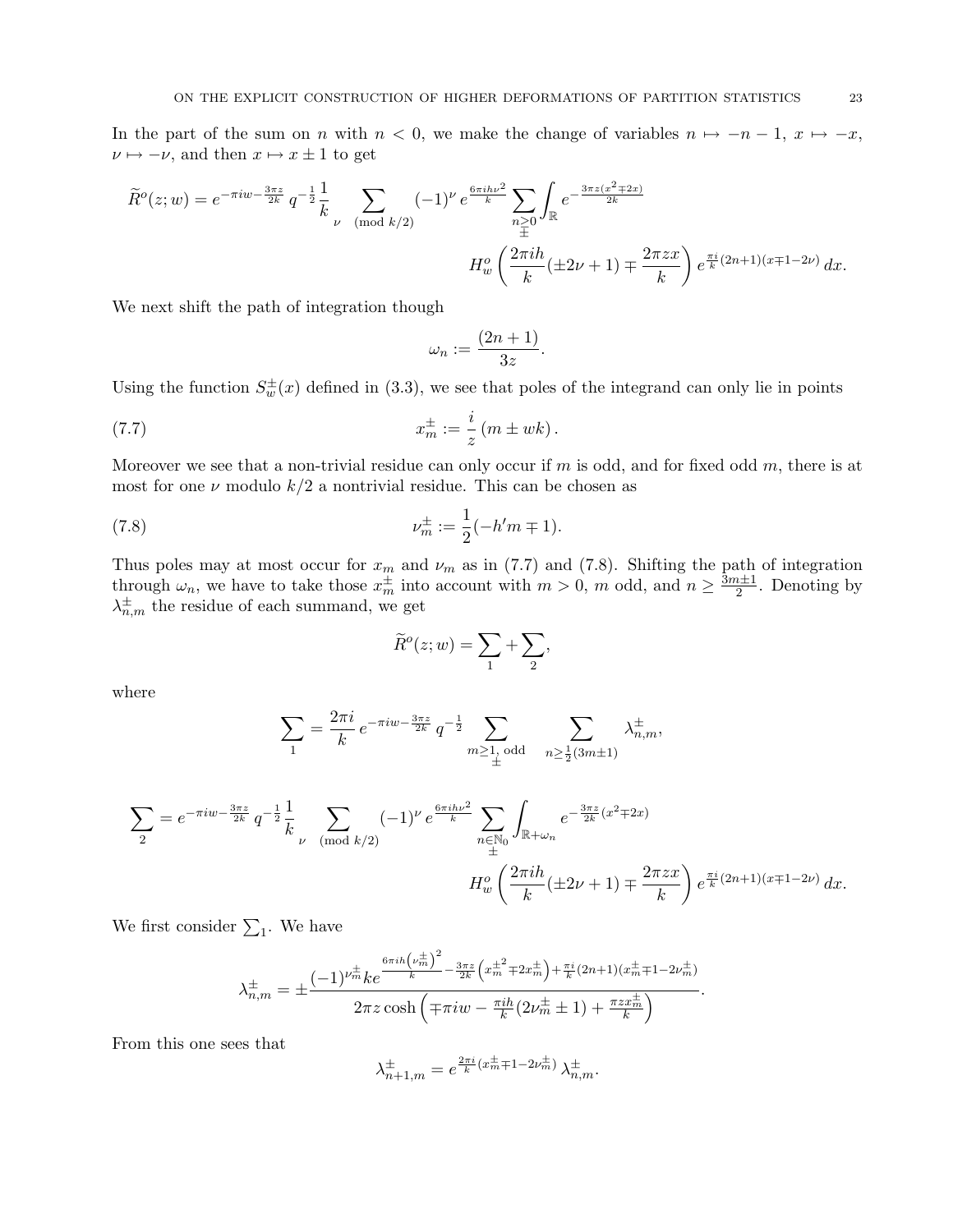In the part of the sum on n with  $n < 0$ , we make the change of variables  $n \mapsto -n-1$ ,  $x \mapsto -x$ ,  $\nu \mapsto -\nu$ , and then  $x \mapsto x \pm 1$  to get

$$
\widetilde{R}^o(z; w) = e^{-\pi i w - \frac{3\pi z}{2k}} q^{-\frac{1}{2}} \frac{1}{k} \sum_{\nu \pmod{k/2}} (-1)^{\nu} e^{\frac{6\pi i h\nu^{2}}{k}} \sum_{\substack{n \geq 0 \\ \pm}} \int_{\mathbb{R}} e^{-\frac{3\pi z (x^{2} \mp 2x)}{2k}}
$$
\n
$$
H_{w}^o\left(\frac{2\pi i h}{k}(\pm 2\nu + 1) \mp \frac{2\pi z x}{k}\right) e^{\frac{\pi i}{k}(2n+1)(x \mp 1 - 2\nu)} dx.
$$

We next shift the path of integration though

$$
\omega_n := \frac{(2n+1)}{3z}.
$$

Using the function  $S_w^{\pm}(x)$  defined in (3.3), we see that poles of the integrand can only lie in points

(7.7) 
$$
x_m^{\pm} := \frac{i}{z} (m \pm wk).
$$

Moreover we see that a non-trivial residue can only occur if m is odd, and for fixed odd m, there is at most for one  $\nu$  modulo  $k/2$  a nontrivial residue. This can be chosen as

(7.8) 
$$
\nu_m^{\pm} := \frac{1}{2}(-h'm \mp 1).
$$

Thus poles may at most occur for  $x_m$  and  $\nu_m$  as in (7.7) and (7.8). Shifting the path of integration through  $\omega_n$ , we have to take those  $x_m^{\pm}$  into account with  $m > 0$ , m odd, and  $n \geq \frac{3m+1}{2}$  $\frac{n+1}{2}$ . Denoting by  $\lambda_{n,m}^{\pm}$  the residue of each summand, we get

$$
\widetilde{R}^o(z; w) = \sum_1 + \sum_2,
$$

where

$$
\sum_{1} = \frac{2\pi i}{k} e^{-\pi i w - \frac{3\pi z}{2k}} q^{-\frac{1}{2}} \sum_{m \ge 1, \text{ odd}} \sum_{n \ge \frac{1}{2}(3m \pm 1)} \lambda_{n,m}^{\pm},
$$

$$
\sum_{2} = e^{-\pi i w - \frac{3\pi z}{2k}} q^{-\frac{1}{2}} \frac{1}{k} \sum_{\nu \pmod{k/2}} (-1)^{\nu} e^{\frac{6\pi i h \nu^{2}}{k}} \sum_{\substack{n \in \mathbb{N}_{0} \\ \pm}} \int_{\mathbb{R} + \omega_{n}} e^{-\frac{3\pi z}{2k}(x^{2} \mp 2x)} \n\prod_{\substack{\omega \neq k}} \left( \frac{2\pi i h}{k} (\pm 2\nu + 1) \mp \frac{2\pi z x}{k} \right) e^{\frac{\pi i}{k}(2n+1)(x \mp 1 - 2\nu)} dx.
$$

We first consider  $\Sigma_1$ . We have

$$
\lambda_{n,m}^{\pm} = \pm \frac{(-1)^{\nu_m^{\pm}} k e^{\frac{6\pi i h \left(\nu_m^{\pm}\right)^2}{k} - \frac{3\pi z}{2k} \left(x_m^{\pm 2} \mp 2x_m^{\pm}\right) + \frac{\pi i}{k} (2n+1) (x_m^{\pm} \mp 1 - 2\nu_m^{\pm})}}{2\pi z \cosh\left(\mp \pi i w - \frac{\pi i h}{k} (2\nu_m^{\pm} \pm 1) + \frac{\pi z x_m^{\pm}}{k}\right)}.
$$

From this one sees that

$$
\lambda_{n+1,m}^{\pm}=e^{\frac{2\pi i}{k}(x_m^{\pm}\mp 1-2\nu_m^{\pm})}\,\lambda_{n,m}^{\pm}.
$$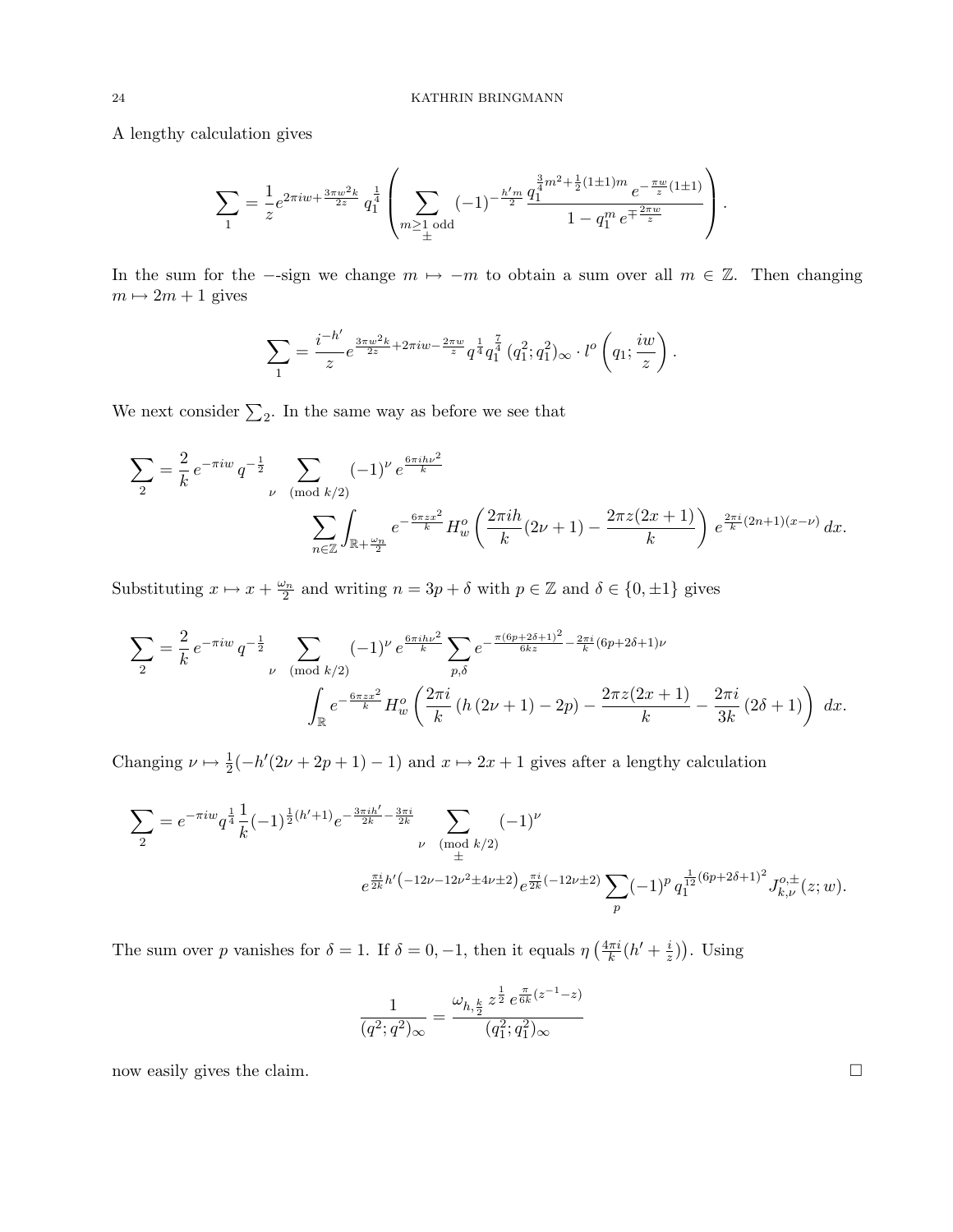A lengthy calculation gives

$$
\sum_{1} = \frac{1}{z} e^{2\pi i w + \frac{3\pi w^2 k}{2z}} q_1^{\frac{1}{4}} \left( \sum_{m \ge 1 \text{ odd}} (-1)^{-\frac{h'm}{2}} \frac{q_1^{\frac{3}{4}m^2 + \frac{1}{2}(1 \pm 1)m} e^{-\frac{\pi w}{z}(1 \pm 1)}}{1 - q_1^m e^{\mp \frac{2\pi w}{z}}} \right).
$$

In the sum for the  $-$ -sign we change  $m \mapsto -m$  to obtain a sum over all  $m \in \mathbb{Z}$ . Then changing  $m \mapsto 2m + 1$  gives

$$
\sum_{1} = \frac{i^{-h'}}{z} e^{\frac{3\pi w^2 k}{2z} + 2\pi i w - \frac{2\pi w}{z}} q^{\frac{1}{4}} q_1^{\frac{7}{4}} (q_1^2; q_1^2)_{\infty} \cdot l^o\left(q_1; \frac{iw}{z}\right).
$$

We next consider  $\Sigma_2$ . In the same way as before we see that

$$
\sum_{2} = \frac{2}{k} e^{-\pi i w} q^{-\frac{1}{2}} \sum_{\nu \pmod{k/2}} (-1)^{\nu} e^{\frac{6\pi i h \nu^{2}}{k}}
$$

$$
\sum_{n \in \mathbb{Z}} \int_{\mathbb{R} + \frac{\omega_{n}}{2}} e^{-\frac{6\pi z x^{2}}{k}} H_{w}^{o} \left( \frac{2\pi i h}{k} (2\nu + 1) - \frac{2\pi z (2x + 1)}{k} \right) e^{\frac{2\pi i}{k} (2n + 1)(x - \nu)} dx.
$$

Substituting  $x \mapsto x + \frac{\omega_n}{2}$  and writing  $n = 3p + \delta$  with  $p \in \mathbb{Z}$  and  $\delta \in \{0, \pm 1\}$  gives

$$
\sum_{2} = \frac{2}{k} e^{-\pi i w} q^{-\frac{1}{2}} \sum_{\nu \pmod{k/2}} (-1)^{\nu} e^{\frac{6\pi i h\nu^{2}}{k}} \sum_{p,\delta} e^{-\frac{\pi (6p+2\delta+1)^{2}}{6kz} - \frac{2\pi i}{k}(6p+2\delta+1)\nu}
$$

$$
\int_{\mathbb{R}} e^{-\frac{6\pi z x^{2}}{k}} H_{w}^{o} \left( \frac{2\pi i}{k} \left( h \left( 2\nu + 1 \right) - 2p \right) - \frac{2\pi z (2x+1)}{k} - \frac{2\pi i}{3k} \left( 2\delta + 1 \right) \right) dx.
$$

Changing  $\nu \mapsto \frac{1}{2}(-h'(2\nu + 2p + 1) - 1)$  and  $x \mapsto 2x + 1$  gives after a lengthy calculation

$$
\sum_{2} = e^{-\pi i w} q^{\frac{1}{4}} \frac{1}{k} (-1)^{\frac{1}{2}(h'+1)} e^{-\frac{3\pi i h'}{2k} - \frac{3\pi i}{2k}} \sum_{\substack{\nu \pmod{k/2} \\ e^{\frac{\pi i}{2k}h'(-12\nu - 12\nu^{2} \pm 4\nu \pm 2)}} e^{\frac{\pi i}{2k}(-12\nu \pm 2)} \sum_{p} (-1)^{p} q_1^{\frac{1}{12}(6p+2\delta+1)^{2}} J_{k,\nu}^{o,\pm}(z;w).
$$

The sum over p vanishes for  $\delta = 1$ . If  $\delta = 0, -1$ , then it equals  $\eta \left( \frac{4\pi i}{k} \right)$  $\frac{\pi i}{k}(h' + \frac{i}{z})$  $(\frac{i}{z})$ ). Using

$$
\frac{1}{(q^2;q^2)_{\infty}} = \frac{\omega_{h,\frac{k}{2}} z^{\frac{1}{2}} e^{\frac{\pi}{6k}(z^{-1}-z)}}{(q_1^2;q_1^2)_{\infty}}
$$

now easily gives the claim.  $\square$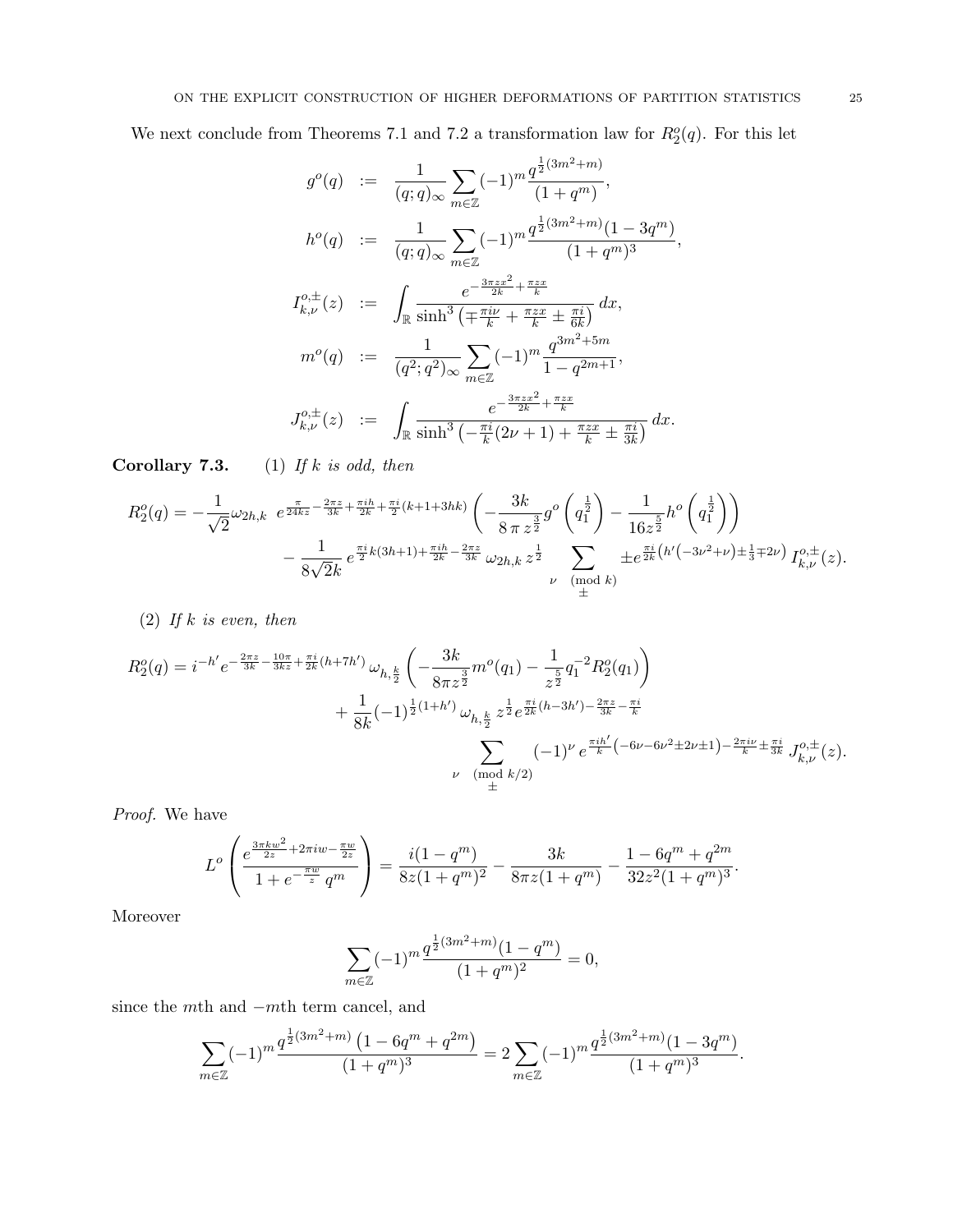We next conclude from Theorems 7.1 and 7.2 a transformation law for  $R_2^o(q)$ . For this let

$$
g^{o}(q) := \frac{1}{(q;q)_{\infty}} \sum_{m \in \mathbb{Z}} (-1)^{m} \frac{q^{\frac{1}{2}(3m^{2}+m)}}{(1+q^{m})},
$$
  
\n
$$
h^{o}(q) := \frac{1}{(q;q)_{\infty}} \sum_{m \in \mathbb{Z}} (-1)^{m} \frac{q^{\frac{1}{2}(3m^{2}+m)}(1-3q^{m})}{(1+q^{m})^{3}},
$$
  
\n
$$
I_{k,\nu}^{o,\pm}(z) := \int_{\mathbb{R}} \frac{e^{-\frac{3\pi z x^{2}}{2k} + \frac{\pi z x}{k}}}{\sinh^{3}(\mp \frac{\pi i \nu}{k} + \frac{\pi z x}{k} \pm \frac{\pi i}{6k})} dx,
$$
  
\n
$$
m^{o}(q) := \frac{1}{(q^{2};q^{2})_{\infty}} \sum_{m \in \mathbb{Z}} (-1)^{m} \frac{q^{3m^{2}+5m}}{1-q^{2m+1}},
$$
  
\n
$$
J_{k,\nu}^{o,\pm}(z) := \int_{\mathbb{R}} \frac{e^{-\frac{3\pi z x^{2}}{2k} + \frac{\pi z x}{k}}}{\sinh^{3}(-\frac{\pi i}{k}(2\nu+1) + \frac{\pi z x}{k} \pm \frac{\pi i}{3k})} dx.
$$

Corollary 7.3.  $(1)$  If k is odd, then

$$
R_2^o(q) = -\frac{1}{\sqrt{2}}\omega_{2h,k} e^{\frac{\pi}{24kz} - \frac{2\pi z}{3k} + \frac{\pi ih}{2k} + \frac{\pi i}{2}(k+1+3hk)} \left(-\frac{3k}{8\pi z^{\frac{3}{2}}}g^o\left(q_1^{\frac{1}{2}}\right) - \frac{1}{16z^{\frac{5}{2}}}h^o\left(q_1^{\frac{1}{2}}\right)\right) - \frac{1}{8\sqrt{2}k}e^{\frac{\pi i}{2}k(3h+1) + \frac{\pi ih}{2k} - \frac{2\pi z}{3k}}\omega_{2h,k}z^{\frac{1}{2}} \sum_{\substack{\nu \pmod{k} \\ \pm \frac{\pi i}{2}(k'(-3\nu^2 + \nu) \pm \frac{1}{3}+2\nu}} \pm e^{\frac{\pi i}{2k}(h'(-3\nu^2 + \nu) \pm \frac{1}{3}+2\nu)}I_{k,\nu}^{o,\pm}(z).
$$

(2) If  $k$  is even, then

$$
R_{2}^{o}(q) = i^{-h'} e^{-\frac{2\pi z}{3k} - \frac{10\pi}{3kz} + \frac{\pi i}{2k}(h+7h')} \omega_{h,\frac{k}{2}} \left( -\frac{3k}{8\pi z^{\frac{3}{2}}} m^{o}(q_{1}) - \frac{1}{z^{\frac{5}{2}}} q_{1}^{-2} R_{2}^{o}(q_{1}) \right) + \frac{1}{8k} (-1)^{\frac{1}{2}(1+h')} \omega_{h,\frac{k}{2}} z^{\frac{1}{2}} e^{\frac{\pi i}{2k}(h-3h') - \frac{2\pi z}{3k} - \frac{\pi i}{k}} \sum_{\substack{\nu \pmod{k/2} \\ \pm}} (-1)^{\nu} e^{\frac{\pi i h'}{k} \left( -6\nu - 6\nu^{2} \pm 2\nu \pm 1 \right) - \frac{2\pi i\nu}{k} \pm \frac{\pi i}{3k}} J_{k,\nu}^{o,\pm}(z).
$$

Proof. We have

$$
L^{o}\left(\frac{e^{\frac{3\pi kw^{2}}{2z}+2\pi iw-\frac{\pi w}{2z}}}{1+e^{-\frac{\pi w}{z}}q^{m}}\right)=\frac{i(1-q^{m})}{8z(1+q^{m})^{2}}-\frac{3k}{8\pi z(1+q^{m})}-\frac{1-6q^{m}+q^{2m}}{32z^{2}(1+q^{m})^{3}}.
$$

Moreover

$$
\sum_{m \in \mathbb{Z}} (-1)^m \frac{q^{\frac{1}{2}(3m^2+m)}(1-q^m)}{(1+q^m)^2} = 0,
$$

since the mth and −mth term cancel, and

$$
\sum_{m\in\mathbb{Z}} (-1)^m \frac{q^{\frac{1}{2}(3m^2+m)}\left(1-6q^m+q^{2m}\right)}{(1+q^m)^3} = 2\sum_{m\in\mathbb{Z}} (-1)^m \frac{q^{\frac{1}{2}(3m^2+m)}(1-3q^m)}{(1+q^m)^3}.
$$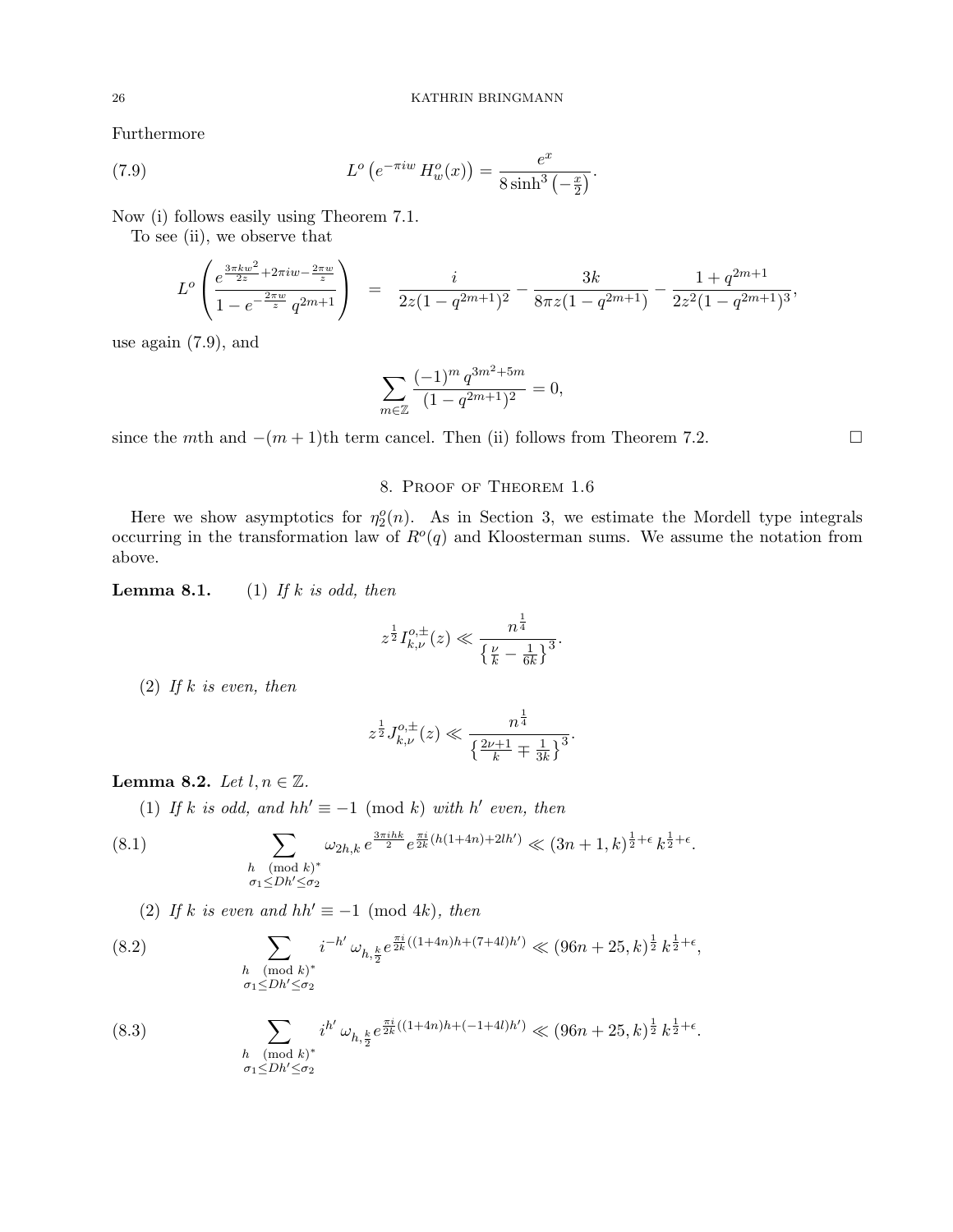Furthermore

(7.9) 
$$
L^{o} (e^{-\pi i w} H_{w}^{o}(x)) = \frac{e^{x}}{8 \sinh^{3}(-\frac{x}{2})}.
$$

Now (i) follows easily using Theorem 7.1.

To see (ii), we observe that

$$
L^{o}\left(\frac{e^{\frac{3\pi kw^{2}}{2z}+2\pi iw-\frac{2\pi w}{z}}}{1-e^{-\frac{2\pi w}{z}}q^{2m+1}}\right) = \frac{i}{2z(1-q^{2m+1})^{2}}-\frac{3k}{8\pi z(1-q^{2m+1})}-\frac{1+q^{2m+1}}{2z^{2}(1-q^{2m+1})^{3}},
$$

use again (7.9), and

$$
\sum_{m\in\mathbb{Z}}\frac{(-1)^m\,q^{3m^2+5m}}{(1-q^{2m+1})^2}=0,
$$

since the mth and  $-(m+1)$ th term cancel. Then (ii) follows from Theorem 7.2.

# 8. Proof of Theorem 1.6

Here we show asymptotics for  $\eta_2^o(n)$ . As in Section 3, we estimate the Mordell type integrals occurring in the transformation law of  $R^o(q)$  and Kloosterman sums. We assume the notation from above.

**Lemma 8.1.** (1) If k is odd, then

$$
z^{\frac{1}{2}} I_{k,\nu}^{o,\pm}(z) \ll \frac{n^{\frac{1}{4}}}{\left\{\frac{\nu}{k} - \frac{1}{6k}\right\}^3}.
$$

(2) If k is even, then

$$
z^{\frac{1}{2}} J_{k,\nu}^{o,\pm}(z) \ll \frac{n^{\frac{1}{4}}}{\left\{\frac{2\nu+1}{k} \mp \frac{1}{3k}\right\}^3}.
$$

# Lemma 8.2. Let  $l, n \in \mathbb{Z}$ .

(1) If k is odd, and  $hh' \equiv -1 \pmod{k}$  with h' even, then

(8.1) 
$$
\sum_{\substack{h \pmod{k}^* \\ \sigma_1 \le Dh' \le \sigma_2}} \omega_{2h,k} e^{\frac{3\pi i h k}{2}} e^{\frac{\pi i}{2k} (h(1+4n)+2lh')} \ll (3n+1,k)^{\frac{1}{2}+\epsilon} k^{\frac{1}{2}+\epsilon}.
$$

(2) If k is even and hh'  $\equiv -1 \pmod{4k}$ , then

(8.2) 
$$
\sum_{\substack{h \pmod{k} \\ \sigma_1 \le Dh' \le \sigma_2}} i^{-h'} \omega_{h, \frac{k}{2}} e^{\frac{\pi i}{2k}((1+4n)h + (7+4l)h')} \ll (96n + 25, k)^{\frac{1}{2}} k^{\frac{1}{2} + \epsilon},
$$

(8.3) 
$$
\sum_{\substack{h \pmod{k}^* \\ \sigma_1 \le Dh' \le \sigma_2}} i^{h'} \omega_{h, \frac{k}{2}} e^{\frac{\pi i}{2k}((1+4n)h + (-1+4l)h')} \ll (96n + 25, k)^{\frac{1}{2}} k^{\frac{1}{2} + \epsilon}.
$$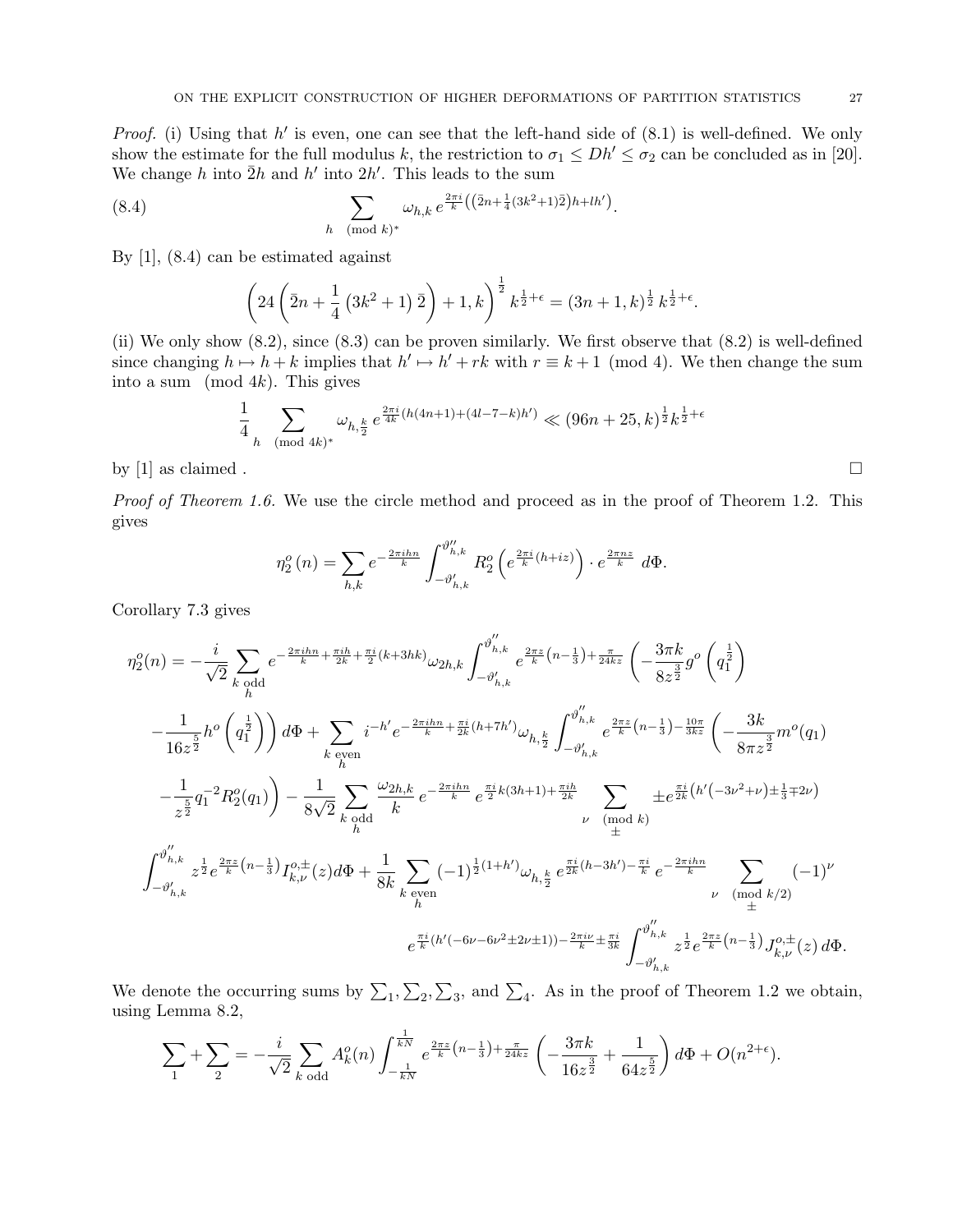*Proof.* (i) Using that  $h'$  is even, one can see that the left-hand side of  $(8.1)$  is well-defined. We only show the estimate for the full modulus k, the restriction to  $\sigma_1 \le Dh' \le \sigma_2$  can be concluded as in [20]. We change h into  $\bar{2}h$  and h' into  $2h'$ . This leads to the sum

(8.4) 
$$
\sum_{h \pmod{k}^*} \omega_{h,k} e^{\frac{2\pi i}{k} \left( \left( \bar{2}n + \frac{1}{4} (3k^2 + 1) \bar{2} \right) h + lh' \right)}.
$$

By [1], (8.4) can be estimated against

$$
\left(24\left(\bar{2}n+\frac{1}{4}\left(3k^2+1\right)\bar{2}\right)+1,k\right)^{\frac{1}{2}}k^{\frac{1}{2}+\epsilon}=(3n+1,k)^{\frac{1}{2}}k^{\frac{1}{2}+\epsilon}.
$$

(ii) We only show (8.2), since (8.3) can be proven similarly. We first observe that (8.2) is well-defined since changing  $h \mapsto h + k$  implies that  $h' \mapsto h' + rk$  with  $r \equiv k + 1 \pmod{4}$ . We then change the sum into a sum (mod  $4k$ ). This gives

$$
\frac{1}{4} \sum_{h \pmod{4k}^*} \omega_{h, \frac{k}{2}} e^{\frac{2\pi i}{4k} (h(4n+1) + (4l-7-k)h')} \ll (96n+25, k)^{\frac{1}{2}} k^{\frac{1}{2}+\epsilon}
$$

by [1] as claimed .  $\Box$ 

Proof of Theorem 1.6. We use the circle method and proceed as in the proof of Theorem 1.2. This gives

$$
\eta_2^o(n) = \sum_{h,k} e^{-\frac{2\pi i h n}{k}} \int_{-\vartheta'_{h,k}}^{\vartheta''_{h,k}} R_2^o\left(e^{\frac{2\pi i}{k}(h+iz)}\right) \cdot e^{\frac{2\pi n z}{k}} d\Phi.
$$

Corollary 7.3 gives

$$
\eta_{2}^{o}(n) = -\frac{i}{\sqrt{2}} \sum_{k \text{ odd}} e^{-\frac{2\pi i h n}{k} + \frac{\pi i}{2k} + \frac{\pi i}{2}(k+3hk)} \omega_{2h,k} \int_{-\vartheta'_{h,k}}^{\vartheta'_{h,k}} e^{\frac{2\pi z}{k}(n-\frac{1}{3}) + \frac{\pi}{24kz}} \left( -\frac{3\pi k}{8z^{\frac{3}{2}}} g^o \left( q_1^{\frac{1}{2}} \right) \right) d\Phi + \sum_{k \text{ even}} i^{-h} e^{-\frac{2\pi i h n}{k} + \frac{\pi i}{2k}(h+7h')} \omega_{h,\frac{k}{2}} \int_{-\vartheta'_{h,k}}^{\vartheta''_{h,k}} e^{\frac{2\pi z}{k}(n-\frac{1}{3}) - \frac{10\pi}{3kz}} \left( -\frac{3k}{8\pi z^{\frac{3}{2}}} m^o(q_1) \right) d\Phi + \sum_{k \text{ even}} i^{-h} e^{-\frac{2\pi i h n}{k} + \frac{\pi i}{2k}(h+7h')} \omega_{h,\frac{k}{2}} \int_{-\vartheta'_{h,k}}^{\vartheta''_{h,k}} e^{\frac{2\pi z}{k}(n-\frac{1}{3}) - \frac{10\pi}{3kz}} \left( -\frac{3k}{8\pi z^{\frac{3}{2}}} m^o(q_1) \right) d\Phi + \sum_{k \text{ even}} i^{-h} e^{-\frac{2\pi i h n}{k}} e^{-\frac{2\pi i h n}{k}} e^{\frac{2\pi i}{2}k(3h+1) + \frac{\pi i h}{2k}} \sum_{\substack{m \text{ (mod } k) \\ \text{ odd}}} \pm e^{\frac{\pi i}{2k} \left( h'(-3\nu^2 + \nu) \pm \frac{1}{3} + 2\nu \right)} \omega_{\substack{m \text{ odd}}} \int_{-\vartheta'_{h,k}}^{\vartheta''_{h,k}} z_{\frac{1}{2}} e^{\frac{2\pi z}{k}(n-\frac{1}{3})} I_{k,\nu}^{o,\pm}(z) d\Phi + \frac{1}{8k} \sum_{k \text{ even}} (-1)^{\frac{1}{2}(1+h')} \omega_{h,\frac{k}{2}} e^{\frac{\pi i}{2k}(h-3h') - \frac{\pi i}{k}} e^{-\frac{2\pi i h n}{k}} \sum_{\substack
$$

We denote the occurring sums by  $\sum_1, \sum_2, \sum_3$ , and  $\sum_4$ . As in the proof of Theorem 1.2 we obtain, using Lemma 8.2,

$$
\sum_{1} + \sum_{2} = -\frac{i}{\sqrt{2}} \sum_{k \text{ odd}} A_{k}^{o}(n) \int_{-\frac{1}{kN}}^{\frac{1}{kN}} e^{\frac{2\pi z}{k}(n-\frac{1}{3}) + \frac{\pi}{24kz}} \left( -\frac{3\pi k}{16z^{\frac{3}{2}}} + \frac{1}{64z^{\frac{5}{2}}} \right) d\Phi + O(n^{2+\epsilon}).
$$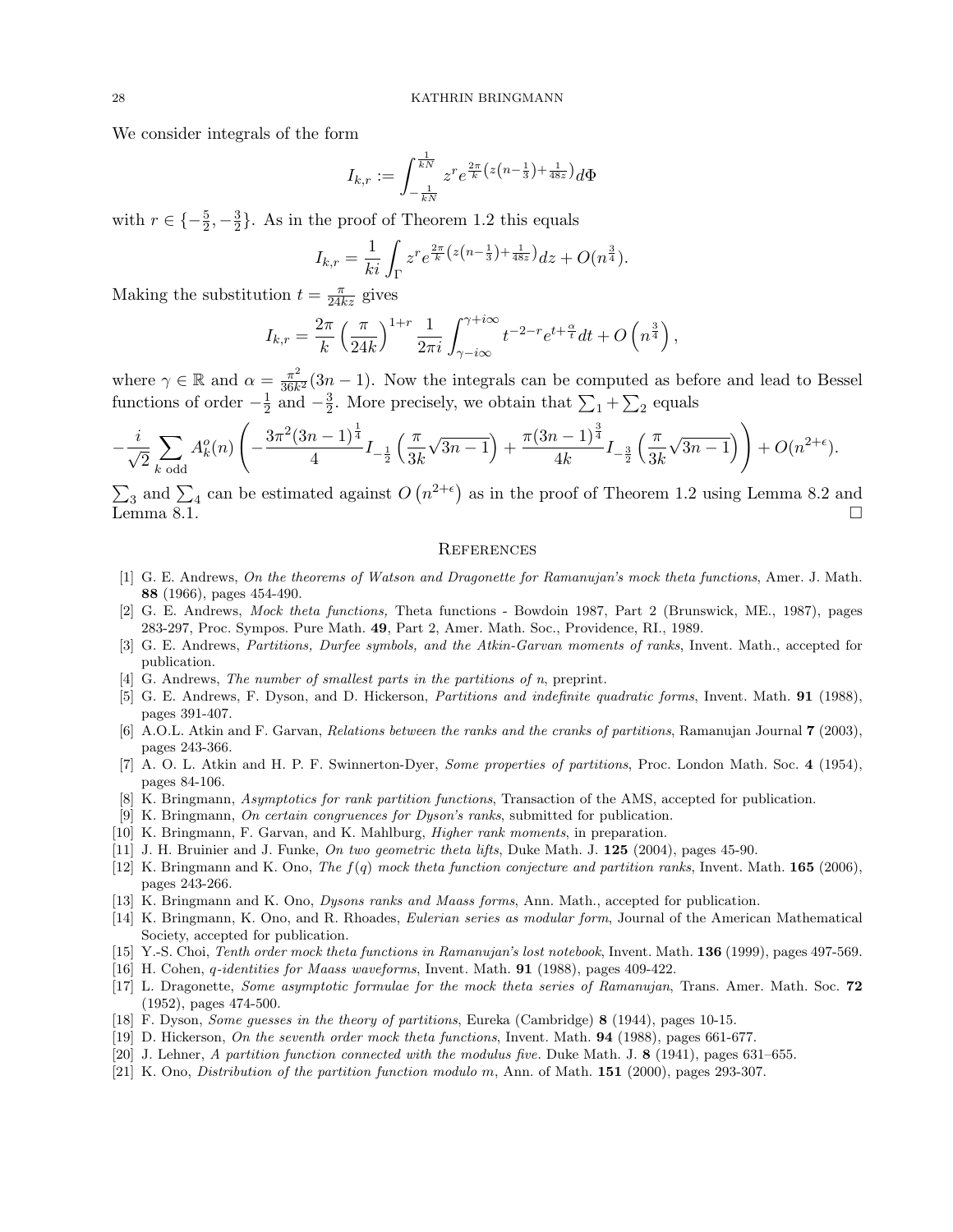We consider integrals of the form

$$
I_{k,r} := \int_{-\frac{1}{kN}}^{\frac{1}{kN}} z^r e^{\frac{2\pi}{k} (z(n-\frac{1}{3}) + \frac{1}{48z})} d\Phi
$$

with  $r \in \{-\frac{5}{2}, -\frac{3}{2}\}$  $\frac{3}{2}$ . As in the proof of Theorem 1.2 this equals

$$
I_{k,r} = \frac{1}{ki} \int_{\Gamma} z^r e^{\frac{2\pi}{k} \left( z \left( n - \frac{1}{3} \right) + \frac{1}{48z} \right)} dz + O(n^{\frac{3}{4}}).
$$

Making the substitution  $t = \frac{\pi}{24kz}$  gives

$$
I_{k,r} = \frac{2\pi}{k} \left(\frac{\pi}{24k}\right)^{1+r} \frac{1}{2\pi i} \int_{\gamma - i\infty}^{\gamma + i\infty} t^{-2-r} e^{t + \frac{\alpha}{t}} dt + O\left(n^{\frac{3}{4}}\right),
$$

where  $\gamma \in \mathbb{R}$  and  $\alpha = \frac{\pi^2}{36k}$  $\frac{\pi^2}{36k^2}(3n-1)$ . Now the integrals can be computed as before and lead to Bessel functions of order  $-\frac{1}{2}$  $\frac{1}{2}$  and  $-\frac{3}{2}$  $\frac{3}{2}$ . More precisely, we obtain that  $\sum_{1} + \sum_{2}$  equals

$$
-\frac{i}{\sqrt{2}}\sum_{k\text{ odd}}A_k^o(n)\left(-\frac{3\pi^2(3n-1)^{\frac{1}{4}}}{4}I_{-\frac{1}{2}}\left(\frac{\pi}{3k}\sqrt{3n-1}\right)+\frac{\pi(3n-1)^{\frac{3}{4}}}{4k}I_{-\frac{3}{2}}\left(\frac{\pi}{3k}\sqrt{3n-1}\right)\right)+O(n^{2+\epsilon}).
$$

 $\sum_3$  and  $\sum_4$  can be estimated against  $O(n^{2+\epsilon})$  as in the proof of Theorem 1.2 using Lemma 8.2 and  $\sum_{\text{Lemma 8.1.}}$ 

## **REFERENCES**

- [1] G. E. Andrews, On the theorems of Watson and Dragonette for Ramanujan's mock theta functions, Amer. J. Math. 88 (1966), pages 454-490.
- [2] G. E. Andrews, Mock theta functions, Theta functions Bowdoin 1987, Part 2 (Brunswick, ME., 1987), pages 283-297, Proc. Sympos. Pure Math. 49, Part 2, Amer. Math. Soc., Providence, RI., 1989.
- [3] G. E. Andrews, Partitions, Durfee symbols, and the Atkin-Garvan moments of ranks, Invent. Math., accepted for publication.
- [4] G. Andrews, The number of smallest parts in the partitions of n, preprint.
- [5] G. E. Andrews, F. Dyson, and D. Hickerson, Partitions and indefinite quadratic forms, Invent. Math. 91 (1988), pages 391-407.
- [6] A.O.L. Atkin and F. Garvan, Relations between the ranks and the cranks of partitions, Ramanujan Journal 7 (2003), pages 243-366.
- [7] A. O. L. Atkin and H. P. F. Swinnerton-Dyer, *Some properties of partitions*, Proc. London Math. Soc. 4 (1954), pages 84-106.
- [8] K. Bringmann, Asymptotics for rank partition functions, Transaction of the AMS, accepted for publication.
- [9] K. Bringmann, On certain congruences for Dyson's ranks, submitted for publication.
- [10] K. Bringmann, F. Garvan, and K. Mahlburg, Higher rank moments, in preparation.
- [11] J. H. Bruinier and J. Funke, On two geometric theta lifts, Duke Math. J. 125 (2004), pages 45-90.
- [12] K. Bringmann and K. Ono, The  $f(q)$  mock theta function conjecture and partition ranks, Invent. Math. **165** (2006), pages 243-266.
- [13] K. Bringmann and K. Ono, Dysons ranks and Maass forms, Ann. Math., accepted for publication.
- [14] K. Bringmann, K. Ono, and R. Rhoades, Eulerian series as modular form, Journal of the American Mathematical Society, accepted for publication.
- [15] Y.-S. Choi, Tenth order mock theta functions in Ramanujan's lost notebook, Invent. Math. 136 (1999), pages 497-569.
- [16] H. Cohen, q-identities for Maass waveforms, Invent. Math. 91 (1988), pages 409-422.
- [17] L. Dragonette, Some asymptotic formulae for the mock theta series of Ramanujan, Trans. Amer. Math. Soc. 72 (1952), pages 474-500.
- [18] F. Dyson, Some guesses in the theory of partitions, Eureka (Cambridge) 8 (1944), pages 10-15.
- [19] D. Hickerson, On the seventh order mock theta functions, Invent. Math. 94 (1988), pages 661-677.
- [20] J. Lehner, A partition function connected with the modulus five. Duke Math. J. 8 (1941), pages 631–655.
- [21] K. Ono, Distribution of the partition function modulo m, Ann. of Math. 151 (2000), pages 293-307.